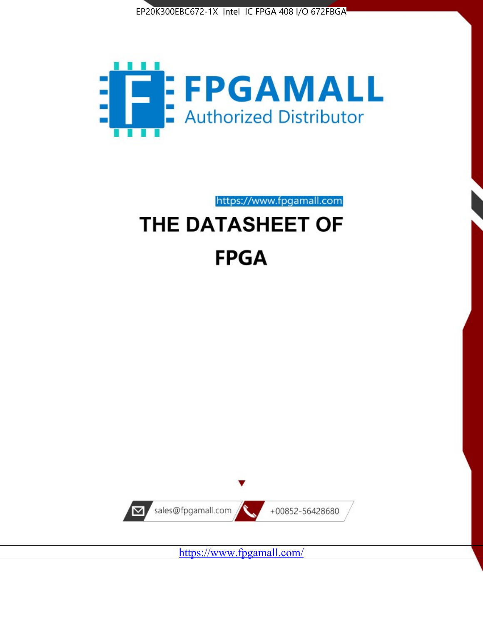



https://www.fpgamall.com THE DATASHEET OF

# **FPGA**



<https://www.fpgamall.com/>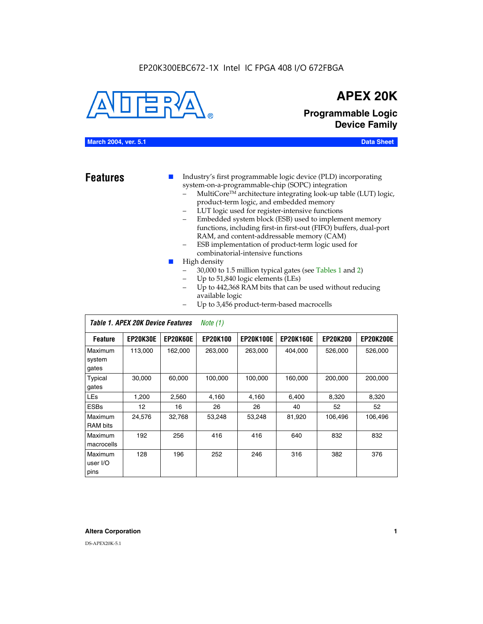## EP20K300EBC672-1X Intel IC FPGA 408 I/O 672FBGA



## **APEX 20K**

**Programmable Logic Device Family**

#### **March 2004, ver. 5.1 Data Sheet**

- **Features ■** Industry's first programmable logic device (PLD) incorporating system-on-a-programmable-chip (SOPC) integration
	- MultiCore™ architecture integrating look-up table (LUT) logic, product-term logic, and embedded memory
	- LUT logic used for register-intensive functions
	- Embedded system block (ESB) used to implement memory functions, including first-in first-out (FIFO) buffers, dual-port RAM, and content-addressable memory (CAM)
	- ESB implementation of product-term logic used for combinatorial-intensive functions
	- High density
		- 30,000 to 1.5 million typical gates (see Tables 1 and 2)
		- Up to 51,840 logic elements (LEs)
		- Up to 442,368 RAM bits that can be used without reducing available logic
		- Up to 3,456 product-term-based macrocells

|                             | Table 1. APEX 20K Device Features |                 | Note $(1)$      |                  |                  |                 |                  |
|-----------------------------|-----------------------------------|-----------------|-----------------|------------------|------------------|-----------------|------------------|
| <b>Feature</b>              | <b>EP20K30E</b>                   | <b>EP20K60E</b> | <b>EP20K100</b> | <b>EP20K100E</b> | <b>EP20K160E</b> | <b>EP20K200</b> | <b>EP20K200E</b> |
| Maximum<br>system<br>gates  | 113,000                           | 162,000         | 263.000         | 263,000          | 404.000          | 526,000         | 526,000          |
| Typical<br>gates            | 30,000                            | 60,000          | 100,000         | 100,000          | 160,000          | 200,000         | 200,000          |
| <b>LEs</b>                  | 1,200                             | 2,560           | 4,160           | 4,160            | 6.400            | 8,320           | 8,320            |
| <b>ESBs</b>                 | 12                                | 16              | 26              | 26               | 40               | 52              | 52               |
| Maximum<br><b>RAM</b> bits  | 24,576                            | 32,768          | 53,248          | 53,248           | 81,920           | 106,496         | 106,496          |
| Maximum<br>macrocells       | 192                               | 256             | 416             | 416              | 640              | 832             | 832              |
| Maximum<br>user I/O<br>pins | 128                               | 196             | 252             | 246              | 316              | 382             | 376              |

#### **Altera Corporation 1**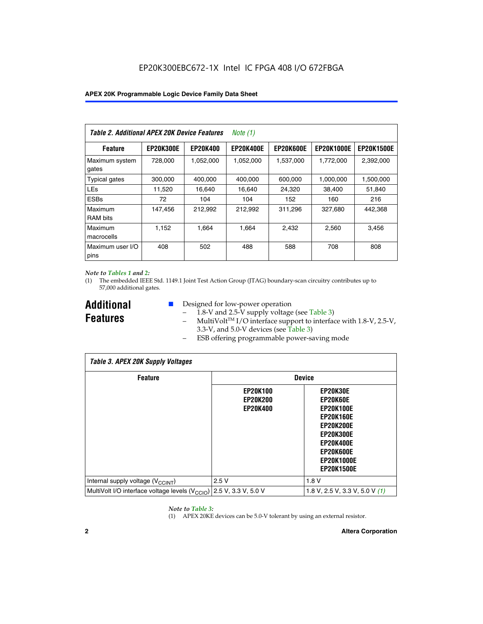| Table 2. Additional APEX 20K Device Features |                  |                 | Note $(1)$       |                  |                   |                   |
|----------------------------------------------|------------------|-----------------|------------------|------------------|-------------------|-------------------|
| <b>Feature</b>                               | <b>EP20K300E</b> | <b>EP20K400</b> | <b>EP20K400E</b> | <b>EP20K600E</b> | <b>EP20K1000E</b> | <b>EP20K1500E</b> |
| Maximum system<br>gates                      | 728,000          | 1,052,000       | 1,052,000        | 1,537,000        | 1,772,000         | 2,392,000         |
| <b>Typical gates</b>                         | 300,000          | 400,000         | 400,000          | 600,000          | 1,000,000         | 1,500,000         |
| <b>LEs</b>                                   | 11,520           | 16.640          | 16.640           | 24,320           | 38,400            | 51,840            |
| <b>ESBs</b>                                  | 72               | 104             | 104              | 152              | 160               | 216               |
| Maximum<br><b>RAM bits</b>                   | 147,456          | 212,992         | 212,992          | 311,296          | 327,680           | 442.368           |
| Maximum<br>macrocells                        | 1,152            | 1,664           | 1,664            | 2.432            | 2,560             | 3,456             |
| Maximum user I/O<br>pins                     | 408              | 502             | 488              | 588              | 708               | 808               |

#### *Note to Tables 1 and 2:*

(1) The embedded IEEE Std. 1149.1 Joint Test Action Group (JTAG) boundary-scan circuitry contributes up to 57,000 additional gates.

**Additional Features**

- Designed for low-power operation
	- 1.8-V and 2.5-V supply voltage (see Table 3)
	- $-$  MultiVolt<sup>TM</sup> I/O interface support to interface with 1.8-V, 2.5-V, 3.3-V, and 5.0-V devices (see Table 3)
	- ESB offering programmable power-saving mode

| <b>Table 3. APEX 20K Supply Voltages</b>                                       |                                                       |                                                                                                                                                                          |  |  |  |  |  |
|--------------------------------------------------------------------------------|-------------------------------------------------------|--------------------------------------------------------------------------------------------------------------------------------------------------------------------------|--|--|--|--|--|
| <b>Feature</b>                                                                 |                                                       | <b>Device</b>                                                                                                                                                            |  |  |  |  |  |
|                                                                                | <b>EP20K100</b><br><b>EP20K200</b><br><b>EP20K400</b> | EP20K30E<br>EP20K60E<br><b>EP20K100E</b><br><b>EP20K160E</b><br>EP20K200E<br><b>EP20K300E</b><br><b>EP20K400E</b><br>EP20K600E<br><b>EP20K1000E</b><br><b>EP20K1500E</b> |  |  |  |  |  |
| Internal supply voltage (V <sub>CCINT</sub> )                                  | 2.5V                                                  | 1.8V                                                                                                                                                                     |  |  |  |  |  |
| MultiVolt I/O interface voltage levels $(V_{\text{CCIO}})$ 2.5 V, 3.3 V, 5.0 V |                                                       | 1.8 V, 2.5 V, 3.3 V, 5.0 V $(1)$                                                                                                                                         |  |  |  |  |  |

#### *Note to Table 3:*

(1) APEX 20KE devices can be 5.0-V tolerant by using an external resistor.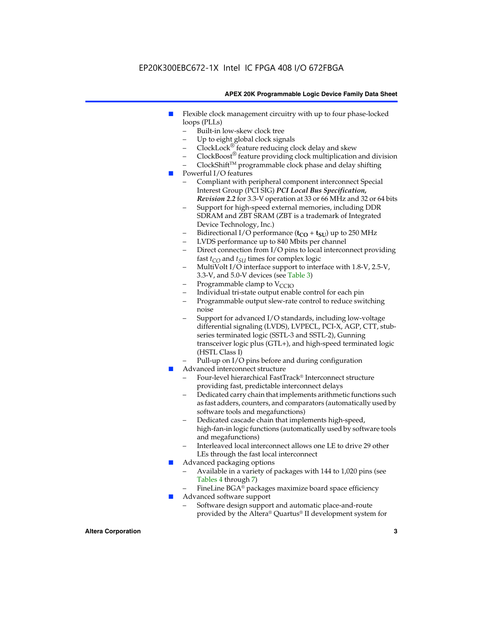## EP20K300EBC672-1X Intel IC FPGA 408 I/O 672FBGA

#### **APEX 20K Programmable Logic Device Family Data Sheet**

- Flexible clock management circuitry with up to four phase-locked loops (PLLs)
	- Built-in low-skew clock tree
	- Up to eight global clock signals
	- $ClockLock^{\circledR}$  feature reducing clock delay and skew
	- $ClockBoost^{\circledR}$  feature providing clock multiplication and division
	- ClockShiftTM programmable clock phase and delay shifting
- Powerful I/O features
	- Compliant with peripheral component interconnect Special Interest Group (PCI SIG) *PCI Local Bus Specification, Revision 2.2* for 3.3-V operation at 33 or 66 MHz and 32 or 64 bits
	- Support for high-speed external memories, including DDR SDRAM and ZBT SRAM (ZBT is a trademark of Integrated Device Technology, Inc.)
	- Bidirectional I/O performance  $(t_{CO} + t_{SU})$  up to 250 MHz
	- LVDS performance up to 840 Mbits per channel
	- Direct connection from I/O pins to local interconnect providing fast  $t_{CO}$  and  $t_{SU}$  times for complex logic
	- MultiVolt I/O interface support to interface with 1.8-V, 2.5-V, 3.3-V, and 5.0-V devices (see Table 3)
	- Programmable clamp to  $V_{\text{C}CD}$
	- Individual tri-state output enable control for each pin
	- Programmable output slew-rate control to reduce switching noise
	- Support for advanced I/O standards, including low-voltage differential signaling (LVDS), LVPECL, PCI-X, AGP, CTT, stubseries terminated logic (SSTL-3 and SSTL-2), Gunning transceiver logic plus (GTL+), and high-speed terminated logic (HSTL Class I)
	- Pull-up on I/O pins before and during configuration
- Advanced interconnect structure
	- Four-level hierarchical FastTrack® Interconnect structure providing fast, predictable interconnect delays
	- Dedicated carry chain that implements arithmetic functions such as fast adders, counters, and comparators (automatically used by software tools and megafunctions)
	- Dedicated cascade chain that implements high-speed, high-fan-in logic functions (automatically used by software tools and megafunctions)
	- Interleaved local interconnect allows one LE to drive 29 other LEs through the fast local interconnect
- Advanced packaging options
	- Available in a variety of packages with 144 to 1,020 pins (see Tables 4 through 7)
	- FineLine BGA® packages maximize board space efficiency
- Advanced software support
	- Software design support and automatic place-and-route provided by the Altera® Quartus® II development system for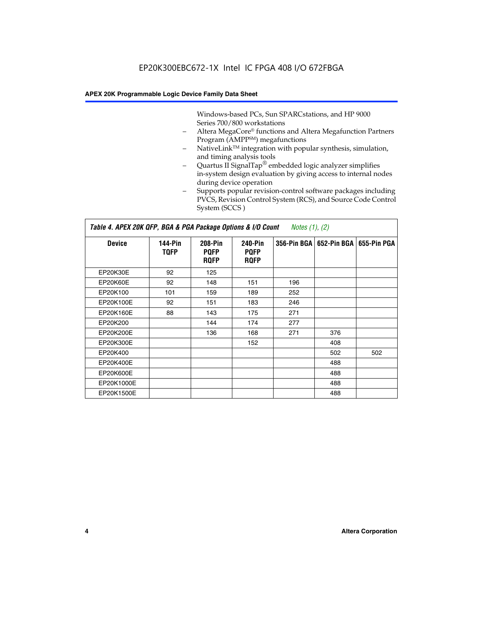Windows-based PCs, Sun SPARCstations, and HP 9000 Series 700/800 workstations

- Altera MegaCore® functions and Altera Megafunction Partners Program (AMPP<sup>SM</sup>) megafunctions
- NativeLink<sup>™</sup> integration with popular synthesis, simulation, and timing analysis tools
- Quartus II SignalTap® embedded logic analyzer simplifies in-system design evaluation by giving access to internal nodes during device operation
- Supports popular revision-control software packages including PVCS, Revision Control System (RCS), and Source Code Control System (SCCS )

#### *Table 4. APEX 20K QFP, BGA & PGA Package Options & I/O Count Notes (1), (2)*

| <b>Device</b>   | 144-Pin<br><b>TQFP</b> | 208-Pin<br><b>PQFP</b><br><b>ROFP</b> | 240-Pin<br><b>PQFP</b><br><b>ROFP</b> |     | 356-Pin BGA   652-Pin BGA | 655-Pin PGA |
|-----------------|------------------------|---------------------------------------|---------------------------------------|-----|---------------------------|-------------|
| EP20K30E        | 92                     | 125                                   |                                       |     |                           |             |
| <b>EP20K60E</b> | 92                     | 148                                   | 151                                   | 196 |                           |             |
| EP20K100        | 101                    | 159                                   | 189                                   | 252 |                           |             |
| EP20K100E       | 92                     | 151                                   | 183                                   | 246 |                           |             |
| EP20K160E       | 88                     | 143                                   | 175                                   | 271 |                           |             |
| EP20K200        |                        | 144                                   | 174                                   | 277 |                           |             |
| EP20K200E       |                        | 136                                   | 168                                   | 271 | 376                       |             |
| EP20K300E       |                        |                                       | 152                                   |     | 408                       |             |
| EP20K400        |                        |                                       |                                       |     | 502                       | 502         |
| EP20K400E       |                        |                                       |                                       |     | 488                       |             |
| EP20K600E       |                        |                                       |                                       |     | 488                       |             |
| EP20K1000E      |                        |                                       |                                       |     | 488                       |             |
| EP20K1500E      |                        |                                       |                                       |     | 488                       |             |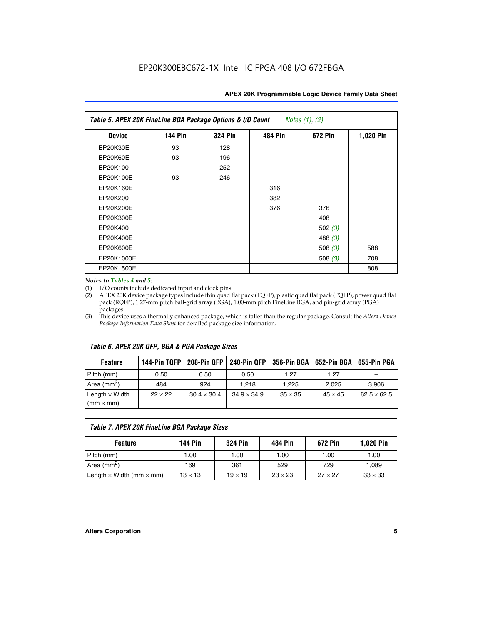| APEX 20K Programmable Logic Device Family Data Sheet |  |  |
|------------------------------------------------------|--|--|
|------------------------------------------------------|--|--|

| Table 5. APEX 20K FineLine BGA Package Options & I/O Count<br>Notes $(1)$ , $(2)$ |                |                |                |                |           |  |  |
|-----------------------------------------------------------------------------------|----------------|----------------|----------------|----------------|-----------|--|--|
| <b>Device</b>                                                                     | <b>144 Pin</b> | <b>324 Pin</b> | <b>484 Pin</b> | <b>672 Pin</b> | 1,020 Pin |  |  |
| EP20K30E                                                                          | 93             | 128            |                |                |           |  |  |
| <b>EP20K60E</b>                                                                   | 93             | 196            |                |                |           |  |  |
| EP20K100                                                                          |                | 252            |                |                |           |  |  |
| EP20K100E                                                                         | 93             | 246            |                |                |           |  |  |
| EP20K160E                                                                         |                |                | 316            |                |           |  |  |
| EP20K200                                                                          |                |                | 382            |                |           |  |  |
| EP20K200E                                                                         |                |                | 376            | 376            |           |  |  |
| EP20K300E                                                                         |                |                |                | 408            |           |  |  |
| EP20K400                                                                          |                |                |                | 502 $(3)$      |           |  |  |
| EP20K400E                                                                         |                |                |                | 488 $(3)$      |           |  |  |
| EP20K600E                                                                         |                |                |                | 508 $(3)$      | 588       |  |  |
| EP20K1000E                                                                        |                |                |                | 508 $(3)$      | 708       |  |  |
| EP20K1500E                                                                        |                |                |                |                | 808       |  |  |

#### *Notes to Tables 4 and 5:*

(1) I/O counts include dedicated input and clock pins.

(2) APEX 20K device package types include thin quad flat pack (TQFP), plastic quad flat pack (PQFP), power quad flat pack (RQFP), 1.27-mm pitch ball-grid array (BGA), 1.00-mm pitch FineLine BGA, and pin-grid array (PGA) packages.

(3) This device uses a thermally enhanced package, which is taller than the regular package. Consult the *Altera Device Package Information Data Sheet* for detailed package size information.

| Table 6. APEX 20K QFP, BGA & PGA Package Sizes                                                            |                |                    |                    |                |                |                    |  |  |
|-----------------------------------------------------------------------------------------------------------|----------------|--------------------|--------------------|----------------|----------------|--------------------|--|--|
| 208-Pin QFP<br>240-Pin QFP<br>652-Pin BGA<br>144-Pin TQFP<br>356-Pin BGA<br>655-Pin PGA<br><b>Feature</b> |                |                    |                    |                |                |                    |  |  |
| Pitch (mm)                                                                                                | 0.50           | 0.50               | 0.50               | 1.27           | 1.27           |                    |  |  |
| Area ( $mm2$ )                                                                                            | 484            | 924                | 1.218              | 1.225          | 2.025          | 3,906              |  |  |
| Length $\times$ Width<br>$(mm \times mm)$                                                                 | $22 \times 22$ | $30.4 \times 30.4$ | $34.9 \times 34.9$ | $35 \times 35$ | $45 \times 45$ | $62.5 \times 62.5$ |  |  |

| Table 7. APEX 20K FineLine BGA Package Sizes |                |                |                |                |                |  |  |  |
|----------------------------------------------|----------------|----------------|----------------|----------------|----------------|--|--|--|
| <b>Feature</b>                               | <b>144 Pin</b> | <b>324 Pin</b> | 484 Pin        | 672 Pin        | 1,020 Pin      |  |  |  |
| Pitch (mm)                                   | 1.00           | 1.00           | 1.00           | 1.00           | 1.00           |  |  |  |
| Area ( $mm2$ )                               | 169            | 361            | 529            | 729            | 1,089          |  |  |  |
| Length $\times$ Width (mm $\times$ mm)       | $13 \times 13$ | $19 \times 19$ | $23 \times 23$ | $27 \times 27$ | $33 \times 33$ |  |  |  |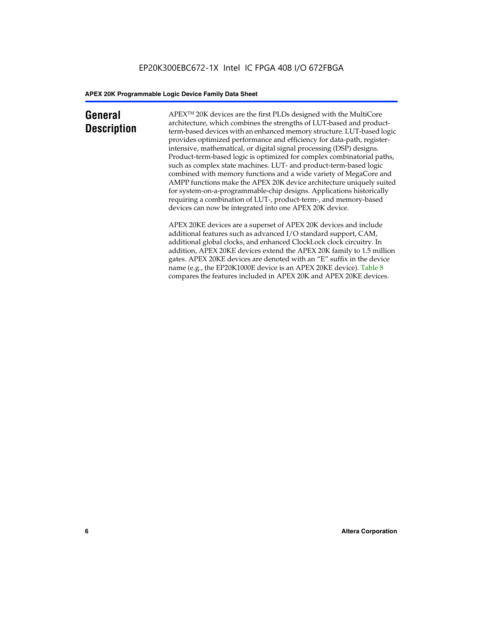## **General Description**

APEXTM 20K devices are the first PLDs designed with the MultiCore architecture, which combines the strengths of LUT-based and productterm-based devices with an enhanced memory structure. LUT-based logic provides optimized performance and efficiency for data-path, registerintensive, mathematical, or digital signal processing (DSP) designs. Product-term-based logic is optimized for complex combinatorial paths, such as complex state machines. LUT- and product-term-based logic combined with memory functions and a wide variety of MegaCore and AMPP functions make the APEX 20K device architecture uniquely suited for system-on-a-programmable-chip designs. Applications historically requiring a combination of LUT-, product-term-, and memory-based devices can now be integrated into one APEX 20K device.

APEX 20KE devices are a superset of APEX 20K devices and include additional features such as advanced I/O standard support, CAM, additional global clocks, and enhanced ClockLock clock circuitry. In addition, APEX 20KE devices extend the APEX 20K family to 1.5 million gates. APEX 20KE devices are denoted with an "E" suffix in the device name (e.g., the EP20K1000E device is an APEX 20KE device). Table 8 compares the features included in APEX 20K and APEX 20KE devices.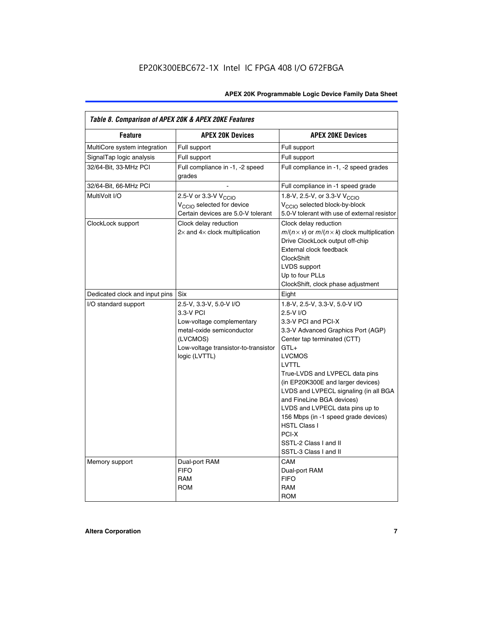| Table 8. Comparison of APEX 20K & APEX 20KE Features |                                                                                                                                                                     |                                                                                                                                                                                                                                                                                                                                                                                                                                                                                       |  |  |  |  |
|------------------------------------------------------|---------------------------------------------------------------------------------------------------------------------------------------------------------------------|---------------------------------------------------------------------------------------------------------------------------------------------------------------------------------------------------------------------------------------------------------------------------------------------------------------------------------------------------------------------------------------------------------------------------------------------------------------------------------------|--|--|--|--|
| <b>Feature</b>                                       | <b>APEX 20K Devices</b>                                                                                                                                             | <b>APEX 20KE Devices</b>                                                                                                                                                                                                                                                                                                                                                                                                                                                              |  |  |  |  |
| MultiCore system integration                         | Full support                                                                                                                                                        | Full support                                                                                                                                                                                                                                                                                                                                                                                                                                                                          |  |  |  |  |
| SignalTap logic analysis                             | Full support                                                                                                                                                        | Full support                                                                                                                                                                                                                                                                                                                                                                                                                                                                          |  |  |  |  |
| 32/64-Bit, 33-MHz PCI                                | Full compliance in -1, -2 speed<br>grades                                                                                                                           | Full compliance in -1, -2 speed grades                                                                                                                                                                                                                                                                                                                                                                                                                                                |  |  |  |  |
| 32/64-Bit, 66-MHz PCI                                |                                                                                                                                                                     | Full compliance in -1 speed grade                                                                                                                                                                                                                                                                                                                                                                                                                                                     |  |  |  |  |
| MultiVolt I/O                                        | 2.5-V or 3.3-V V <sub>CCIO</sub><br>V <sub>CCIO</sub> selected for device<br>Certain devices are 5.0-V tolerant                                                     | 1.8-V, 2.5-V, or 3.3-V V <sub>CCIO</sub><br>V <sub>CCIO</sub> selected block-by-block<br>5.0-V tolerant with use of external resistor                                                                                                                                                                                                                                                                                                                                                 |  |  |  |  |
| ClockLock support                                    | Clock delay reduction<br>$2\times$ and $4\times$ clock multiplication                                                                                               | Clock delay reduction<br>$m/(n \times v)$ or $m/(n \times k)$ clock multiplication<br>Drive ClockLock output off-chip<br>External clock feedback<br><b>ClockShift</b><br>LVDS support<br>Up to four PLLs<br>ClockShift, clock phase adjustment                                                                                                                                                                                                                                        |  |  |  |  |
| Dedicated clock and input pins                       | <b>Six</b>                                                                                                                                                          | Eight                                                                                                                                                                                                                                                                                                                                                                                                                                                                                 |  |  |  |  |
| I/O standard support                                 | 2.5-V, 3.3-V, 5.0-V I/O<br>3.3-V PCI<br>Low-voltage complementary<br>metal-oxide semiconductor<br>(LVCMOS)<br>Low-voltage transistor-to-transistor<br>logic (LVTTL) | 1.8-V, 2.5-V, 3.3-V, 5.0-V I/O<br>2.5-V I/O<br>3.3-V PCI and PCI-X<br>3.3-V Advanced Graphics Port (AGP)<br>Center tap terminated (CTT)<br>$GTL+$<br><b>LVCMOS</b><br>LVTTL<br>True-LVDS and LVPECL data pins<br>(in EP20K300E and larger devices)<br>LVDS and LVPECL signaling (in all BGA<br>and FineLine BGA devices)<br>LVDS and LVPECL data pins up to<br>156 Mbps (in -1 speed grade devices)<br><b>HSTL Class I</b><br>PCI-X<br>SSTL-2 Class I and II<br>SSTL-3 Class I and II |  |  |  |  |
| Memory support                                       | Dual-port RAM<br><b>FIFO</b><br><b>RAM</b><br><b>ROM</b>                                                                                                            | CAM<br>Dual-port RAM<br><b>FIFO</b><br>RAM<br><b>ROM</b>                                                                                                                                                                                                                                                                                                                                                                                                                              |  |  |  |  |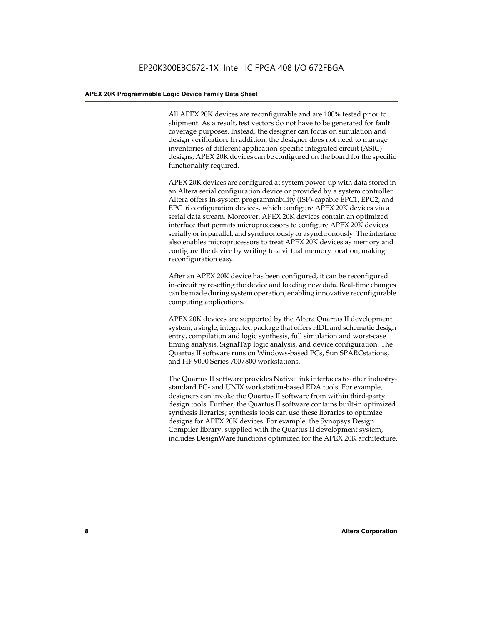All APEX 20K devices are reconfigurable and are 100% tested prior to shipment. As a result, test vectors do not have to be generated for fault coverage purposes. Instead, the designer can focus on simulation and design verification. In addition, the designer does not need to manage inventories of different application-specific integrated circuit (ASIC) designs; APEX 20K devices can be configured on the board for the specific functionality required.

APEX 20K devices are configured at system power-up with data stored in an Altera serial configuration device or provided by a system controller. Altera offers in-system programmability (ISP)-capable EPC1, EPC2, and EPC16 configuration devices, which configure APEX 20K devices via a serial data stream. Moreover, APEX 20K devices contain an optimized interface that permits microprocessors to configure APEX 20K devices serially or in parallel, and synchronously or asynchronously. The interface also enables microprocessors to treat APEX 20K devices as memory and configure the device by writing to a virtual memory location, making reconfiguration easy.

After an APEX 20K device has been configured, it can be reconfigured in-circuit by resetting the device and loading new data. Real-time changes can be made during system operation, enabling innovative reconfigurable computing applications.

APEX 20K devices are supported by the Altera Quartus II development system, a single, integrated package that offers HDL and schematic design entry, compilation and logic synthesis, full simulation and worst-case timing analysis, SignalTap logic analysis, and device configuration. The Quartus II software runs on Windows-based PCs, Sun SPARCstations, and HP 9000 Series 700/800 workstations.

The Quartus II software provides NativeLink interfaces to other industrystandard PC- and UNIX workstation-based EDA tools. For example, designers can invoke the Quartus II software from within third-party design tools. Further, the Quartus II software contains built-in optimized synthesis libraries; synthesis tools can use these libraries to optimize designs for APEX 20K devices. For example, the Synopsys Design Compiler library, supplied with the Quartus II development system, includes DesignWare functions optimized for the APEX 20K architecture.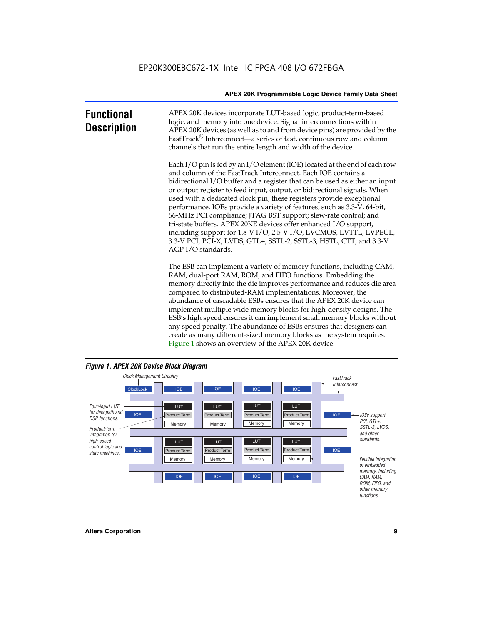| <b>Functional</b><br><b>Description</b> | APEX 20K devices incorporate LUT-based logic, product-term-based<br>logic, and memory into one device. Signal interconnections within<br>APEX 20K devices (as well as to and from device pins) are provided by the<br>FastTrack <sup>®</sup> Interconnect—a series of fast, continuous row and column<br>channels that run the entire length and width of the device.                                                                                                                                                                                                                                                                                                                                                                                              |
|-----------------------------------------|--------------------------------------------------------------------------------------------------------------------------------------------------------------------------------------------------------------------------------------------------------------------------------------------------------------------------------------------------------------------------------------------------------------------------------------------------------------------------------------------------------------------------------------------------------------------------------------------------------------------------------------------------------------------------------------------------------------------------------------------------------------------|
|                                         | Each I/O pin is fed by an I/O element (IOE) located at the end of each row<br>and column of the FastTrack Interconnect. Each IOE contains a<br>bidirectional I/O buffer and a register that can be used as either an input<br>or output register to feed input, output, or bidirectional signals. When<br>used with a dedicated clock pin, these registers provide exceptional<br>performance. IOEs provide a variety of features, such as 3.3-V, 64-bit,<br>66-MHz PCI compliance; JTAG BST support; slew-rate control; and<br>tri-state buffers. APEX 20KE devices offer enhanced I/O support,<br>including support for 1.8-V I/O, 2.5-V I/O, LVCMOS, LVTTL, LVPECL,<br>3.3-V PCI, PCI-X, LVDS, GTL+, SSTL-2, SSTL-3, HSTL, CTT, and 3.3-V<br>AGP I/O standards. |
|                                         | The ESB can implement a variety of memory functions, including CAM,<br>RAM, dual-port RAM, ROM, and FIFO functions. Embedding the<br>memory directly into the die improves performance and reduces die area<br>compared to distributed-RAM implementations. Moreover, the<br>abundance of cascadable ESBs ensures that the APEX 20K device can<br>implement multiple wide memory blocks for high-density designs. The<br>ESB's high speed ensures it can implement small memory blocks without<br>any speed penalty. The abundance of ESBs ensures that designers can                                                                                                                                                                                              |

any speed penalty. The abundance of ESBs ensures that designers can create as many different-sized memory blocks as the system requires. Figure 1 shows an overview of the APEX 20K device.



#### *Figure 1. APEX 20K Device Block Diagram*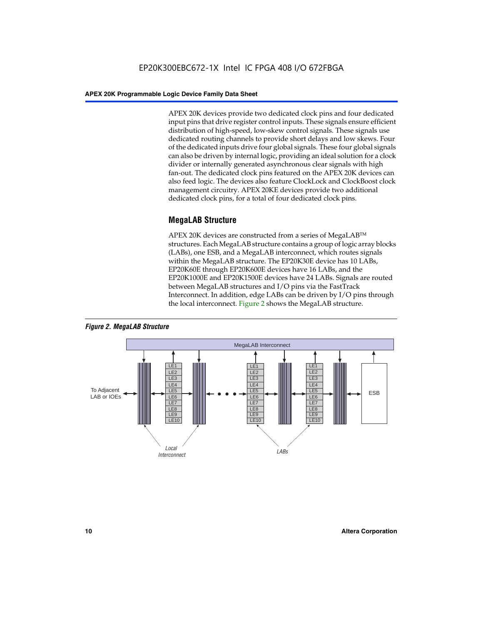APEX 20K devices provide two dedicated clock pins and four dedicated input pins that drive register control inputs. These signals ensure efficient distribution of high-speed, low-skew control signals. These signals use dedicated routing channels to provide short delays and low skews. Four of the dedicated inputs drive four global signals. These four global signals can also be driven by internal logic, providing an ideal solution for a clock divider or internally generated asynchronous clear signals with high fan-out. The dedicated clock pins featured on the APEX 20K devices can also feed logic. The devices also feature ClockLock and ClockBoost clock management circuitry. APEX 20KE devices provide two additional dedicated clock pins, for a total of four dedicated clock pins.

## **MegaLAB Structure**

APEX 20K devices are constructed from a series of MegaLAB<sup>™</sup> structures. Each MegaLAB structure contains a group of logic array blocks (LABs), one ESB, and a MegaLAB interconnect, which routes signals within the MegaLAB structure. The EP20K30E device has 10 LABs, EP20K60E through EP20K600E devices have 16 LABs, and the EP20K1000E and EP20K1500E devices have 24 LABs. Signals are routed between MegaLAB structures and I/O pins via the FastTrack Interconnect. In addition, edge LABs can be driven by I/O pins through the local interconnect. Figure 2 shows the MegaLAB structure.



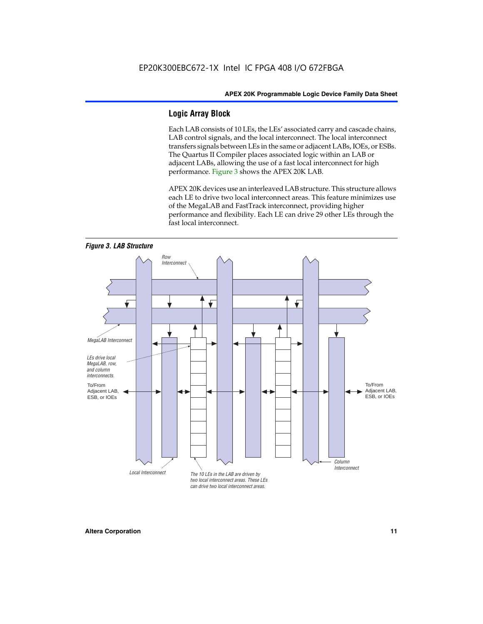## **Logic Array Block**

Each LAB consists of 10 LEs, the LEs' associated carry and cascade chains, LAB control signals, and the local interconnect. The local interconnect transfers signals between LEs in the same or adjacent LABs, IOEs, or ESBs. The Quartus II Compiler places associated logic within an LAB or adjacent LABs, allowing the use of a fast local interconnect for high performance. Figure 3 shows the APEX 20K LAB.

APEX 20K devices use an interleaved LAB structure. This structure allows each LE to drive two local interconnect areas. This feature minimizes use of the MegaLAB and FastTrack interconnect, providing higher performance and flexibility. Each LE can drive 29 other LEs through the fast local interconnect.

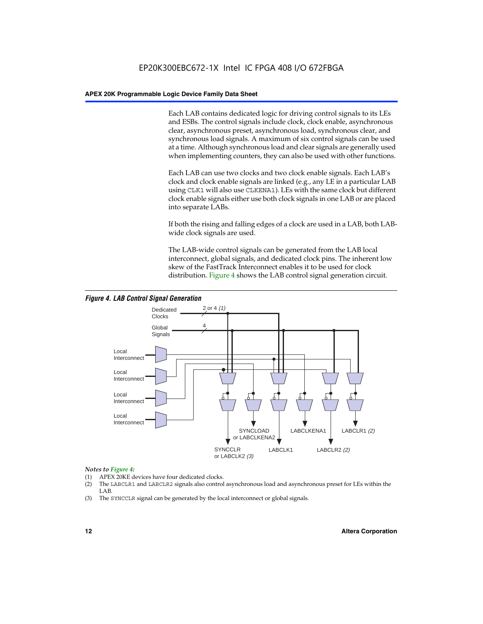Each LAB contains dedicated logic for driving control signals to its LEs and ESBs. The control signals include clock, clock enable, asynchronous clear, asynchronous preset, asynchronous load, synchronous clear, and synchronous load signals. A maximum of six control signals can be used at a time. Although synchronous load and clear signals are generally used when implementing counters, they can also be used with other functions.

Each LAB can use two clocks and two clock enable signals. Each LAB's clock and clock enable signals are linked (e.g., any LE in a particular LAB using CLK1 will also use CLKENA1). LEs with the same clock but different clock enable signals either use both clock signals in one LAB or are placed into separate LABs.

If both the rising and falling edges of a clock are used in a LAB, both LABwide clock signals are used.

The LAB-wide control signals can be generated from the LAB local interconnect, global signals, and dedicated clock pins. The inherent low skew of the FastTrack Interconnect enables it to be used for clock distribution. Figure 4 shows the LAB control signal generation circuit.



#### *Figure 4. LAB Control Signal Generation*

#### *Notes to Figure 4:*

- (1) APEX 20KE devices have four dedicated clocks.
- (2) The LABCLR1 and LABCLR2 signals also control asynchronous load and asynchronous preset for LEs within the LAB.
- (3) The SYNCCLR signal can be generated by the local interconnect or global signals.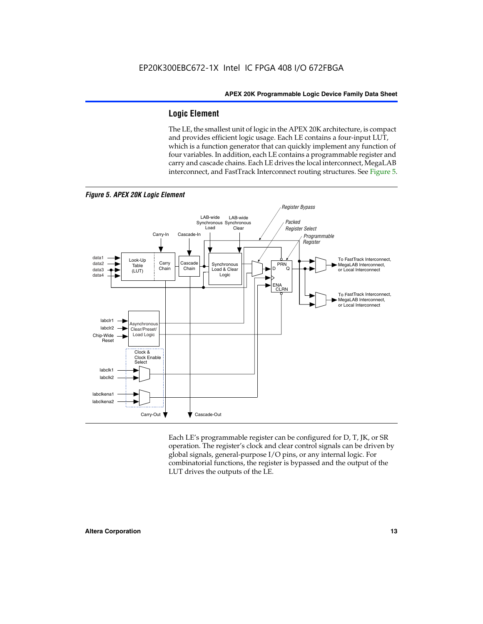## **Logic Element**

The LE, the smallest unit of logic in the APEX 20K architecture, is compact and provides efficient logic usage. Each LE contains a four-input LUT, which is a function generator that can quickly implement any function of four variables. In addition, each LE contains a programmable register and carry and cascade chains. Each LE drives the local interconnect, MegaLAB interconnect, and FastTrack Interconnect routing structures. See Figure 5.



Each LE's programmable register can be configured for D, T, JK, or SR operation. The register's clock and clear control signals can be driven by global signals, general-purpose I/O pins, or any internal logic. For combinatorial functions, the register is bypassed and the output of the LUT drives the outputs of the LE.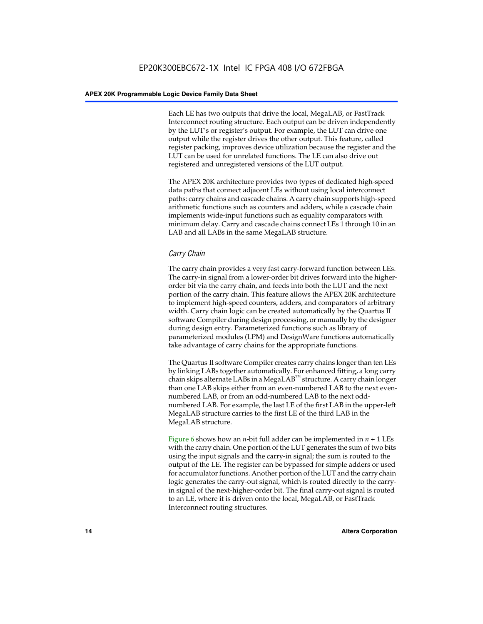Each LE has two outputs that drive the local, MegaLAB, or FastTrack Interconnect routing structure. Each output can be driven independently by the LUT's or register's output. For example, the LUT can drive one output while the register drives the other output. This feature, called register packing, improves device utilization because the register and the LUT can be used for unrelated functions. The LE can also drive out registered and unregistered versions of the LUT output.

The APEX 20K architecture provides two types of dedicated high-speed data paths that connect adjacent LEs without using local interconnect paths: carry chains and cascade chains. A carry chain supports high-speed arithmetic functions such as counters and adders, while a cascade chain implements wide-input functions such as equality comparators with minimum delay. Carry and cascade chains connect LEs 1 through 10 in an LAB and all LABs in the same MegaLAB structure.

## *Carry Chain*

The carry chain provides a very fast carry-forward function between LEs. The carry-in signal from a lower-order bit drives forward into the higherorder bit via the carry chain, and feeds into both the LUT and the next portion of the carry chain. This feature allows the APEX 20K architecture to implement high-speed counters, adders, and comparators of arbitrary width. Carry chain logic can be created automatically by the Quartus II software Compiler during design processing, or manually by the designer during design entry. Parameterized functions such as library of parameterized modules (LPM) and DesignWare functions automatically take advantage of carry chains for the appropriate functions.

The Quartus II software Compiler creates carry chains longer than ten LEs by linking LABs together automatically. For enhanced fitting, a long carry chain skips alternate LABs in a MegaLAB<sup>™</sup> structure. A carry chain longer than one LAB skips either from an even-numbered LAB to the next evennumbered LAB, or from an odd-numbered LAB to the next oddnumbered LAB. For example, the last LE of the first LAB in the upper-left MegaLAB structure carries to the first LE of the third LAB in the MegaLAB structure.

Figure 6 shows how an *n*-bit full adder can be implemented in *n* + 1 LEs with the carry chain. One portion of the LUT generates the sum of two bits using the input signals and the carry-in signal; the sum is routed to the output of the LE. The register can be bypassed for simple adders or used for accumulator functions. Another portion of the LUT and the carry chain logic generates the carry-out signal, which is routed directly to the carryin signal of the next-higher-order bit. The final carry-out signal is routed to an LE, where it is driven onto the local, MegaLAB, or FastTrack Interconnect routing structures.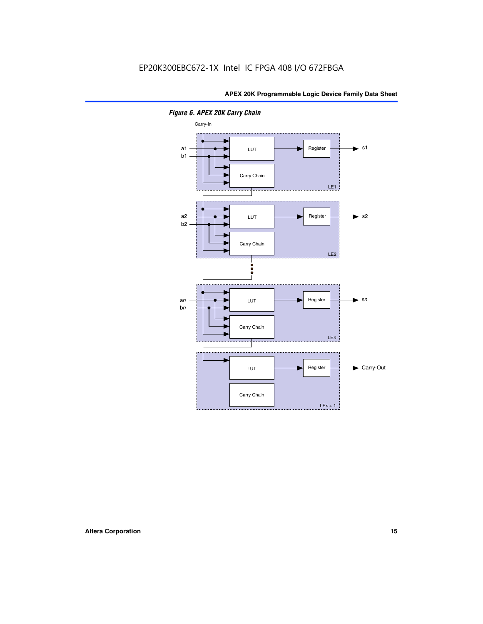

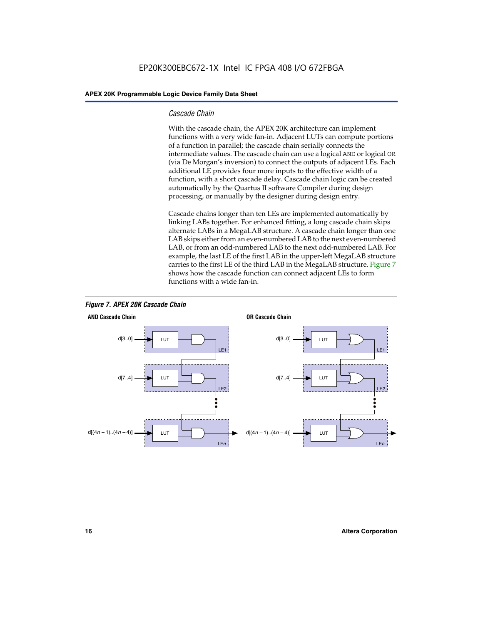#### *Cascade Chain*

With the cascade chain, the APEX 20K architecture can implement functions with a very wide fan-in. Adjacent LUTs can compute portions of a function in parallel; the cascade chain serially connects the intermediate values. The cascade chain can use a logical AND or logical OR (via De Morgan's inversion) to connect the outputs of adjacent LEs. Each additional LE provides four more inputs to the effective width of a function, with a short cascade delay. Cascade chain logic can be created automatically by the Quartus II software Compiler during design processing, or manually by the designer during design entry.

Cascade chains longer than ten LEs are implemented automatically by linking LABs together. For enhanced fitting, a long cascade chain skips alternate LABs in a MegaLAB structure. A cascade chain longer than one LAB skips either from an even-numbered LAB to the next even-numbered LAB, or from an odd-numbered LAB to the next odd-numbered LAB. For example, the last LE of the first LAB in the upper-left MegaLAB structure carries to the first LE of the third LAB in the MegaLAB structure. Figure 7 shows how the cascade function can connect adjacent LEs to form functions with a wide fan-in.



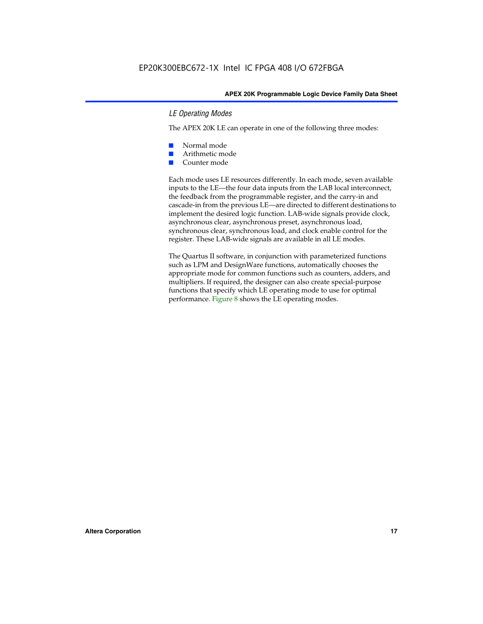#### *LE Operating Modes*

The APEX 20K LE can operate in one of the following three modes:

- Normal mode
- Arithmetic mode
- Counter mode

Each mode uses LE resources differently. In each mode, seven available inputs to the LE—the four data inputs from the LAB local interconnect, the feedback from the programmable register, and the carry-in and cascade-in from the previous LE—are directed to different destinations to implement the desired logic function. LAB-wide signals provide clock, asynchronous clear, asynchronous preset, asynchronous load, synchronous clear, synchronous load, and clock enable control for the register. These LAB-wide signals are available in all LE modes.

The Quartus II software, in conjunction with parameterized functions such as LPM and DesignWare functions, automatically chooses the appropriate mode for common functions such as counters, adders, and multipliers. If required, the designer can also create special-purpose functions that specify which LE operating mode to use for optimal performance. Figure 8 shows the LE operating modes.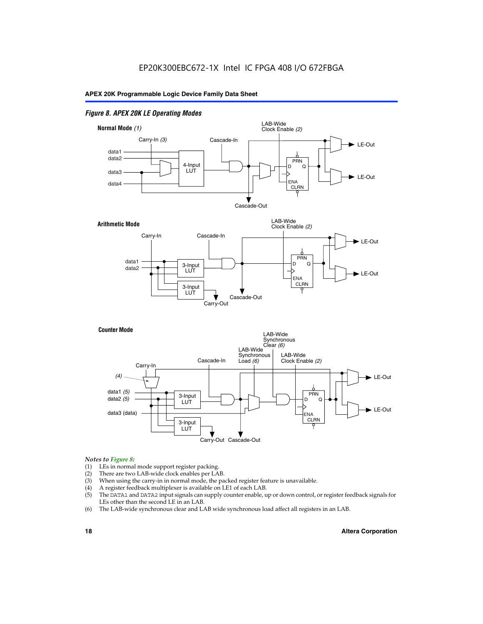#### *Figure 8. APEX 20K LE Operating Modes*



#### *Notes to Figure 8:*

- (1) LEs in normal mode support register packing.
- (2) There are two LAB-wide clock enables per LAB.
- (3) When using the carry-in in normal mode, the packed register feature is unavailable.
- (4) A register feedback multiplexer is available on LE1 of each LAB.
- (5) The DATA1 and DATA2 input signals can supply counter enable, up or down control, or register feedback signals for LEs other than the second LE in an LAB.
- (6) The LAB-wide synchronous clear and LAB wide synchronous load affect all registers in an LAB.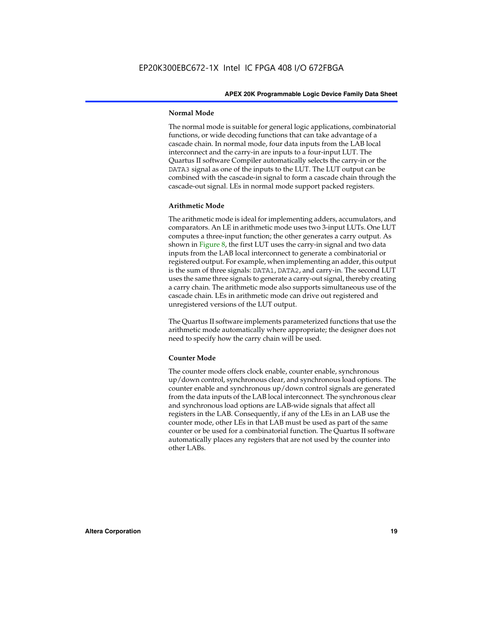#### **Normal Mode**

The normal mode is suitable for general logic applications, combinatorial functions, or wide decoding functions that can take advantage of a cascade chain. In normal mode, four data inputs from the LAB local interconnect and the carry-in are inputs to a four-input LUT. The Quartus II software Compiler automatically selects the carry-in or the DATA3 signal as one of the inputs to the LUT. The LUT output can be combined with the cascade-in signal to form a cascade chain through the cascade-out signal. LEs in normal mode support packed registers.

#### **Arithmetic Mode**

The arithmetic mode is ideal for implementing adders, accumulators, and comparators. An LE in arithmetic mode uses two 3-input LUTs. One LUT computes a three-input function; the other generates a carry output. As shown in Figure 8, the first LUT uses the carry-in signal and two data inputs from the LAB local interconnect to generate a combinatorial or registered output. For example, when implementing an adder, this output is the sum of three signals: DATA1, DATA2, and carry-in. The second LUT uses the same three signals to generate a carry-out signal, thereby creating a carry chain. The arithmetic mode also supports simultaneous use of the cascade chain. LEs in arithmetic mode can drive out registered and unregistered versions of the LUT output.

The Quartus II software implements parameterized functions that use the arithmetic mode automatically where appropriate; the designer does not need to specify how the carry chain will be used.

#### **Counter Mode**

The counter mode offers clock enable, counter enable, synchronous up/down control, synchronous clear, and synchronous load options. The counter enable and synchronous up/down control signals are generated from the data inputs of the LAB local interconnect. The synchronous clear and synchronous load options are LAB-wide signals that affect all registers in the LAB. Consequently, if any of the LEs in an LAB use the counter mode, other LEs in that LAB must be used as part of the same counter or be used for a combinatorial function. The Quartus II software automatically places any registers that are not used by the counter into other LABs.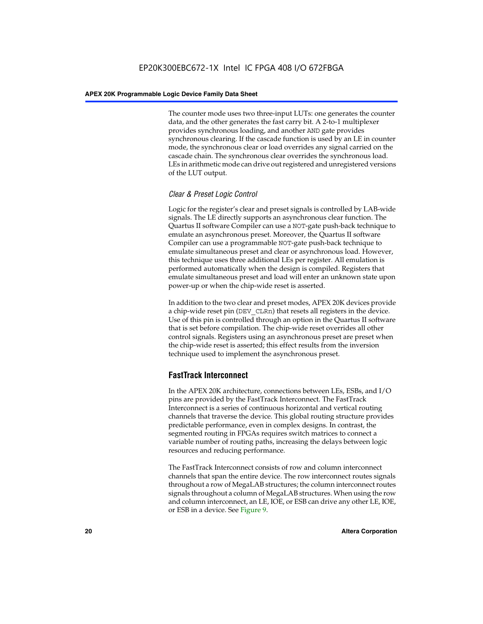The counter mode uses two three-input LUTs: one generates the counter data, and the other generates the fast carry bit. A 2-to-1 multiplexer provides synchronous loading, and another AND gate provides synchronous clearing. If the cascade function is used by an LE in counter mode, the synchronous clear or load overrides any signal carried on the cascade chain. The synchronous clear overrides the synchronous load. LEs in arithmetic mode can drive out registered and unregistered versions of the LUT output.

## *Clear & Preset Logic Control*

Logic for the register's clear and preset signals is controlled by LAB-wide signals. The LE directly supports an asynchronous clear function. The Quartus II software Compiler can use a NOT-gate push-back technique to emulate an asynchronous preset. Moreover, the Quartus II software Compiler can use a programmable NOT-gate push-back technique to emulate simultaneous preset and clear or asynchronous load. However, this technique uses three additional LEs per register. All emulation is performed automatically when the design is compiled. Registers that emulate simultaneous preset and load will enter an unknown state upon power-up or when the chip-wide reset is asserted.

In addition to the two clear and preset modes, APEX 20K devices provide a chip-wide reset pin (DEV\_CLRn) that resets all registers in the device. Use of this pin is controlled through an option in the Quartus II software that is set before compilation. The chip-wide reset overrides all other control signals. Registers using an asynchronous preset are preset when the chip-wide reset is asserted; this effect results from the inversion technique used to implement the asynchronous preset.

## **FastTrack Interconnect**

In the APEX 20K architecture, connections between LEs, ESBs, and I/O pins are provided by the FastTrack Interconnect. The FastTrack Interconnect is a series of continuous horizontal and vertical routing channels that traverse the device. This global routing structure provides predictable performance, even in complex designs. In contrast, the segmented routing in FPGAs requires switch matrices to connect a variable number of routing paths, increasing the delays between logic resources and reducing performance.

The FastTrack Interconnect consists of row and column interconnect channels that span the entire device. The row interconnect routes signals throughout a row of MegaLAB structures; the column interconnect routes signals throughout a column of MegaLAB structures. When using the row and column interconnect, an LE, IOE, or ESB can drive any other LE, IOE, or ESB in a device. See Figure 9.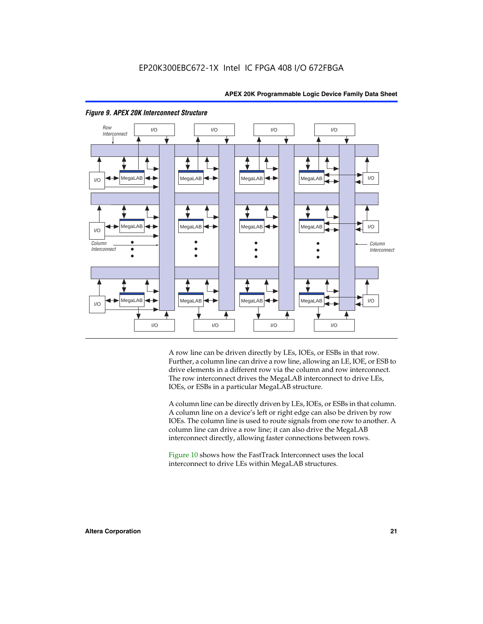



#### *Figure 9. APEX 20K Interconnect Structure*

A row line can be driven directly by LEs, IOEs, or ESBs in that row. Further, a column line can drive a row line, allowing an LE, IOE, or ESB to drive elements in a different row via the column and row interconnect. The row interconnect drives the MegaLAB interconnect to drive LEs, IOEs, or ESBs in a particular MegaLAB structure.

A column line can be directly driven by LEs, IOEs, or ESBs in that column. A column line on a device's left or right edge can also be driven by row IOEs. The column line is used to route signals from one row to another. A column line can drive a row line; it can also drive the MegaLAB interconnect directly, allowing faster connections between rows.

Figure 10 shows how the FastTrack Interconnect uses the local interconnect to drive LEs within MegaLAB structures.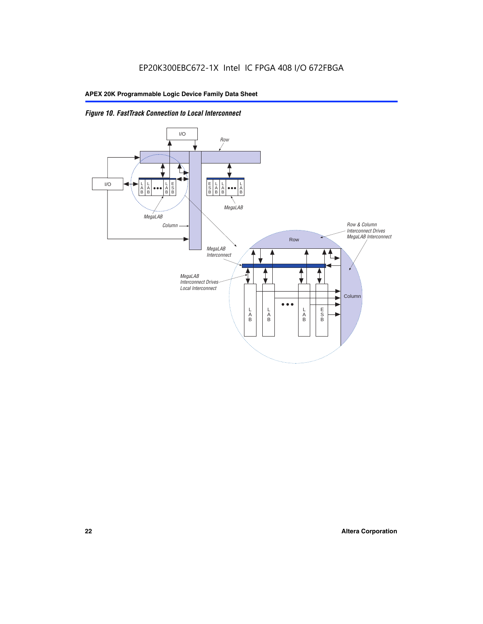

*Figure 10. FastTrack Connection to Local Interconnect*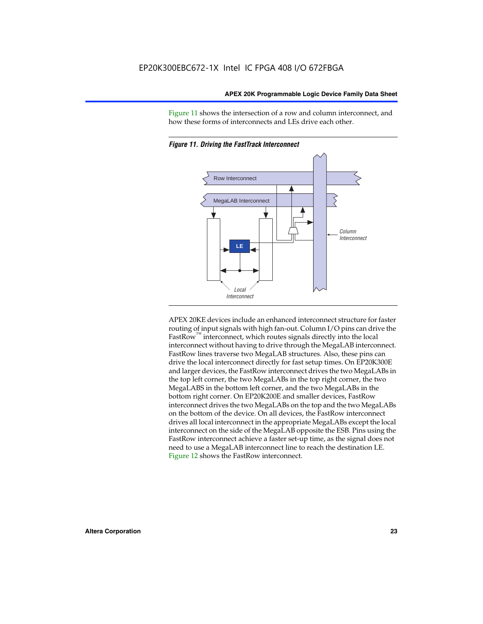Figure 11 shows the intersection of a row and column interconnect, and how these forms of interconnects and LEs drive each other.





APEX 20KE devices include an enhanced interconnect structure for faster routing of input signals with high fan-out. Column I/O pins can drive the FastRow<sup>™</sup> interconnect, which routes signals directly into the local interconnect without having to drive through the MegaLAB interconnect. FastRow lines traverse two MegaLAB structures. Also, these pins can drive the local interconnect directly for fast setup times. On EP20K300E and larger devices, the FastRow interconnect drives the two MegaLABs in the top left corner, the two MegaLABs in the top right corner, the two MegaLABS in the bottom left corner, and the two MegaLABs in the bottom right corner. On EP20K200E and smaller devices, FastRow interconnect drives the two MegaLABs on the top and the two MegaLABs on the bottom of the device. On all devices, the FastRow interconnect drives all local interconnect in the appropriate MegaLABs except the local interconnect on the side of the MegaLAB opposite the ESB. Pins using the FastRow interconnect achieve a faster set-up time, as the signal does not need to use a MegaLAB interconnect line to reach the destination LE. Figure 12 shows the FastRow interconnect.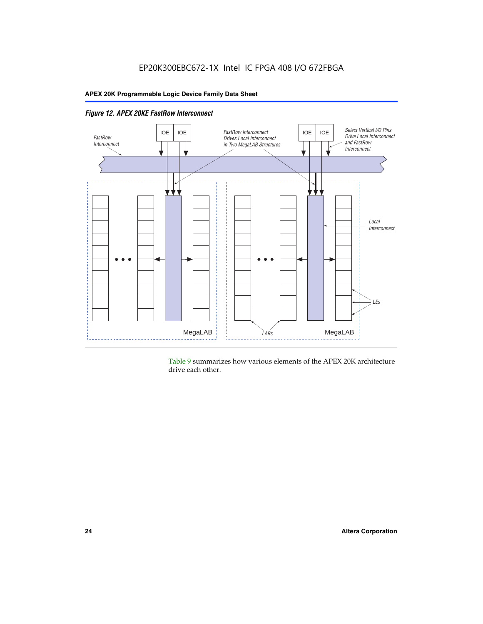

Table 9 summarizes how various elements of the APEX 20K architecture drive each other.

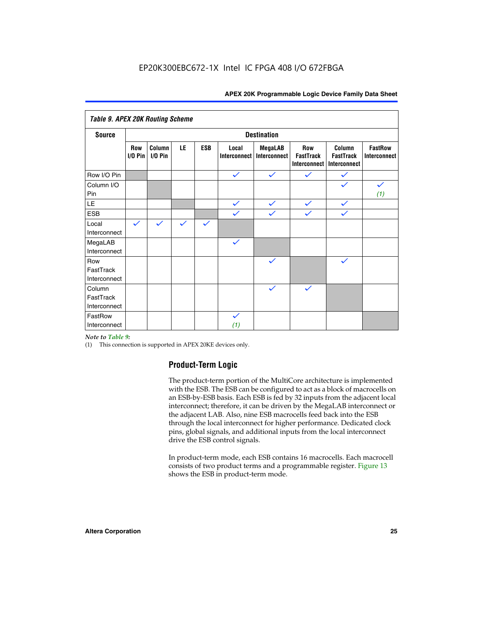| <b>Table 9. APEX 20K Routing Scheme</b> |                          |                      |              |              |                              |                                |                                                |                                                   |                                |
|-----------------------------------------|--------------------------|----------------------|--------------|--------------|------------------------------|--------------------------------|------------------------------------------------|---------------------------------------------------|--------------------------------|
| <b>Source</b>                           |                          |                      |              |              |                              | <b>Destination</b>             |                                                |                                                   |                                |
|                                         | <b>Row</b><br>$I/O P$ in | Column<br>$I/O P$ in | LE           | <b>ESB</b>   | Local<br><b>Interconnect</b> | <b>MegaLAB</b><br>Interconnect | <b>Row</b><br><b>FastTrack</b><br>Interconnect | Column<br><b>FastTrack</b><br><b>Interconnect</b> | <b>FastRow</b><br>Interconnect |
| Row I/O Pin                             |                          |                      |              |              | $\checkmark$                 | $\checkmark$                   | $\checkmark$                                   | $\checkmark$                                      |                                |
| Column I/O<br>Pin                       |                          |                      |              |              |                              |                                |                                                | $\checkmark$                                      | $\checkmark$<br>(1)            |
| LE                                      |                          |                      |              |              | $\checkmark$                 | $\checkmark$                   | $\checkmark$                                   | $\checkmark$                                      |                                |
| <b>ESB</b>                              |                          |                      |              |              | $\checkmark$                 | $\checkmark$                   | $\checkmark$                                   | $\checkmark$                                      |                                |
| Local<br>Interconnect                   | $\checkmark$             | $\checkmark$         | $\checkmark$ | $\checkmark$ |                              |                                |                                                |                                                   |                                |
| MegaLAB<br>Interconnect                 |                          |                      |              |              | $\checkmark$                 |                                |                                                |                                                   |                                |
| Row<br>FastTrack<br>Interconnect        |                          |                      |              |              |                              | $\checkmark$                   |                                                | $\checkmark$                                      |                                |
| Column<br>FastTrack<br>Interconnect     |                          |                      |              |              |                              | $\checkmark$                   | $\checkmark$                                   |                                                   |                                |
| FastRow<br>Interconnect                 |                          |                      |              |              | $\checkmark$<br>(1)          |                                |                                                |                                                   |                                |

#### *Note to Table 9:*

(1) This connection is supported in APEX 20KE devices only.

## **Product-Term Logic**

The product-term portion of the MultiCore architecture is implemented with the ESB. The ESB can be configured to act as a block of macrocells on an ESB-by-ESB basis. Each ESB is fed by 32 inputs from the adjacent local interconnect; therefore, it can be driven by the MegaLAB interconnect or the adjacent LAB. Also, nine ESB macrocells feed back into the ESB through the local interconnect for higher performance. Dedicated clock pins, global signals, and additional inputs from the local interconnect drive the ESB control signals.

In product-term mode, each ESB contains 16 macrocells. Each macrocell consists of two product terms and a programmable register. Figure 13 shows the ESB in product-term mode.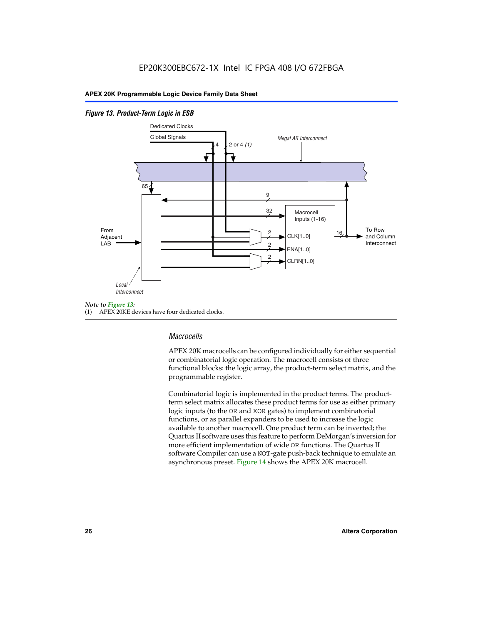#### *Figure 13. Product-Term Logic in ESB*



(1) APEX 20KE devices have four dedicated clocks.

## *Macrocells*

APEX 20K macrocells can be configured individually for either sequential or combinatorial logic operation. The macrocell consists of three functional blocks: the logic array, the product-term select matrix, and the programmable register.

Combinatorial logic is implemented in the product terms. The productterm select matrix allocates these product terms for use as either primary logic inputs (to the OR and XOR gates) to implement combinatorial functions, or as parallel expanders to be used to increase the logic available to another macrocell. One product term can be inverted; the Quartus II software uses this feature to perform DeMorgan's inversion for more efficient implementation of wide OR functions. The Quartus II software Compiler can use a NOT-gate push-back technique to emulate an asynchronous preset. Figure 14 shows the APEX 20K macrocell.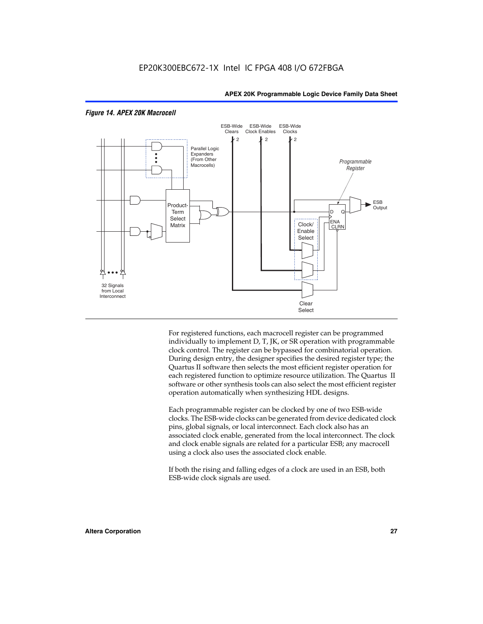

#### *Figure 14. APEX 20K Macrocell*

For registered functions, each macrocell register can be programmed individually to implement D, T, JK, or SR operation with programmable clock control. The register can be bypassed for combinatorial operation. During design entry, the designer specifies the desired register type; the Quartus II software then selects the most efficient register operation for each registered function to optimize resource utilization. The Quartus II software or other synthesis tools can also select the most efficient register operation automatically when synthesizing HDL designs.

Each programmable register can be clocked by one of two ESB-wide clocks. The ESB-wide clocks can be generated from device dedicated clock pins, global signals, or local interconnect. Each clock also has an associated clock enable, generated from the local interconnect. The clock and clock enable signals are related for a particular ESB; any macrocell using a clock also uses the associated clock enable.

If both the rising and falling edges of a clock are used in an ESB, both ESB-wide clock signals are used.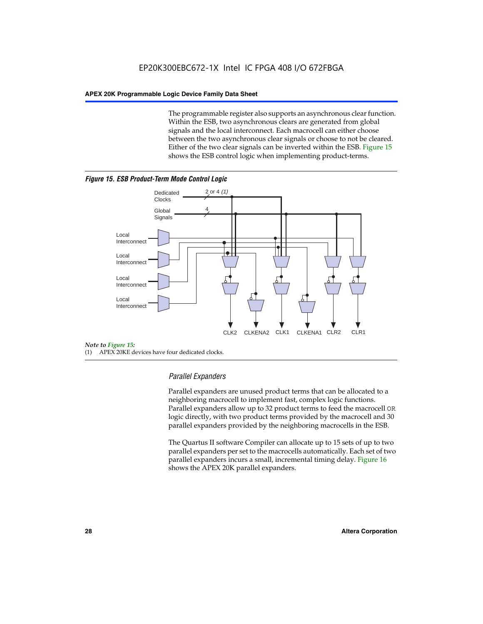The programmable register also supports an asynchronous clear function. Within the ESB, two asynchronous clears are generated from global signals and the local interconnect. Each macrocell can either choose between the two asynchronous clear signals or choose to not be cleared. Either of the two clear signals can be inverted within the ESB. Figure 15 shows the ESB control logic when implementing product-terms.





(1) APEX 20KE devices have four dedicated clocks.

## *Parallel Expanders*

Parallel expanders are unused product terms that can be allocated to a neighboring macrocell to implement fast, complex logic functions. Parallel expanders allow up to 32 product terms to feed the macrocell OR logic directly, with two product terms provided by the macrocell and 30 parallel expanders provided by the neighboring macrocells in the ESB.

The Quartus II software Compiler can allocate up to 15 sets of up to two parallel expanders per set to the macrocells automatically. Each set of two parallel expanders incurs a small, incremental timing delay. Figure 16 shows the APEX 20K parallel expanders.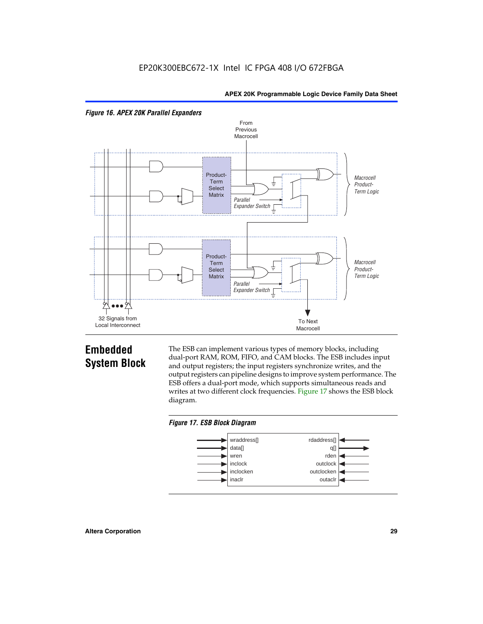



## **Embedded System Block**

The ESB can implement various types of memory blocks, including dual-port RAM, ROM, FIFO, and CAM blocks. The ESB includes input and output registers; the input registers synchronize writes, and the output registers can pipeline designs to improve system performance. The ESB offers a dual-port mode, which supports simultaneous reads and writes at two different clock frequencies. Figure 17 shows the ESB block diagram.



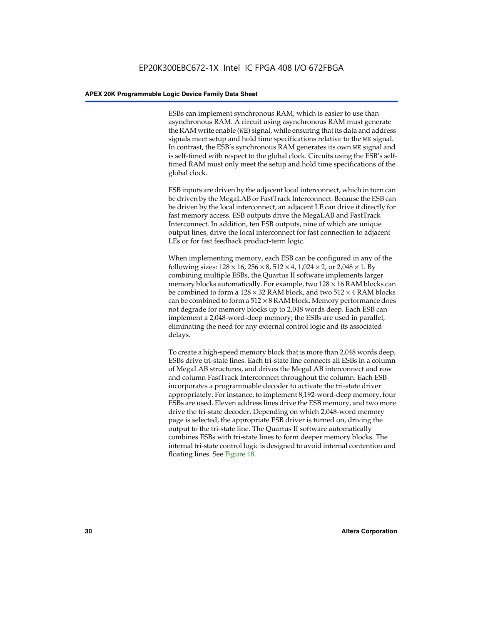ESBs can implement synchronous RAM, which is easier to use than asynchronous RAM. A circuit using asynchronous RAM must generate the RAM write enable (WE) signal, while ensuring that its data and address signals meet setup and hold time specifications relative to the WE signal. In contrast, the ESB's synchronous RAM generates its own WE signal and is self-timed with respect to the global clock. Circuits using the ESB's selftimed RAM must only meet the setup and hold time specifications of the global clock.

ESB inputs are driven by the adjacent local interconnect, which in turn can be driven by the MegaLAB or FastTrack Interconnect. Because the ESB can be driven by the local interconnect, an adjacent LE can drive it directly for fast memory access. ESB outputs drive the MegaLAB and FastTrack Interconnect. In addition, ten ESB outputs, nine of which are unique output lines, drive the local interconnect for fast connection to adjacent LEs or for fast feedback product-term logic.

When implementing memory, each ESB can be configured in any of the following sizes:  $128 \times 16$ ,  $256 \times 8$ ,  $512 \times 4$ ,  $1,024 \times 2$ , or  $2,048 \times 1$ . By combining multiple ESBs, the Quartus II software implements larger memory blocks automatically. For example, two  $128 \times 16$  RAM blocks can be combined to form a  $128 \times 32$  RAM block, and two  $512 \times 4$  RAM blocks can be combined to form a  $512 \times 8$  RAM block. Memory performance does not degrade for memory blocks up to 2,048 words deep. Each ESB can implement a 2,048-word-deep memory; the ESBs are used in parallel, eliminating the need for any external control logic and its associated delays.

To create a high-speed memory block that is more than 2,048 words deep, ESBs drive tri-state lines. Each tri-state line connects all ESBs in a column of MegaLAB structures, and drives the MegaLAB interconnect and row and column FastTrack Interconnect throughout the column. Each ESB incorporates a programmable decoder to activate the tri-state driver appropriately. For instance, to implement 8,192-word-deep memory, four ESBs are used. Eleven address lines drive the ESB memory, and two more drive the tri-state decoder. Depending on which 2,048-word memory page is selected, the appropriate ESB driver is turned on, driving the output to the tri-state line. The Quartus II software automatically combines ESBs with tri-state lines to form deeper memory blocks. The internal tri-state control logic is designed to avoid internal contention and floating lines. See Figure 18.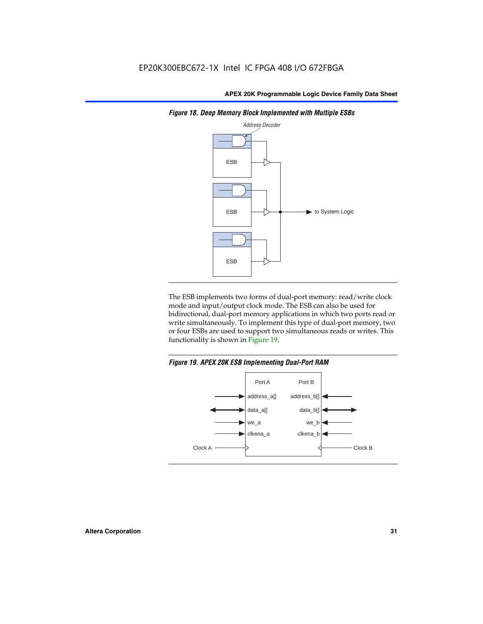

*Figure 18. Deep Memory Block Implemented with Multiple ESBs*

The ESB implements two forms of dual-port memory: read/write clock mode and input/output clock mode. The ESB can also be used for bidirectional, dual-port memory applications in which two ports read or write simultaneously. To implement this type of dual-port memory, two or four ESBs are used to support two simultaneous reads or writes. This functionality is shown in Figure 19.

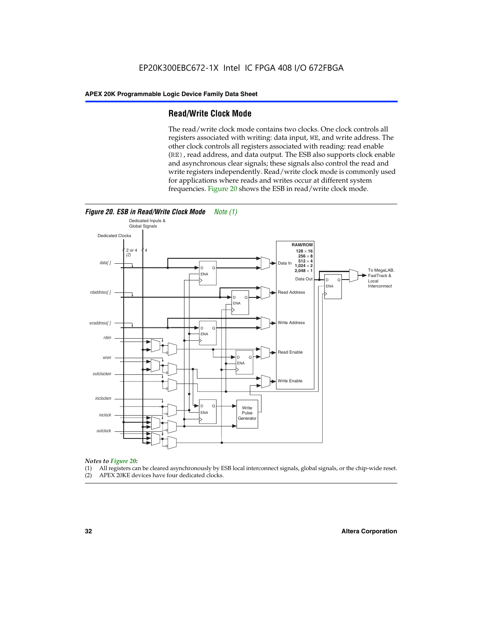## **Read/Write Clock Mode**

The read/write clock mode contains two clocks. One clock controls all registers associated with writing: data input, WE, and write address. The other clock controls all registers associated with reading: read enable (RE), read address, and data output. The ESB also supports clock enable and asynchronous clear signals; these signals also control the read and write registers independently. Read/write clock mode is commonly used for applications where reads and writes occur at different system frequencies. Figure 20 shows the ESB in read/write clock mode.



## *Notes to Figure 20:*

- (1) All registers can be cleared asynchronously by ESB local interconnect signals, global signals, or the chip-wide reset.
- (2) APEX 20KE devices have four dedicated clocks.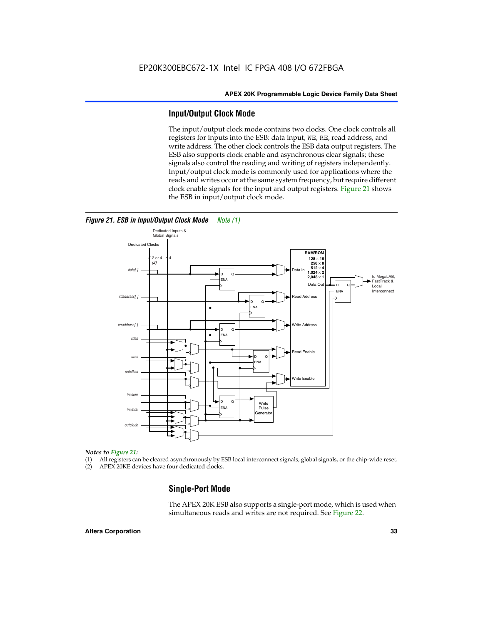## **Input/Output Clock Mode**

The input/output clock mode contains two clocks. One clock controls all registers for inputs into the ESB: data input, WE, RE, read address, and write address. The other clock controls the ESB data output registers. The ESB also supports clock enable and asynchronous clear signals; these signals also control the reading and writing of registers independently. Input/output clock mode is commonly used for applications where the reads and writes occur at the same system frequency, but require different clock enable signals for the input and output registers. Figure 21 shows the ESB in input/output clock mode.



#### *Figure 21. ESB in Input/Output Clock Mode Note (1)*

#### *Notes to Figure 21:*

(1) All registers can be cleared asynchronously by ESB local interconnect signals, global signals, or the chip-wide reset.

(2) APEX 20KE devices have four dedicated clocks.

## **Single-Port Mode**

The APEX 20K ESB also supports a single-port mode, which is used when simultaneous reads and writes are not required. See Figure 22.

#### **Altera Corporation 33**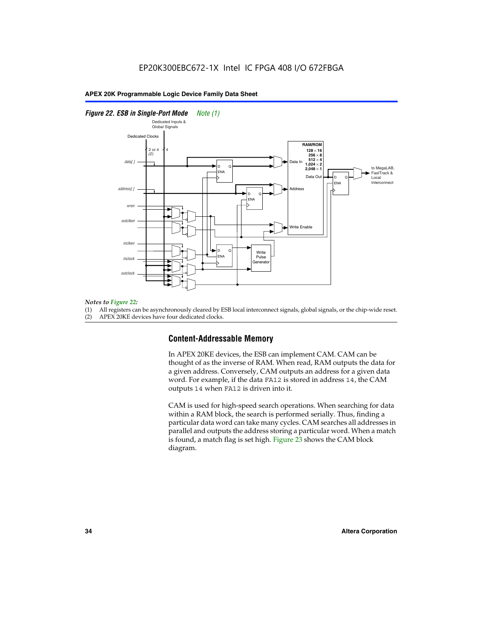#### *Figure 22. ESB in Single-Port Mode Note (1)*



#### *Notes to Figure 22:*

(1) All registers can be asynchronously cleared by ESB local interconnect signals, global signals, or the chip-wide reset.

(2) APEX 20KE devices have four dedicated clocks.

## **Content-Addressable Memory**

In APEX 20KE devices, the ESB can implement CAM. CAM can be thought of as the inverse of RAM. When read, RAM outputs the data for a given address. Conversely, CAM outputs an address for a given data word. For example, if the data FA12 is stored in address 14, the CAM outputs 14 when FA12 is driven into it.

CAM is used for high-speed search operations. When searching for data within a RAM block, the search is performed serially. Thus, finding a particular data word can take many cycles. CAM searches all addresses in parallel and outputs the address storing a particular word. When a match is found, a match flag is set high. Figure 23 shows the CAM block diagram.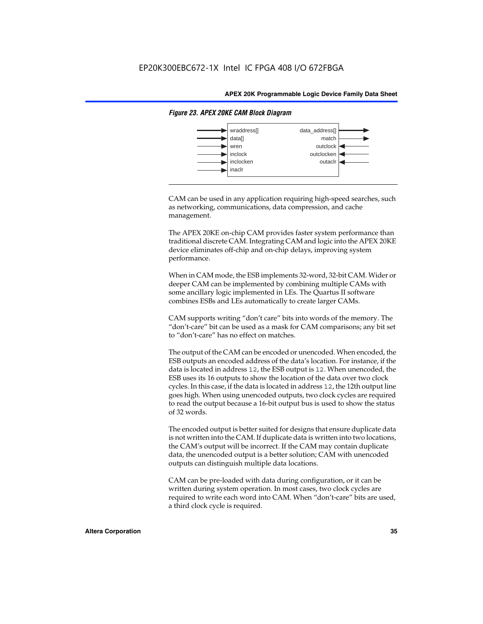

#### *Figure 23. APEX 20KE CAM Block Diagram*

CAM can be used in any application requiring high-speed searches, such as networking, communications, data compression, and cache management.

The APEX 20KE on-chip CAM provides faster system performance than traditional discrete CAM. Integrating CAM and logic into the APEX 20KE device eliminates off-chip and on-chip delays, improving system performance.

When in CAM mode, the ESB implements 32-word, 32-bit CAM. Wider or deeper CAM can be implemented by combining multiple CAMs with some ancillary logic implemented in LEs. The Quartus II software combines ESBs and LEs automatically to create larger CAMs.

CAM supports writing "don't care" bits into words of the memory. The "don't-care" bit can be used as a mask for CAM comparisons; any bit set to "don't-care" has no effect on matches.

The output of the CAM can be encoded or unencoded. When encoded, the ESB outputs an encoded address of the data's location. For instance, if the data is located in address 12, the ESB output is 12. When unencoded, the ESB uses its 16 outputs to show the location of the data over two clock cycles. In this case, if the data is located in address 12, the 12th output line goes high. When using unencoded outputs, two clock cycles are required to read the output because a 16-bit output bus is used to show the status of 32 words.

The encoded output is better suited for designs that ensure duplicate data is not written into the CAM. If duplicate data is written into two locations, the CAM's output will be incorrect. If the CAM may contain duplicate data, the unencoded output is a better solution; CAM with unencoded outputs can distinguish multiple data locations.

CAM can be pre-loaded with data during configuration, or it can be written during system operation. In most cases, two clock cycles are required to write each word into CAM. When "don't-care" bits are used, a third clock cycle is required.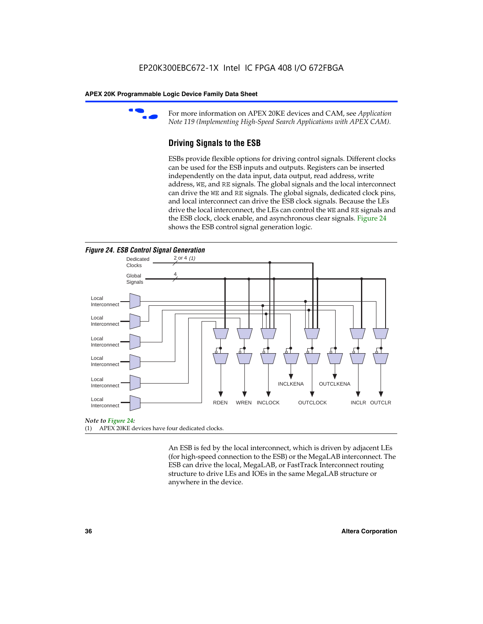

For more information on APEX 20KE devices and CAM, see *Application Note 119 (Implementing High-Speed Search Applications with APEX CAM).*

# **Driving Signals to the ESB**

ESBs provide flexible options for driving control signals. Different clocks can be used for the ESB inputs and outputs. Registers can be inserted independently on the data input, data output, read address, write address, WE, and RE signals. The global signals and the local interconnect can drive the WE and RE signals. The global signals, dedicated clock pins, and local interconnect can drive the ESB clock signals. Because the LEs drive the local interconnect, the LEs can control the WE and RE signals and the ESB clock, clock enable, and asynchronous clear signals. Figure 24 shows the ESB control signal generation logic.





#### *Note to Figure 24:*

(1) APEX 20KE devices have four dedicated clocks.

An ESB is fed by the local interconnect, which is driven by adjacent LEs (for high-speed connection to the ESB) or the MegaLAB interconnect. The ESB can drive the local, MegaLAB, or FastTrack Interconnect routing structure to drive LEs and IOEs in the same MegaLAB structure or anywhere in the device.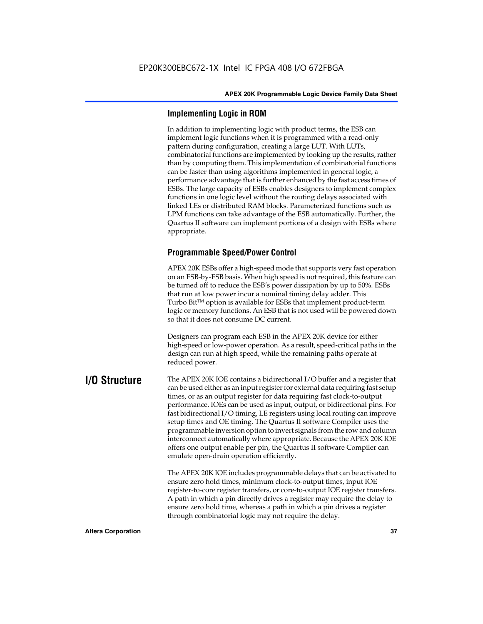# **Implementing Logic in ROM**

In addition to implementing logic with product terms, the ESB can implement logic functions when it is programmed with a read-only pattern during configuration, creating a large LUT. With LUTs, combinatorial functions are implemented by looking up the results, rather than by computing them. This implementation of combinatorial functions can be faster than using algorithms implemented in general logic, a performance advantage that is further enhanced by the fast access times of ESBs. The large capacity of ESBs enables designers to implement complex functions in one logic level without the routing delays associated with linked LEs or distributed RAM blocks. Parameterized functions such as LPM functions can take advantage of the ESB automatically. Further, the Quartus II software can implement portions of a design with ESBs where appropriate.

# **Programmable Speed/Power Control**

APEX 20K ESBs offer a high-speed mode that supports very fast operation on an ESB-by-ESB basis. When high speed is not required, this feature can be turned off to reduce the ESB's power dissipation by up to 50%. ESBs that run at low power incur a nominal timing delay adder. This Turbo  $Bit^{TM}$  option is available for ESBs that implement product-term logic or memory functions. An ESB that is not used will be powered down so that it does not consume DC current.

Designers can program each ESB in the APEX 20K device for either high-speed or low-power operation. As a result, speed-critical paths in the design can run at high speed, while the remaining paths operate at reduced power.

**I/O Structure** The APEX 20K IOE contains a bidirectional I/O buffer and a register that can be used either as an input register for external data requiring fast setup times, or as an output register for data requiring fast clock-to-output performance. IOEs can be used as input, output, or bidirectional pins. For fast bidirectional I/O timing, LE registers using local routing can improve setup times and OE timing. The Quartus II software Compiler uses the programmable inversion option to invert signals from the row and column interconnect automatically where appropriate. Because the APEX 20K IOE offers one output enable per pin, the Quartus II software Compiler can emulate open-drain operation efficiently.

> The APEX 20K IOE includes programmable delays that can be activated to ensure zero hold times, minimum clock-to-output times, input IOE register-to-core register transfers, or core-to-output IOE register transfers. A path in which a pin directly drives a register may require the delay to ensure zero hold time, whereas a path in which a pin drives a register through combinatorial logic may not require the delay.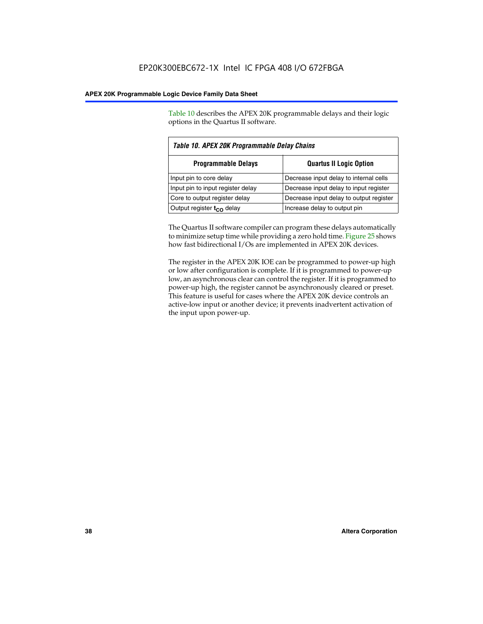Table 10 describes the APEX 20K programmable delays and their logic options in the Quartus II software.

| Table 10. APEX 20K Programmable Delay Chains |                                         |  |  |
|----------------------------------------------|-----------------------------------------|--|--|
| <b>Programmable Delays</b>                   | <b>Quartus II Logic Option</b>          |  |  |
| Input pin to core delay                      | Decrease input delay to internal cells  |  |  |
| Input pin to input register delay            | Decrease input delay to input register  |  |  |
| Core to output register delay                | Decrease input delay to output register |  |  |
| Output register $t_{\rm CO}$ delay           | Increase delay to output pin            |  |  |

The Quartus II software compiler can program these delays automatically to minimize setup time while providing a zero hold time. Figure 25 shows how fast bidirectional I/Os are implemented in APEX 20K devices.

The register in the APEX 20K IOE can be programmed to power-up high or low after configuration is complete. If it is programmed to power-up low, an asynchronous clear can control the register. If it is programmed to power-up high, the register cannot be asynchronously cleared or preset. This feature is useful for cases where the APEX 20K device controls an active-low input or another device; it prevents inadvertent activation of the input upon power-up.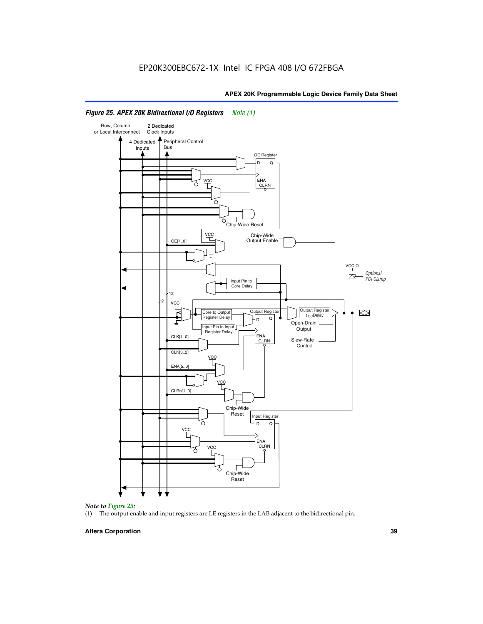

# *Figure 25. APEX 20K Bidirectional I/O Registers Note (1)*



#### **Altera Corporation 39**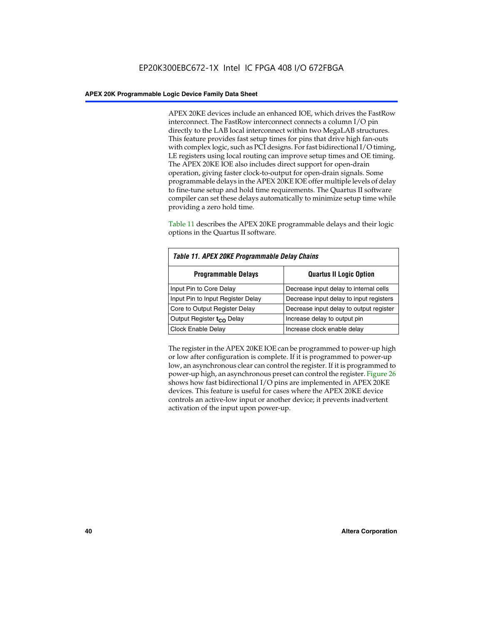APEX 20KE devices include an enhanced IOE, which drives the FastRow interconnect. The FastRow interconnect connects a column I/O pin directly to the LAB local interconnect within two MegaLAB structures. This feature provides fast setup times for pins that drive high fan-outs with complex logic, such as PCI designs. For fast bidirectional I/O timing, LE registers using local routing can improve setup times and OE timing. The APEX 20KE IOE also includes direct support for open-drain operation, giving faster clock-to-output for open-drain signals. Some programmable delays in the APEX 20KE IOE offer multiple levels of delay to fine-tune setup and hold time requirements. The Quartus II software compiler can set these delays automatically to minimize setup time while providing a zero hold time.

Table 11 describes the APEX 20KE programmable delays and their logic options in the Quartus II software.

| Table 11. APEX 20KE Programmable Delay Chains |                                         |  |  |  |
|-----------------------------------------------|-----------------------------------------|--|--|--|
| <b>Programmable Delays</b>                    | <b>Quartus II Logic Option</b>          |  |  |  |
| Input Pin to Core Delay                       | Decrease input delay to internal cells  |  |  |  |
| Input Pin to Input Register Delay             | Decrease input delay to input registers |  |  |  |
| Core to Output Register Delay                 | Decrease input delay to output register |  |  |  |
| Output Register t <sub>CO</sub> Delay         | Increase delay to output pin            |  |  |  |
| <b>Clock Enable Delay</b>                     | Increase clock enable delay             |  |  |  |

The register in the APEX 20KE IOE can be programmed to power-up high or low after configuration is complete. If it is programmed to power-up low, an asynchronous clear can control the register. If it is programmed to power-up high, an asynchronous preset can control the register. Figure 26 shows how fast bidirectional I/O pins are implemented in APEX 20KE devices. This feature is useful for cases where the APEX 20KE device controls an active-low input or another device; it prevents inadvertent activation of the input upon power-up.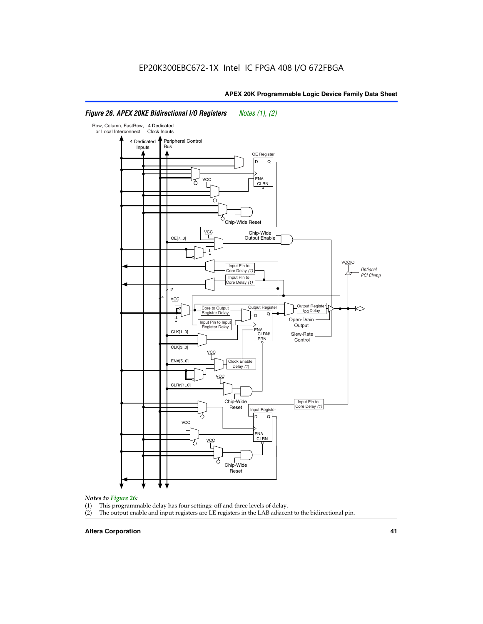#### Row, Column, FastRow, 4 Dedicated or Local Interconnect Clock Inputs Peripheral Control 4 Dedicated **Bus** Inputs OE Register D Q ENA VCC CLRN 7 Chip-Wide Reset vcc Chip-Wide Output Enable OE[7..0] VC Input Pin to **Optional** Core Delay (1) PCI Clamp Input Pin to Core Delay (1) 12 4 **VCC** Output Register **Output Registe**  $\approx$ Core to Output | Output Hegister | Durbut Tropieding | Contput Tropieding | Durbut Tropieding | Output Tropied<br>Register Delay | Durbut Tropieding | Contput Tropieding | Contput Tropieding | O t<sub>CO</sub>Delay  $D$  Q ŧ Open-Drain Input Pin to Input **Output** Register Delay ENA CLK[1..0] CLRN/ Slew-Rate PR<sub>N</sub> Control CLK[3..0] VCC ENA[5..0] Clock Enable Delay (1) VCC CLRn[1..0] Chip-Wide Input Pin to Core Delay (1) Reset Input Register D Q VCC .<br>ENA CLRN **VCC** Chip-Wide Reset

# *Figure 26. APEX 20KE Bidirectional I/O Registers Notes (1), (2)*

#### *Notes to Figure 26:*

- (1) This programmable delay has four settings: off and three levels of delay.<br>(2) The output enable and input registers are LE registers in the LAB adjacer
- The output enable and input registers are LE registers in the LAB adjacent to the bidirectional pin.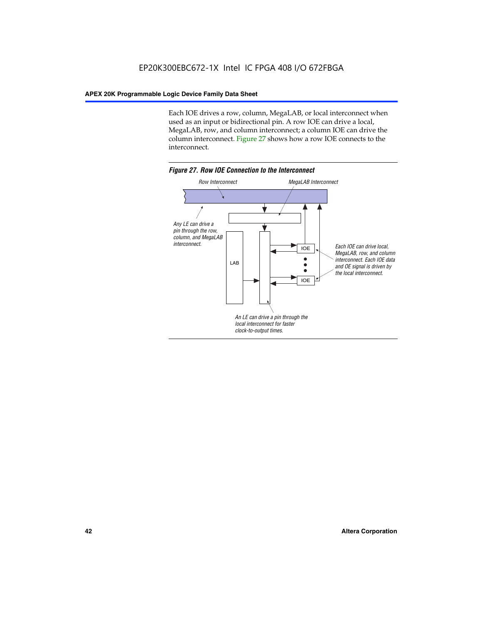Each IOE drives a row, column, MegaLAB, or local interconnect when used as an input or bidirectional pin. A row IOE can drive a local, MegaLAB, row, and column interconnect; a column IOE can drive the column interconnect. Figure 27 shows how a row IOE connects to the interconnect.

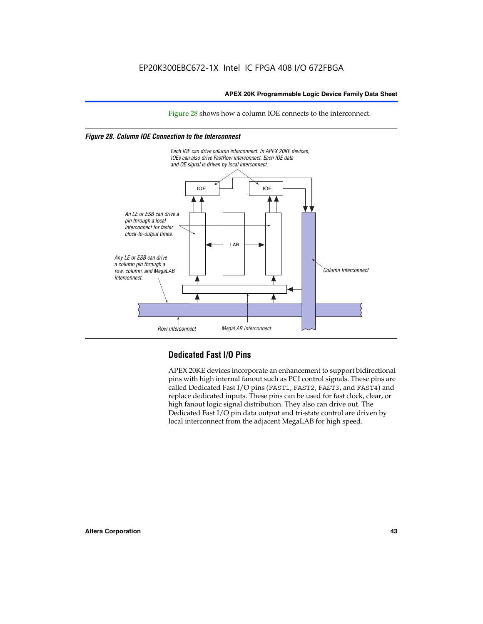Figure 28 shows how a column IOE connects to the interconnect.

# *Figure 28. Column IOE Connection to the Interconnect*



# **Dedicated Fast I/O Pins**

APEX 20KE devices incorporate an enhancement to support bidirectional pins with high internal fanout such as PCI control signals. These pins are called Dedicated Fast I/O pins (FAST1, FAST2, FAST3, and FAST4) and replace dedicated inputs. These pins can be used for fast clock, clear, or high fanout logic signal distribution. They also can drive out. The Dedicated Fast I/O pin data output and tri-state control are driven by local interconnect from the adjacent MegaLAB for high speed.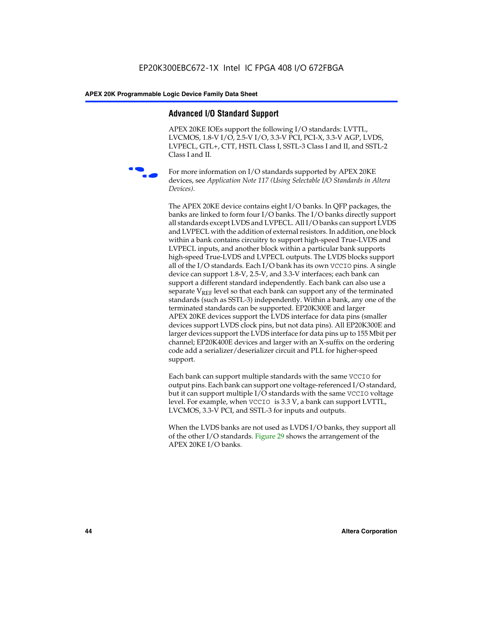# **Advanced I/O Standard Support**

APEX 20KE IOEs support the following I/O standards: LVTTL, LVCMOS, 1.8-V I/O, 2.5-V I/O, 3.3-V PCI, PCI-X, 3.3-V AGP, LVDS, LVPECL, GTL+, CTT, HSTL Class I, SSTL-3 Class I and II, and SSTL-2 Class I and II.



For more information on I/O standards supported by APEX 20KE devices, see *Application Note 117 (Using Selectable I/O Standards in Altera Devices)*.

The APEX 20KE device contains eight I/O banks. In QFP packages, the banks are linked to form four I/O banks. The I/O banks directly support all standards except LVDS and LVPECL. All I/O banks can support LVDS and LVPECL with the addition of external resistors. In addition, one block within a bank contains circuitry to support high-speed True-LVDS and LVPECL inputs, and another block within a particular bank supports high-speed True-LVDS and LVPECL outputs. The LVDS blocks support all of the I/O standards. Each I/O bank has its own VCCIO pins. A single device can support 1.8-V, 2.5-V, and 3.3-V interfaces; each bank can support a different standard independently. Each bank can also use a separate  $V_{\text{REF}}$  level so that each bank can support any of the terminated standards (such as SSTL-3) independently. Within a bank, any one of the terminated standards can be supported. EP20K300E and larger APEX 20KE devices support the LVDS interface for data pins (smaller devices support LVDS clock pins, but not data pins). All EP20K300E and larger devices support the LVDS interface for data pins up to 155 Mbit per channel; EP20K400E devices and larger with an X-suffix on the ordering code add a serializer/deserializer circuit and PLL for higher-speed support.

Each bank can support multiple standards with the same VCCIO for output pins. Each bank can support one voltage-referenced I/O standard, but it can support multiple I/O standards with the same VCCIO voltage level. For example, when VCCIO is 3.3 V, a bank can support LVTTL, LVCMOS, 3.3-V PCI, and SSTL-3 for inputs and outputs.

When the LVDS banks are not used as LVDS I/O banks, they support all of the other I/O standards. Figure 29 shows the arrangement of the APEX 20KE I/O banks.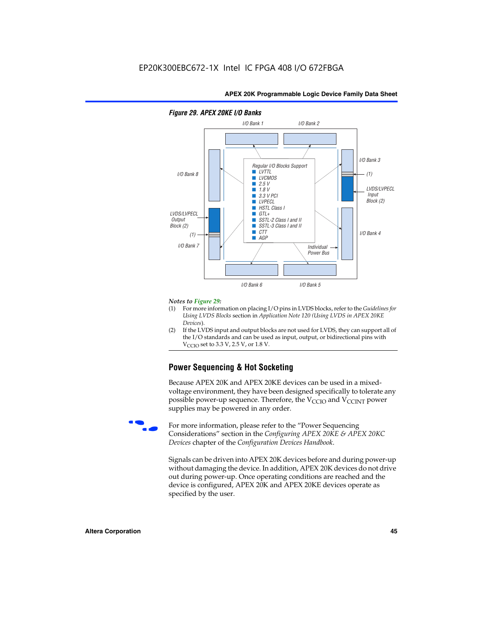

## *Figure 29. APEX 20KE I/O Banks*

#### *Notes to Figure 29:*

- (1) For more information on placing I/O pins in LVDS blocks, refer to the *Guidelines for Using LVDS Blocks* section in *Application Note 120 (Using LVDS in APEX 20KE Devices*).
- (2) If the LVDS input and output blocks are not used for LVDS, they can support all of the I/O standards and can be used as input, output, or bidirectional pins with  $V_{\text{C} \cap \text{O}}$  set to 3.3 V, 2.5 V, or 1.8 V.

# **Power Sequencing & Hot Socketing**

Because APEX 20K and APEX 20KE devices can be used in a mixedvoltage environment, they have been designed specifically to tolerate any possible power-up sequence. Therefore, the  $V_{\text{CCIO}}$  and  $V_{\text{CCINT}}$  power supplies may be powered in any order.

For more information, please refer to the "Power Sequencing Considerations" section in the *Configuring APEX 20KE & APEX 20KC Devices* chapter of the *Configuration Devices Handbook*.

Signals can be driven into APEX 20K devices before and during power-up without damaging the device. In addition, APEX 20K devices do not drive out during power-up. Once operating conditions are reached and the device is configured, APEX 20K and APEX 20KE devices operate as specified by the user.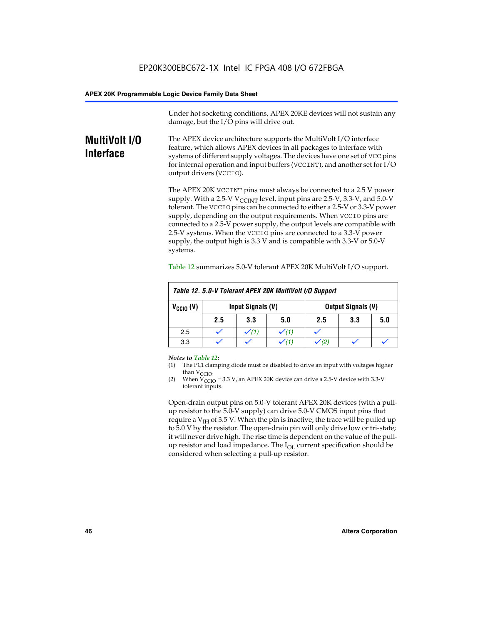Under hot socketing conditions, APEX 20KE devices will not sustain any damage, but the I/O pins will drive out.

# **MultiVolt I/O Interface**

The APEX device architecture supports the MultiVolt I/O interface feature, which allows APEX devices in all packages to interface with systems of different supply voltages. The devices have one set of VCC pins for internal operation and input buffers (VCCINT), and another set for I/O output drivers (VCCIO).

The APEX 20K VCCINT pins must always be connected to a 2.5 V power supply. With a 2.5-V  $V_{\text{CCMT}}$  level, input pins are 2.5-V, 3.3-V, and 5.0-V tolerant. The VCCIO pins can be connected to either a 2.5-V or 3.3-V power supply, depending on the output requirements. When VCCIO pins are connected to a 2.5-V power supply, the output levels are compatible with 2.5-V systems. When the VCCIO pins are connected to a 3.3-V power supply, the output high is 3.3 V and is compatible with 3.3-V or 5.0-V systems.

| Table 12. 5.0-V Tolerant APEX 20K MultiVolt I/O Support |                                                |                  |     |     |     |     |
|---------------------------------------------------------|------------------------------------------------|------------------|-----|-----|-----|-----|
| $V_{\text{CCIO}}(V)$                                    | Input Signals (V)<br><b>Output Signals (V)</b> |                  |     |     |     |     |
|                                                         | 2.5                                            | 3.3              | 5.0 | 2.5 | 3.3 | 5.0 |
| 2.5                                                     |                                                | $\checkmark$ (1) |     |     |     |     |
| 3.3                                                     |                                                |                  |     |     |     |     |

Table 12 summarizes 5.0-V tolerant APEX 20K MultiVolt I/O support.

#### *Notes to Table 12:*

- (1) The PCI clamping diode must be disabled to drive an input with voltages higher than  $V_{CCIO}$ .
- (2) When  $V_{CCIO} = 3.3 V$ , an APEX 20K device can drive a 2.5-V device with 3.3-V tolerant inputs.

Open-drain output pins on 5.0-V tolerant APEX 20K devices (with a pullup resistor to the 5.0-V supply) can drive 5.0-V CMOS input pins that require a  $V_{IH}$  of 3.5 V. When the pin is inactive, the trace will be pulled up to 5.0 V by the resistor. The open-drain pin will only drive low or tri-state; it will never drive high. The rise time is dependent on the value of the pullup resistor and load impedance. The  $I_{OI}$  current specification should be considered when selecting a pull-up resistor.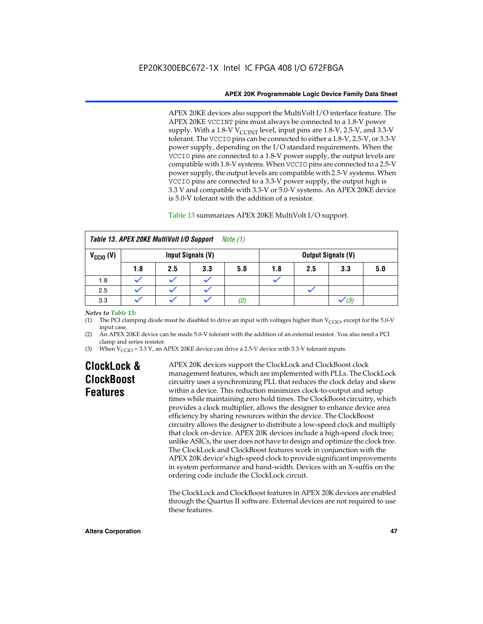APEX 20KE devices also support the MultiVolt I/O interface feature. The APEX 20KE VCCINT pins must always be connected to a 1.8-V power supply. With a 1.8-V  $V_{\text{CCINT}}$  level, input pins are 1.8-V, 2.5-V, and 3.3-V tolerant. The VCCIO pins can be connected to either a 1.8-V, 2.5-V, or 3.3-V power supply, depending on the I/O standard requirements. When the VCCIO pins are connected to a 1.8-V power supply, the output levels are compatible with 1.8-V systems. When VCCIO pins are connected to a 2.5-V power supply, the output levels are compatible with 2.5-V systems. When VCCIO pins are connected to a 3.3-V power supply, the output high is 3.3 V and compatible with 3.3-V or 5.0-V systems. An APEX 20KE device is 5.0-V tolerant with the addition of a resistor.

# Table 13 summarizes APEX 20KE MultiVolt I/O support.

|                      | Table 13. APEX 20KE MultiVolt I/O Support<br>Note (1) |     |                   |     |     |     |                           |     |
|----------------------|-------------------------------------------------------|-----|-------------------|-----|-----|-----|---------------------------|-----|
| $V_{\text{CCIO}}(V)$ |                                                       |     | Input Signals (V) |     |     |     | <b>Output Signals (V)</b> |     |
|                      | 1.8                                                   | 2.5 | 3.3               | 5.0 | 1.8 | 2.5 | 3.3                       | 5.0 |
| 1.8                  |                                                       |     |                   |     |     |     |                           |     |
| 2.5                  |                                                       |     |                   |     |     |     |                           |     |
| 3.3                  |                                                       |     |                   | (2) |     |     | (3)                       |     |

## *Notes to Table 13:*

(1) The PCI clamping diode must be disabled to drive an input with voltages higher than  $V_{CCIO}$ , except for the 5.0-V input case.

(2) An APEX 20KE device can be made 5.0-V tolerant with the addition of an external resistor. You also need a PCI clamp and series resistor.

(3) When  $V_{\text{CCIO}} = 3.3$  V, an APEX 20KE device can drive a 2.5-V device with 3.3-V tolerant inputs.

# **ClockLock & ClockBoost Features**

APEX 20K devices support the ClockLock and ClockBoost clock management features, which are implemented with PLLs. The ClockLock circuitry uses a synchronizing PLL that reduces the clock delay and skew within a device. This reduction minimizes clock-to-output and setup times while maintaining zero hold times. The ClockBoost circuitry, which provides a clock multiplier, allows the designer to enhance device area efficiency by sharing resources within the device. The ClockBoost circuitry allows the designer to distribute a low-speed clock and multiply that clock on-device. APEX 20K devices include a high-speed clock tree; unlike ASICs, the user does not have to design and optimize the clock tree. The ClockLock and ClockBoost features work in conjunction with the APEX 20K device's high-speed clock to provide significant improvements in system performance and band-width. Devices with an X-suffix on the ordering code include the ClockLock circuit.

The ClockLock and ClockBoost features in APEX 20K devices are enabled through the Quartus II software. External devices are not required to use these features.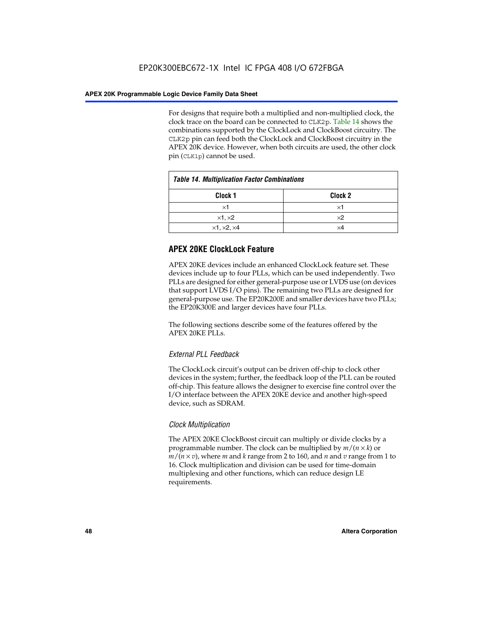For designs that require both a multiplied and non-multiplied clock, the clock trace on the board can be connected to CLK2p. Table 14 shows the combinations supported by the ClockLock and ClockBoost circuitry. The CLK2p pin can feed both the ClockLock and ClockBoost circuitry in the APEX 20K device. However, when both circuits are used, the other clock pin (CLK1p) cannot be used.

| <b>Table 14. Multiplication Factor Combinations</b> |                    |  |
|-----------------------------------------------------|--------------------|--|
| Clock <sub>1</sub>                                  | Clock <sub>2</sub> |  |
| $\times$ 1                                          | ×1                 |  |
| $\times$ 1, $\times$ 2                              | $\times 2$         |  |
| $\times$ 1, $\times$ 2, $\times$ 4                  | ×4                 |  |

# **APEX 20KE ClockLock Feature**

APEX 20KE devices include an enhanced ClockLock feature set. These devices include up to four PLLs, which can be used independently. Two PLLs are designed for either general-purpose use or LVDS use (on devices that support LVDS I/O pins). The remaining two PLLs are designed for general-purpose use. The EP20K200E and smaller devices have two PLLs; the EP20K300E and larger devices have four PLLs.

The following sections describe some of the features offered by the APEX 20KE PLLs.

# *External PLL Feedback*

The ClockLock circuit's output can be driven off-chip to clock other devices in the system; further, the feedback loop of the PLL can be routed off-chip. This feature allows the designer to exercise fine control over the I/O interface between the APEX 20KE device and another high-speed device, such as SDRAM.

# *Clock Multiplication*

The APEX 20KE ClockBoost circuit can multiply or divide clocks by a programmable number. The clock can be multiplied by *m*/(*n* × *k*) or  $m/(n \times v)$ , where *m* and *k* range from 2 to 160, and *n* and *v* range from 1 to 16. Clock multiplication and division can be used for time-domain multiplexing and other functions, which can reduce design LE requirements.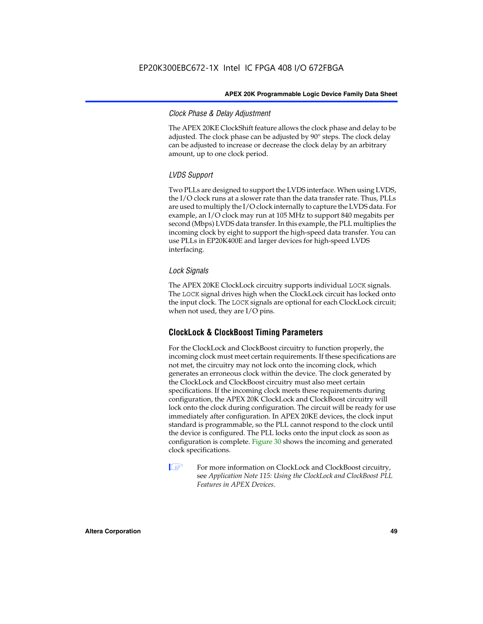# *Clock Phase & Delay Adjustment*

The APEX 20KE ClockShift feature allows the clock phase and delay to be adjusted. The clock phase can be adjusted by 90° steps. The clock delay can be adjusted to increase or decrease the clock delay by an arbitrary amount, up to one clock period.

# *LVDS Support*

Two PLLs are designed to support the LVDS interface. When using LVDS, the I/O clock runs at a slower rate than the data transfer rate. Thus, PLLs are used to multiply the I/O clock internally to capture the LVDS data. For example, an I/O clock may run at 105 MHz to support 840 megabits per second (Mbps) LVDS data transfer. In this example, the PLL multiplies the incoming clock by eight to support the high-speed data transfer. You can use PLLs in EP20K400E and larger devices for high-speed LVDS interfacing.

# *Lock Signals*

The APEX 20KE ClockLock circuitry supports individual LOCK signals. The LOCK signal drives high when the ClockLock circuit has locked onto the input clock. The LOCK signals are optional for each ClockLock circuit; when not used, they are I/O pins.

# **ClockLock & ClockBoost Timing Parameters**

For the ClockLock and ClockBoost circuitry to function properly, the incoming clock must meet certain requirements. If these specifications are not met, the circuitry may not lock onto the incoming clock, which generates an erroneous clock within the device. The clock generated by the ClockLock and ClockBoost circuitry must also meet certain specifications. If the incoming clock meets these requirements during configuration, the APEX 20K ClockLock and ClockBoost circuitry will lock onto the clock during configuration. The circuit will be ready for use immediately after configuration. In APEX 20KE devices, the clock input standard is programmable, so the PLL cannot respond to the clock until the device is configured. The PLL locks onto the input clock as soon as configuration is complete. Figure 30 shows the incoming and generated clock specifications.

 $\mathbb{I} \mathcal{F}$  For more information on ClockLock and ClockBoost circuitry, see *Application Note 115: Using the ClockLock and ClockBoost PLL Features in APEX Devices*.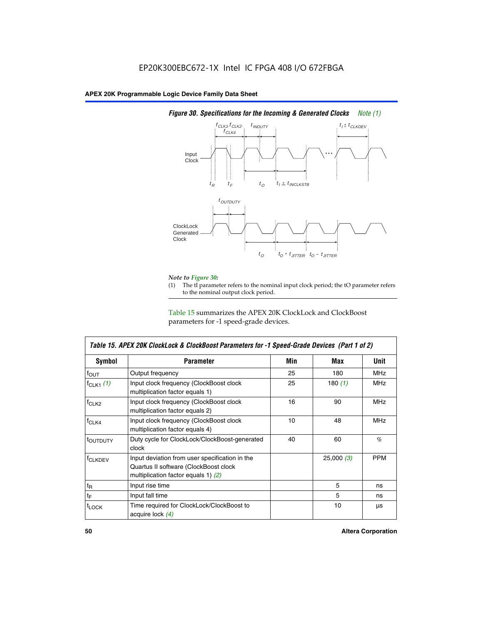

# *Figure 30. Specifications for the Incoming & Generated Clocks Note (1)*

# *Note to Figure 30:*

The tI parameter refers to the nominal input clock period; the tO parameter refers to the nominal output clock period.

Table 15 summarizes the APEX 20K ClockLock and ClockBoost parameters for -1 speed-grade devices.

| <b>Symbol</b>     | <b>Parameter</b>                                                                                                                 | Min | Max       | <b>Unit</b> |
|-------------------|----------------------------------------------------------------------------------------------------------------------------------|-----|-----------|-------------|
| $f_{OUT}$         | Output frequency                                                                                                                 | 25  | 180       | MHz         |
| $f_{CLK1}$ $(1)$  | Input clock frequency (ClockBoost clock<br>multiplication factor equals 1)                                                       | 25  | 180 $(1)$ | <b>MHz</b>  |
| $f_{CLK2}$        | Input clock frequency (ClockBoost clock<br>multiplication factor equals 2)                                                       | 16  | 90        | <b>MHz</b>  |
| $f_{CLK4}$        | Input clock frequency (ClockBoost clock<br>multiplication factor equals 4)                                                       | 10  | 48        | <b>MHz</b>  |
| toutputy          | Duty cycle for ClockLock/ClockBoost-generated<br>clock                                                                           | 40  | 60        | %           |
| <b>f</b> CLKDEV   | Input deviation from user specification in the<br>Quartus II software (ClockBoost clock<br>multiplication factor equals 1) $(2)$ |     | 25,000(3) | <b>PPM</b>  |
| $t_{\mathsf{R}}$  | Input rise time                                                                                                                  |     | 5         | ns          |
| $t_{\mathsf{F}}$  | Input fall time                                                                                                                  |     | 5         | ns          |
| <sup>t</sup> LOCK | Time required for ClockLock/ClockBoost to<br>acquire lock (4)                                                                    |     | 10        | μs          |

 $\mathsf I$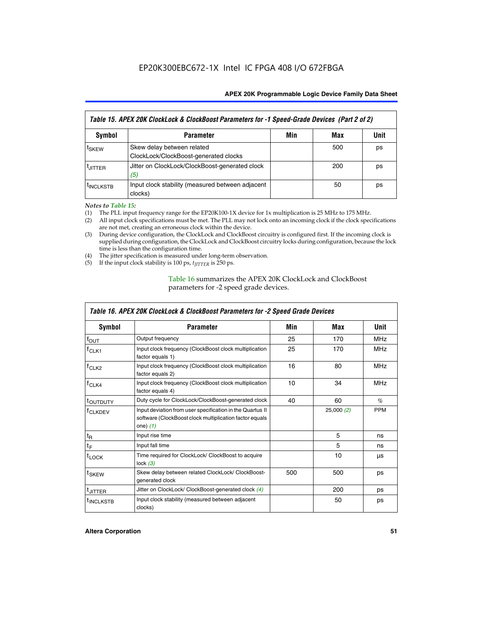| Table 15. APEX 20K ClockLock & ClockBoost Parameters for -1 Speed-Grade Devices (Part 2 of 2) |                                                                     |     |     |      |
|-----------------------------------------------------------------------------------------------|---------------------------------------------------------------------|-----|-----|------|
| <b>Symbol</b>                                                                                 | <b>Parameter</b>                                                    | Min | Max | Unit |
| t <sub>SKEW</sub>                                                                             | Skew delay between related<br>ClockLock/ClockBoost-generated clocks |     | 500 | ps   |
| <b>UITTER</b>                                                                                 | Jitter on ClockLock/ClockBoost-generated clock<br>(5)               |     | 200 | ps   |
| <b>INCLKSTB</b>                                                                               | Input clock stability (measured between adjacent<br>clocks)         |     | 50  | ps   |

*Notes to Table 15:*

- (1) The PLL input frequency range for the EP20K100-1X device for 1x multiplication is 25 MHz to 175 MHz.
- (2) All input clock specifications must be met. The PLL may not lock onto an incoming clock if the clock specifications are not met, creating an erroneous clock within the device.
- (3) During device configuration, the ClockLock and ClockBoost circuitry is configured first. If the incoming clock is supplied during configuration, the ClockLock and ClockBoost circuitry locks during configuration, because the lock time is less than the configuration time.
- (4) The jitter specification is measured under long-term observation.
- (5) If the input clock stability is 100 ps,  $t_{\text{JITTER}}$  is 250 ps.

# Table 16 summarizes the APEX 20K ClockLock and ClockBoost parameters for -2 speed grade devices.

| Symbol                                                                                   | <b>Parameter</b>                                                                                                                   | Min | Max       | Unit       |
|------------------------------------------------------------------------------------------|------------------------------------------------------------------------------------------------------------------------------------|-----|-----------|------------|
| f <sub>ouт</sub>                                                                         | Output frequency                                                                                                                   | 25  | 170       | <b>MHz</b> |
| $f_{CLK1}$                                                                               | Input clock frequency (ClockBoost clock multiplication<br>factor equals 1)                                                         | 25  | 170       | <b>MHz</b> |
| Input clock frequency (ClockBoost clock multiplication<br>$f_{CLK2}$<br>factor equals 2) |                                                                                                                                    | 16  | 80        | <b>MHz</b> |
| Input clock frequency (ClockBoost clock multiplication<br>$f_{CLK4}$<br>factor equals 4) |                                                                                                                                    | 10  | 34        | <b>MHz</b> |
| <sup>t</sup> OUTDUTY                                                                     | Duty cycle for ClockLock/ClockBoost-generated clock                                                                                | 40  | 60        | $\%$       |
| <sup>T</sup> CLKDEV                                                                      | Input deviation from user specification in the Quartus II<br>software (ClockBoost clock multiplication factor equals<br>one) $(1)$ |     | 25,000(2) | <b>PPM</b> |
| $t_{\mathsf{R}}$                                                                         | Input rise time                                                                                                                    |     | 5         | ns         |
| $t_F$                                                                                    | Input fall time                                                                                                                    |     | 5         | ns         |
| $t_{\text{LOCK}}$                                                                        | Time required for ClockLock/ ClockBoost to acquire<br>lock $(3)$                                                                   |     | 10        | μs         |
| t <sub>SKEW</sub>                                                                        | Skew delay between related ClockLock/ ClockBoost-<br>generated clock                                                               | 500 | 500       | ps         |
| t <sub>JITTER</sub>                                                                      | Jitter on ClockLock/ ClockBoost-generated clock (4)                                                                                |     | 200       | ps         |
| <sup>I</sup> INCLKSTB                                                                    | Input clock stability (measured between adjacent<br>clocks)                                                                        |     | 50        | ps         |

# *Table 16. APEX 20K ClockLock & ClockBoost Parameters for -2 Speed Grade Devices*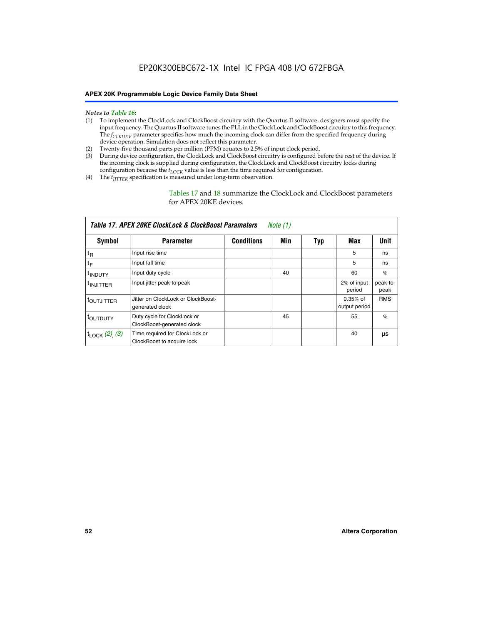- *Notes to Table 16:* (1) To implement the ClockLock and ClockBoost circuitry with the Quartus II software, designers must specify the input frequency. The Quartus II software tunes the PLL in the ClockLock and ClockBoost circuitry to this frequency. The *f<sub>CLKDEV</sub>* parameter specifies how much the incoming clock can differ from the specified frequency during device operation. Simulation does not reflect this parameter.
- (2) Twenty-five thousand parts per million (PPM) equates to 2.5% of input clock period.
- (3) During device configuration, the ClockLock and ClockBoost circuitry is configured before the rest of the device. If the incoming clock is supplied during configuration, the ClockLock and ClockBoost circuitry locks during configuration because the  $t_{LOCK}$  value is less than the time required for configuration.
- (4) The  $t_{\text{ITTTER}}$  specification is measured under long-term observation.

Tables 17 and 18 summarize the ClockLock and ClockBoost parameters for APEX 20KE devices.

|                            | Table 17. APEX 20KE ClockLock & ClockBoost Parameters        |                   | Note $(1)$ |     |                             |                  |
|----------------------------|--------------------------------------------------------------|-------------------|------------|-----|-----------------------------|------------------|
| Symbol                     | <b>Parameter</b>                                             | <b>Conditions</b> | Min        | Typ | Max                         | <b>Unit</b>      |
| $t_{R}$                    | Input rise time                                              |                   |            |     | 5                           | ns               |
| $t_F$                      | Input fall time                                              |                   |            |     | 5                           | ns               |
| <sup>t</sup> INDUTY        | Input duty cycle                                             |                   | 40         |     | 60                          | %                |
| <sup>t</sup> INJITTER      | Input jitter peak-to-peak                                    |                   |            |     | 2% of input<br>period       | peak-to-<br>peak |
| t <sub>OUTJITTER</sub>     | Jitter on ClockLock or ClockBoost-<br>generated clock        |                   |            |     | $0.35%$ of<br>output period | <b>RMS</b>       |
| t <sub>OUTDUTY</sub>       | Duty cycle for ClockLock or<br>ClockBoost-generated clock    |                   | 45         |     | 55                          | %                |
| $t_{\text{LOCK}}$ (2), (3) | Time required for ClockLock or<br>ClockBoost to acquire lock |                   |            |     | 40                          | μs               |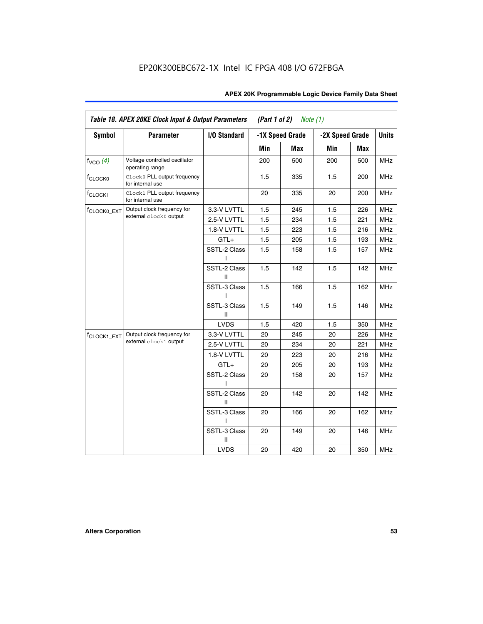| Table 18. APEX 20KE Clock Input & Output Parameters<br>(Part 1 of 2)<br>Note $(1)$ |                                                  |                   |     |                 |                 |     |              |
|------------------------------------------------------------------------------------|--------------------------------------------------|-------------------|-----|-----------------|-----------------|-----|--------------|
| <b>Symbol</b>                                                                      | <b>Parameter</b>                                 | I/O Standard      |     | -1X Speed Grade | -2X Speed Grade |     | <b>Units</b> |
|                                                                                    |                                                  |                   | Min | <b>Max</b>      | Min             | Max |              |
| $f_{VCO}$ (4)                                                                      | Voltage controlled oscillator<br>operating range |                   | 200 | 500             | 200             | 500 | <b>MHz</b>   |
| f <sub>CLOCK0</sub>                                                                | Clock0 PLL output frequency<br>for internal use  |                   | 1.5 | 335             | 1.5             | 200 | <b>MHz</b>   |
| f <sub>CLOCK1</sub>                                                                | Clock1 PLL output frequency<br>for internal use  |                   | 20  | 335             | 20              | 200 | MHz          |
| <sup>f</sup> CLOCK0_EXT                                                            | Output clock frequency for                       | 3.3-V LVTTL       | 1.5 | 245             | 1.5             | 226 | <b>MHz</b>   |
|                                                                                    | external clock0 output                           | 2.5-V LVTTL       | 1.5 | 234             | 1.5             | 221 | <b>MHz</b>   |
|                                                                                    |                                                  | 1.8-V LVTTL       | 1.5 | 223             | 1.5             | 216 | <b>MHz</b>   |
|                                                                                    |                                                  | $GTL+$            | 1.5 | 205             | 1.5             | 193 | <b>MHz</b>   |
|                                                                                    |                                                  | SSTL-2 Class<br>ı | 1.5 | 158             | 1.5             | 157 | MHz          |
|                                                                                    |                                                  | SSTL-2 Class<br>Ш | 1.5 | 142             | 1.5             | 142 | <b>MHz</b>   |
|                                                                                    |                                                  | SSTL-3 Class      | 1.5 | 166             | 1.5             | 162 | MHz          |
|                                                                                    |                                                  | SSTL-3 Class<br>Ш | 1.5 | 149             | 1.5             | 146 | <b>MHz</b>   |
|                                                                                    |                                                  | <b>LVDS</b>       | 1.5 | 420             | 1.5             | 350 | <b>MHz</b>   |
| f <sub>CLOCK1_EXT</sub>                                                            | Output clock frequency for                       | 3.3-V LVTTL       | 20  | 245             | 20              | 226 | <b>MHz</b>   |
|                                                                                    | external clock1 output                           | 2.5-V LVTTL       | 20  | 234             | 20              | 221 | <b>MHz</b>   |
|                                                                                    |                                                  | 1.8-V LVTTL       | 20  | 223             | 20              | 216 | <b>MHz</b>   |
|                                                                                    |                                                  | $GTL+$            | 20  | 205             | 20              | 193 | <b>MHz</b>   |
|                                                                                    |                                                  | SSTL-2 Class      | 20  | 158             | 20              | 157 | <b>MHz</b>   |
|                                                                                    |                                                  | SSTL-2 Class<br>Ш | 20  | 142             | 20              | 142 | <b>MHz</b>   |
|                                                                                    |                                                  | SSTL-3 Class<br>I | 20  | 166             | 20              | 162 | <b>MHz</b>   |
|                                                                                    |                                                  | SSTL-3 Class<br>Ш | 20  | 149             | 20              | 146 | <b>MHz</b>   |
|                                                                                    |                                                  | <b>LVDS</b>       | 20  | 420             | 20              | 350 | <b>MHz</b>   |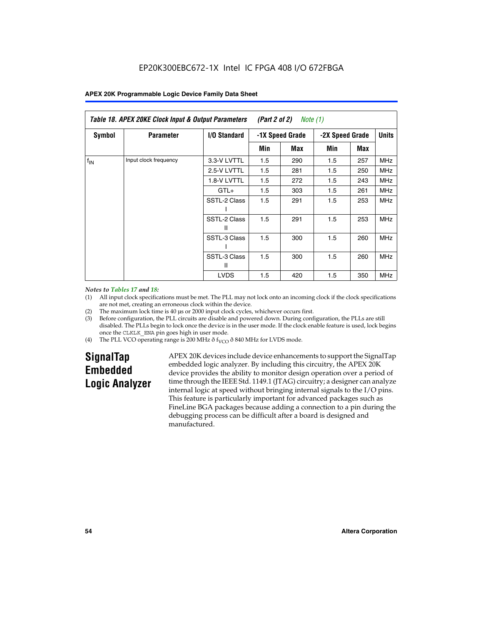| Table 18. APEX 20KE Clock Input & Output Parameters<br><i>(Part 2 of 2)</i><br>Note $(1)$ |                       |                     |                 |     |     |     |                                 |  |
|-------------------------------------------------------------------------------------------|-----------------------|---------------------|-----------------|-----|-----|-----|---------------------------------|--|
| <b>Symbol</b>                                                                             | <b>Parameter</b>      | <b>I/O Standard</b> | -1X Speed Grade |     |     |     | <b>Units</b><br>-2X Speed Grade |  |
|                                                                                           |                       |                     | Min             | Max | Min | Max |                                 |  |
| $f_{\text{IN}}$                                                                           | Input clock frequency | 3.3-V LVTTL         | 1.5             | 290 | 1.5 | 257 | <b>MHz</b>                      |  |
|                                                                                           |                       | 2.5-V LVTTL         | 1.5             | 281 | 1.5 | 250 | <b>MHz</b>                      |  |
|                                                                                           |                       | 1.8-V LVTTL         | 1.5             | 272 | 1.5 | 243 | <b>MHz</b>                      |  |
|                                                                                           |                       | $GTL+$              | 1.5             | 303 | 1.5 | 261 | <b>MHz</b>                      |  |
|                                                                                           |                       | SSTL-2 Class        | 1.5             | 291 | 1.5 | 253 | <b>MHz</b>                      |  |
|                                                                                           |                       | SSTL-2 Class<br>Ш   | 1.5             | 291 | 1.5 | 253 | <b>MHz</b>                      |  |
|                                                                                           |                       | SSTL-3 Class        | 1.5             | 300 | 1.5 | 260 | <b>MHz</b>                      |  |
|                                                                                           |                       | SSTL-3 Class<br>Ш   | 1.5             | 300 | 1.5 | 260 | <b>MHz</b>                      |  |
|                                                                                           |                       | <b>LVDS</b>         | 1.5             | 420 | 1.5 | 350 | <b>MHz</b>                      |  |

#### *Notes to Tables 17 and 18:*

(1) All input clock specifications must be met. The PLL may not lock onto an incoming clock if the clock specifications are not met, creating an erroneous clock within the device.

- (2) The maximum lock time is 40 µs or 2000 input clock cycles, whichever occurs first.
- (3) Before configuration, the PLL circuits are disable and powered down. During configuration, the PLLs are still disabled. The PLLs begin to lock once the device is in the user mode. If the clock enable feature is used, lock begins once the CLKLK\_ENA pin goes high in user mode.
- (4) The PLL VCO operating range is 200 MHz  $\eth$  f<sub>VCO</sub>  $\eth$  840 MHz for LVDS mode.

# **SignalTap Embedded Logic Analyzer**

APEX 20K devices include device enhancements to support the SignalTap embedded logic analyzer. By including this circuitry, the APEX 20K device provides the ability to monitor design operation over a period of time through the IEEE Std. 1149.1 (JTAG) circuitry; a designer can analyze internal logic at speed without bringing internal signals to the I/O pins. This feature is particularly important for advanced packages such as FineLine BGA packages because adding a connection to a pin during the debugging process can be difficult after a board is designed and manufactured.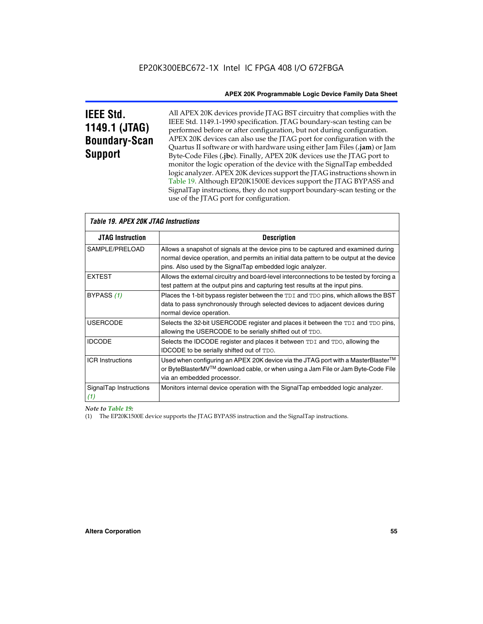# **IEEE Std. 1149.1 (JTAG) Boundary-Scan Support**

All APEX 20K devices provide JTAG BST circuitry that complies with the IEEE Std. 1149.1-1990 specification. JTAG boundary-scan testing can be performed before or after configuration, but not during configuration. APEX 20K devices can also use the JTAG port for configuration with the Quartus II software or with hardware using either Jam Files (**.jam**) or Jam Byte-Code Files (**.jbc**). Finally, APEX 20K devices use the JTAG port to monitor the logic operation of the device with the SignalTap embedded logic analyzer. APEX 20K devices support the JTAG instructions shown in Table 19. Although EP20K1500E devices support the JTAG BYPASS and SignalTap instructions, they do not support boundary-scan testing or the use of the JTAG port for configuration.

| <i><b>Table 19. APEX 20K JTAG Instructions</b></i> |                                                                                                                                                                                                                                            |
|----------------------------------------------------|--------------------------------------------------------------------------------------------------------------------------------------------------------------------------------------------------------------------------------------------|
| <b>JTAG Instruction</b>                            | <b>Description</b>                                                                                                                                                                                                                         |
| SAMPLE/PRELOAD                                     | Allows a snapshot of signals at the device pins to be captured and examined during<br>normal device operation, and permits an initial data pattern to be output at the device<br>pins. Also used by the SignalTap embedded logic analyzer. |
| <b>EXTEST</b>                                      | Allows the external circuitry and board-level interconnections to be tested by forcing a<br>test pattern at the output pins and capturing test results at the input pins.                                                                  |
| BYPASS (1)                                         | Places the 1-bit bypass register between the TDI and TDO pins, which allows the BST<br>data to pass synchronously through selected devices to adjacent devices during<br>normal device operation.                                          |
| <b>USERCODE</b>                                    | Selects the 32-bit USERCODE register and places it between the TDI and TDO pins,<br>allowing the USERCODE to be serially shifted out of TDO.                                                                                               |
| <b>IDCODE</b>                                      | Selects the IDCODE register and places it between TDI and TDO, allowing the<br>IDCODE to be serially shifted out of TDO.                                                                                                                   |
| <b>ICR Instructions</b>                            | Used when configuring an APEX 20K device via the JTAG port with a MasterBlaster™<br>or ByteBlasterMV™ download cable, or when using a Jam File or Jam Byte-Code File<br>via an embedded processor.                                         |
| SignalTap Instructions<br>(1)                      | Monitors internal device operation with the SignalTap embedded logic analyzer.                                                                                                                                                             |

 $\overline{\phantom{a}}$ 

# *Note to Table 19:*

(1) The EP20K1500E device supports the JTAG BYPASS instruction and the SignalTap instructions.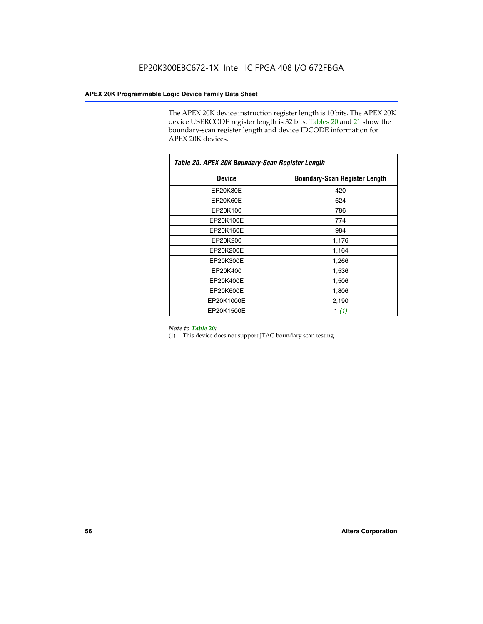The APEX 20K device instruction register length is 10 bits. The APEX 20K device USERCODE register length is 32 bits. Tables 20 and 21 show the boundary-scan register length and device IDCODE information for APEX 20K devices.

| Table 20. APEX 20K Boundary-Scan Register Length |                                      |  |  |  |
|--------------------------------------------------|--------------------------------------|--|--|--|
| <b>Device</b>                                    | <b>Boundary-Scan Register Length</b> |  |  |  |
| EP20K30E                                         | 420                                  |  |  |  |
| EP20K60E                                         | 624                                  |  |  |  |
| EP20K100                                         | 786                                  |  |  |  |
| EP20K100E                                        | 774                                  |  |  |  |
| EP20K160E                                        | 984                                  |  |  |  |
| EP20K200                                         | 1,176                                |  |  |  |
| EP20K200E                                        | 1,164                                |  |  |  |
| EP20K300E                                        | 1,266                                |  |  |  |
| EP20K400                                         | 1,536                                |  |  |  |
| EP20K400E                                        | 1,506                                |  |  |  |
| EP20K600E                                        | 1,806                                |  |  |  |
| EP20K1000E                                       | 2,190                                |  |  |  |
| EP20K1500E                                       | 1 $(1)$                              |  |  |  |

#### *Note to Table 20:*

(1) This device does not support JTAG boundary scan testing.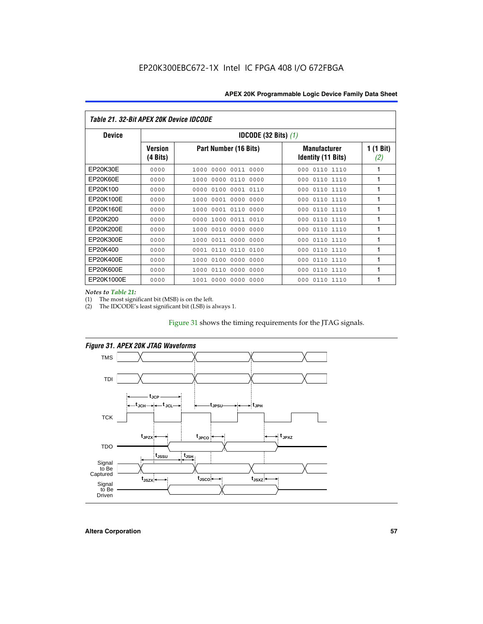| Table 21. 32-Bit APEX 20K Device IDCODE |                                          |                              |                                                  |                  |  |
|-----------------------------------------|------------------------------------------|------------------------------|--------------------------------------------------|------------------|--|
| <b>Device</b>                           | <b>IDCODE (32 Bits) <math>(1)</math></b> |                              |                                                  |                  |  |
|                                         | <b>Version</b><br>(4 Bits)               | Part Number (16 Bits)        | <b>Manufacturer</b><br><b>Identity (11 Bits)</b> | 1 (1 Bit)<br>(2) |  |
| EP20K30E                                | 0000                                     | 0000 0011 0000<br>1000       | 0110 1110<br>000                                 | 1                |  |
| EP20K60E                                | 0000                                     | 1000<br>0000 0110<br>0000    | 0110 1110<br>000                                 | 1                |  |
| EP20K100                                | 0000                                     | 0000<br>0100<br>0001 0110    | 000<br>0110 1110                                 | 1                |  |
| EP20K100E                               | 0000                                     | 1000<br>0001 0000<br>0000    | 0110 1110<br>000                                 | 1                |  |
| EP20K160E                               | 0000                                     | 0001 0110<br>0000<br>1000    | 000<br>0110 1110                                 | 1                |  |
| EP20K200                                | 0000                                     | 1000<br>0011 0010<br>0000    | 0110 1110<br>000                                 | 1                |  |
| EP20K200E                               | 0000                                     | 0010<br>0000<br>0000<br>1000 | 0110 1110<br>000                                 | 1                |  |
| EP20K300E                               | 0000                                     | 0011 0000<br>0000<br>1000    | 0110 1110<br>000                                 | 1                |  |
| EP20K400                                | 0000                                     | 0001<br>0110<br>0110<br>0100 | 0110 1110<br>000                                 | 1                |  |
| EP20K400E                               | 0000                                     | 0100<br>0000<br>0000<br>1000 | 0110 1110<br>000                                 | 1                |  |
| EP20K600E                               | 0000                                     | 1000<br>0110<br>0000<br>0000 | 0110 1110<br>000                                 | 1                |  |
| EP20K1000E                              | 0000                                     | 0000<br>0000<br>0000<br>1001 | 000<br>0110 1110                                 | 1                |  |

*Notes to Table 21:*

The most significant bit (MSB) is on the left.

(2) The IDCODE's least significant bit (LSB) is always 1.

# Figure 31 shows the timing requirements for the JTAG signals.





**Altera Corporation 57**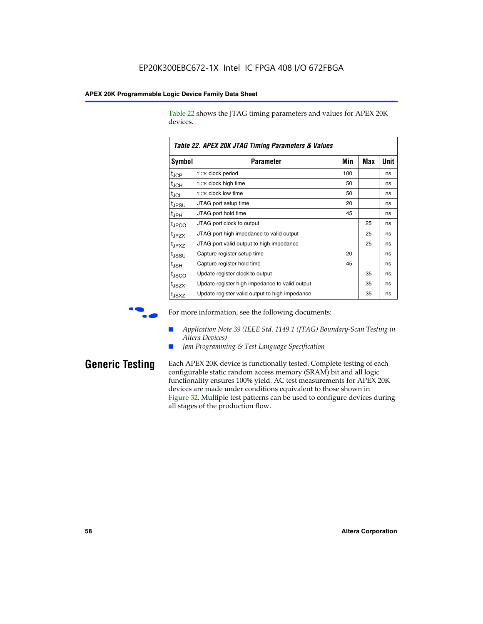Table 22 shows the JTAG timing parameters and values for APEX 20K devices.

|                   | TADIG LL. AF LA LUN JTAU THIIHIY FAIAHIGIGIS & VAIUGS |     |     |      |
|-------------------|-------------------------------------------------------|-----|-----|------|
| Symbol            | Parameter                                             | Min | Max | Unit |
| $t_{JCP}$         | <b>TCK clock period</b>                               | 100 |     | ns   |
| $t_{\text{JCH}}$  | TCK clock high time                                   | 50  |     | ns   |
| $t_{JCL}$         | TCK clock low time                                    | 50  |     | ns   |
| t <sub>JPSU</sub> | JTAG port setup time                                  | 20  |     | ns   |
| $t_{\rm JPH}$     | JTAG port hold time                                   | 45  |     | ns   |
| <sup>t</sup> JPCO | JTAG port clock to output                             |     | 25  | ns   |
| t <sub>JPZX</sub> | JTAG port high impedance to valid output              |     | 25  | ns   |
| t <sub>JPXZ</sub> | JTAG port valid output to high impedance              |     | 25  | ns   |
| tussu             | Capture register setup time                           | 20  |     | ns   |
| $t_{\rm JSH}$     | Capture register hold time                            | 45  |     | ns   |
| t <sub>JSCO</sub> | Update register clock to output                       |     | 35  | ns   |
| t <sub>JSZX</sub> | Update register high impedance to valid output        |     | 35  | ns   |
| t <sub>JSXZ</sub> | Update register valid output to high impedance        |     | 35  | ns   |

*Table 22. APEX 20K JTAG Timing Parameters & Values*

For more information, see the following documents:

- *Application Note 39 (IEEE Std. 1149.1 (JTAG) Boundary-Scan Testing in Altera Devices)*
- Jam Programming & Test Language Specification

**Generic Testing** Each APEX 20K device is functionally tested. Complete testing of each configurable static random access memory (SRAM) bit and all logic functionality ensures 100% yield. AC test measurements for APEX 20K devices are made under conditions equivalent to those shown in Figure 32. Multiple test patterns can be used to configure devices during all stages of the production flow.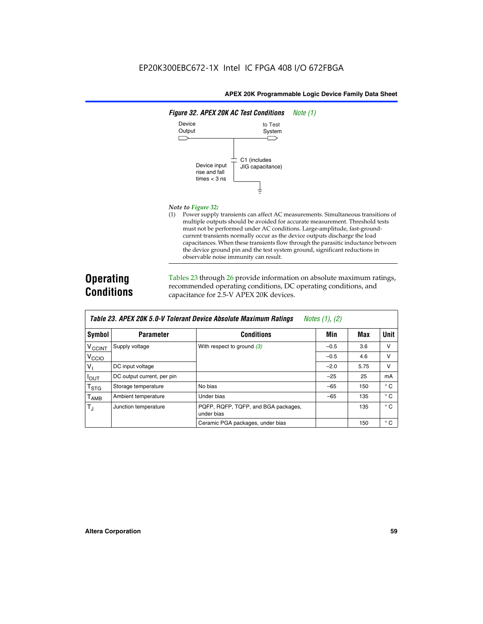

#### *Note to Figure 32:*

(1) Power supply transients can affect AC measurements. Simultaneous transitions of multiple outputs should be avoided for accurate measurement. Threshold tests must not be performed under AC conditions. Large-amplitude, fast-groundcurrent transients normally occur as the device outputs discharge the load capacitances. When these transients flow through the parasitic inductance between the device ground pin and the test system ground, significant reductions in observable noise immunity can result.

# **Operating Conditions**

Tables 23 through 26 provide information on absolute maximum ratings, recommended operating conditions, DC operating conditions, and capacitance for 2.5-V APEX 20K devices.

|                          |                            |                                                   | $1.00100 + 1.011 + 1.001$ |      |              |
|--------------------------|----------------------------|---------------------------------------------------|---------------------------|------|--------------|
| Symbol                   | <b>Parameter</b>           | <b>Conditions</b>                                 | Min                       | Max  | Unit         |
| <b>V<sub>CCINT</sub></b> | Supply voltage             | With respect to ground $(3)$                      | $-0.5$                    | 3.6  | $\vee$       |
| V <sub>CCIO</sub>        |                            |                                                   | $-0.5$                    | 4.6  | v            |
| $V_{1}$                  | DC input voltage           |                                                   | $-2.0$                    | 5.75 | v            |
| $I_{\text{OUT}}$         | DC output current, per pin |                                                   | $-25$                     | 25   | mA           |
| $T_{\rm STG}$            | Storage temperature        | No bias                                           | $-65$                     | 150  | $^{\circ}$ C |
| Т <sub>АМВ</sub>         | Ambient temperature        | Under bias                                        | $-65$                     | 135  | $^{\circ}$ C |
| $T_{\rm J}$              | Junction temperature       | PQFP, RQFP, TQFP, and BGA packages,<br>under bias |                           | 135  | $^{\circ}$ C |
|                          |                            | Ceramic PGA packages, under bias                  |                           | 150  | $^{\circ}$ C |

| Table 23. APEX 20K 5.0-V Tolerant Device Absolute Maximum Ratings Notes (1), (2) |  |
|----------------------------------------------------------------------------------|--|
|----------------------------------------------------------------------------------|--|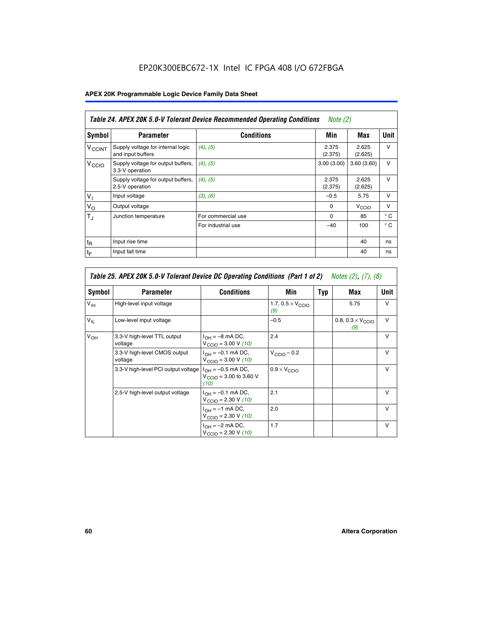# EP20K300EBC672-1X Intel IC FPGA 408 I/O 672FBGA

# **APEX 20K Programmable Logic Device Family Data Sheet**

|                          | Table 24. APEX 20K 5.0-V Tolerant Device Recommended Operating Conditions<br>Note $(2)$ |                    |                  |                   |              |  |
|--------------------------|-----------------------------------------------------------------------------------------|--------------------|------------------|-------------------|--------------|--|
| Symbol                   | <b>Parameter</b>                                                                        | <b>Conditions</b>  | Min              | Max               | <b>Unit</b>  |  |
| <b>V<sub>CCINT</sub></b> | Supply voltage for internal logic<br>and input buffers                                  | $(4)$ , $(5)$      | 2.375<br>(2.375) | 2.625<br>(2.625)  | $\vee$       |  |
| V <sub>CCIO</sub>        | Supply voltage for output buffers,<br>3.3-V operation                                   | (4), (5)           | 3.00(3.00)       | 3.60(3.60)        | $\vee$       |  |
|                          | Supply voltage for output buffers,<br>2.5-V operation                                   | (4), (5)           | 2.375<br>(2.375) | 2.625<br>(2.625)  | $\vee$       |  |
| $V_1$                    | Input voltage                                                                           | (3), (6)           | $-0.5$           | 5.75              | $\vee$       |  |
| $V_{\rm O}$              | Output voltage                                                                          |                    | $\Omega$         | V <sub>CCIO</sub> | $\vee$       |  |
| $T_{\rm J}$              | Junction temperature                                                                    | For commercial use | $\Omega$         | 85                | $^{\circ}$ C |  |
|                          |                                                                                         | For industrial use | $-40$            | 100               | $^{\circ}$ C |  |
| $t_{R}$                  | Input rise time                                                                         |                    |                  | 40                | ns           |  |
| $t_{\mathsf{F}}$         | Input fall time                                                                         |                    |                  | 40                | ns           |  |

|                 | Table 25. APEX 20K 5.0-V Tolerant Device DC Operating Conditions (Part 1 of 2) Notes (2), (7), (8) |                                                                      |                                          |     |                                          |               |  |  |
|-----------------|----------------------------------------------------------------------------------------------------|----------------------------------------------------------------------|------------------------------------------|-----|------------------------------------------|---------------|--|--|
| Symbol          | <b>Parameter</b>                                                                                   | <b>Conditions</b>                                                    | Min                                      | Typ | Max                                      | Unit          |  |  |
| $V_{\text{IH}}$ | High-level input voltage                                                                           |                                                                      | 1.7, $0.5 \times V_{\text{CCIO}}$<br>(9) |     | 5.75                                     | v             |  |  |
| $V_{IL}$        | Low-level input voltage                                                                            |                                                                      | $-0.5$                                   |     | 0.8, $0.3 \times V_{\text{CCIO}}$<br>(9) | $\vee$        |  |  |
| $V_{OH}$        | 3.3-V high-level TTL output<br>voltage                                                             | $I_{OH} = -8$ mA DC,<br>$V_{\text{CCIO}} = 3.00 V (10)$              | 2.4                                      |     |                                          | v             |  |  |
|                 | 3.3-V high-level CMOS output<br>voltage                                                            | $I_{OH} = -0.1$ mA DC,<br>$V_{\text{CCIO}} = 3.00 \text{ V} (10)$    | $V_{\text{CCIO}} - 0.2$                  |     |                                          | $\vee$        |  |  |
|                 | 3.3-V high-level PCI output voltage                                                                | $I_{OH} = -0.5$ mA DC,<br>$V_{\text{CCIO}} = 3.00$ to 3.60 V<br>(10) | $0.9 \times V_{\text{CCIO}}$             |     |                                          | $\mathsf{v}$  |  |  |
|                 | 2.5-V high-level output voltage                                                                    | $I_{OH} = -0.1$ mA DC,<br>$V_{\text{CCIO}} = 2.30 \text{ V} (10)$    | 2.1                                      |     |                                          | $\mathcal{U}$ |  |  |
|                 |                                                                                                    | $I_{\cap H}$ = -1 mA DC,<br>$V_{\text{CCIO}} = 2.30 V (10)$          | 2.0                                      |     |                                          | $\vee$        |  |  |
|                 |                                                                                                    | $I_{OH} = -2$ mA DC,<br>$V_{\text{CCIO}} = 2.30 V (10)$              | 1.7                                      |     |                                          | v             |  |  |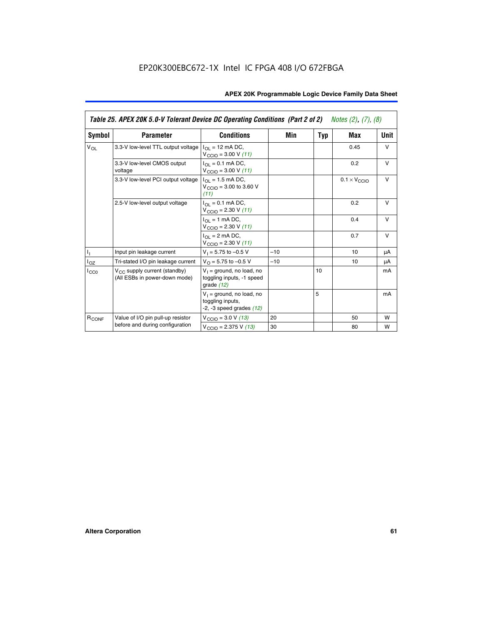|                   | Table 25. APEX 20K 5.0-V Tolerant Device DC Operating Conditions (Part 2 of 2) Notes (2), (7), (8) |                                                                                          |       |     |                              |        |
|-------------------|----------------------------------------------------------------------------------------------------|------------------------------------------------------------------------------------------|-------|-----|------------------------------|--------|
| Symbol            | <b>Parameter</b>                                                                                   | <b>Conditions</b>                                                                        | Min   | Typ | Max                          | Unit   |
| $V_{OL}$          | 3.3-V low-level TTL output voltage                                                                 | $I_{\Omega}$ = 12 mA DC,<br>$V_{\text{CCIO}} = 3.00 V (11)$                              |       |     | 0.45                         | $\vee$ |
|                   | 3.3-V low-level CMOS output<br>voltage                                                             | $I_{\Omega I} = 0.1$ mA DC,<br>$V_{\text{CCIO}} = 3.00 V (11)$                           |       |     | 0.2                          | $\vee$ |
|                   | 3.3-V low-level PCI output voltage                                                                 | $I_{\Omega}$ = 1.5 mA DC,<br>$V_{\text{CCIO}} = 3.00 \text{ to } 3.60 \text{ V}$<br>(11) |       |     | $0.1 \times V_{\text{CCLO}}$ | $\vee$ |
|                   | 2.5-V low-level output voltage                                                                     | $I_{\Omega I} = 0.1$ mA DC,<br>$V_{\text{CCIO}} = 2.30 V (11)$                           |       |     | 0.2                          | v      |
|                   |                                                                                                    | $I_{\Omega}$ = 1 mA DC,<br>$V_{\text{CCIO}} = 2.30 V (11)$                               |       |     | 0.4                          | $\vee$ |
|                   |                                                                                                    | $I_{\Omega}$ = 2 mA DC,<br>$V_{\text{CCIO}} = 2.30 V (11)$                               |       |     | 0.7                          | v      |
| ı,                | Input pin leakage current                                                                          | $V_1 = 5.75$ to $-0.5$ V                                                                 | $-10$ |     | 10                           | μA     |
| $I_{OZ}$          | Tri-stated I/O pin leakage current                                                                 | $V_O = 5.75$ to $-0.5$ V                                                                 | $-10$ |     | 10                           | μA     |
| ICCO              | $V_{CC}$ supply current (standby)<br>(All ESBs in power-down mode)                                 | $V_1$ = ground, no load, no<br>toggling inputs, -1 speed<br>grade $(12)$                 |       | 10  |                              | mA     |
|                   |                                                                                                    | $V_1$ = ground, no load, no<br>toggling inputs,<br>$-2$ , $-3$ speed grades $(12)$       |       | 5   |                              | mA     |
| R <sub>CONF</sub> | Value of I/O pin pull-up resistor                                                                  | $V_{\text{CCIO}} = 3.0 V (13)$                                                           | 20    |     | 50                           | W      |
|                   | before and during configuration                                                                    | $V_{\text{CCIO}} = 2.375 \text{ V} (13)$                                                 | 30    |     | 80                           | W      |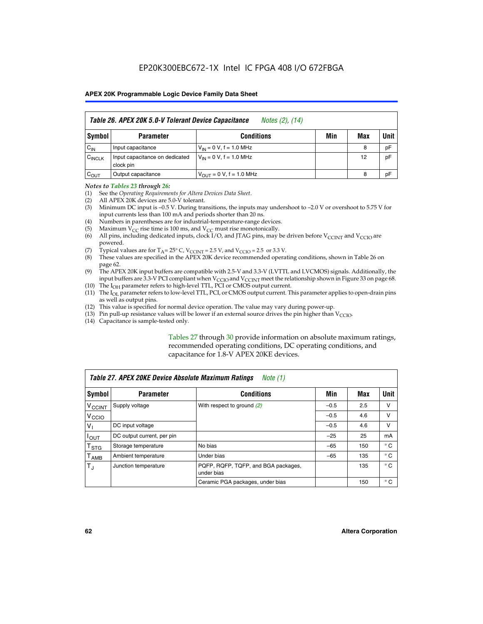|                    | Table 26. APEX 20K 5.0-V Tolerant Device Capacitance<br>Notes (2), (14) |                               |     |     |      |  |
|--------------------|-------------------------------------------------------------------------|-------------------------------|-----|-----|------|--|
| Symbol             | <b>Parameter</b>                                                        | <b>Conditions</b>             | Min | Max | Unit |  |
| $C_{IN}$           | Input capacitance                                                       | $V_{IN} = 0 V$ , f = 1.0 MHz  |     | 8   | pF   |  |
| C <sub>INCLK</sub> | Input capacitance on dedicated<br>clock pin                             | $V_{IN} = 0 V$ , f = 1.0 MHz  |     | 12  | pF   |  |
| $C_{OUT}$          | Output capacitance                                                      | $V_{OUIT} = 0 V, f = 1.0 MHz$ |     | 8   | pF   |  |

#### *Notes to Tables 23 through 26:*

- (1) See the *Operating Requirements for Altera Devices Data Sheet*.
- (2) All APEX 20K devices are 5.0-V tolerant.
- (3) Minimum DC input is –0.5 V. During transitions, the inputs may undershoot to –2.0 V or overshoot to 5.75 V for input currents less than 100 mA and periods shorter than 20 ns.
- (4) Numbers in parentheses are for industrial-temperature-range devices.
- (5) Maximum  $V_{CC}$  rise time is 100 ms, and  $V_{CC}$  must rise monotonically.<br>(6) All pins, including dedicated inputs, clock I/O, and JTAG pins, may b
- All pins, including dedicated inputs, clock I/O, and JTAG pins, may be driven before  $V_{\text{CCINT}}$  and  $V_{\text{CCIO}}$  are powered.
- (7) Typical values are for  $T_A = 25^\circ$  C, V<sub>CCINT</sub> = 2.5 V, and V<sub>CCIO</sub> = 2.5 or 3.3 V.<br>(8) These values are specified in the APEX 20K device recommended operat
- These values are specified in the APEX 20K device recommended operating conditions, shown in Table 26 on page 62.
- (9) The APEX 20K input buffers are compatible with 2.5-V and 3.3-V (LVTTL and LVCMOS) signals. Additionally, the input buffers are 3.3-V PCI compliant when  $V_{\text{CCIO}}$  and  $V_{\text{CCINI}}$  meet the relationship shown in Figure 33 on page 68.
- (10) The  $I<sub>OH</sub>$  parameter refers to high-level TTL, PCI or CMOS output current.
- (11) The I<sub>OL</sub> parameter refers to low-level TTL, PCI, or CMOS output current. This parameter applies to open-drain pins as well as output pins.
- (12) This value is specified for normal device operation. The value may vary during power-up.
- (13) Pin pull-up resistance values will be lower if an external source drives the pin higher than  $V_{\text{CCIO}}$ .
- (14) Capacitance is sample-tested only.

Tables 27 through 30 provide information on absolute maximum ratings, recommended operating conditions, DC operating conditions, and capacitance for 1.8-V APEX 20KE devices.

|                             | Table 27. APEX 20KE Device Absolute Maximum Ratings<br>Note (1) |                                                   |        |     |              |  |  |
|-----------------------------|-----------------------------------------------------------------|---------------------------------------------------|--------|-----|--------------|--|--|
| Symbol                      | <b>Parameter</b>                                                | <b>Conditions</b>                                 | Min    | Max | Unit         |  |  |
| $V_{\text{CCINT}}$          | Supply voltage                                                  | With respect to ground (2)                        | $-0.5$ | 2.5 | v            |  |  |
| V <sub>CCIO</sub>           |                                                                 |                                                   | $-0.5$ | 4.6 | v            |  |  |
| $V_{1}$                     | DC input voltage                                                |                                                   | $-0.5$ | 4.6 | $\vee$       |  |  |
| $I_{OUT}$                   | DC output current, per pin                                      |                                                   | $-25$  | 25  | mA           |  |  |
| $\mathsf{T}_{\texttt{STG}}$ | Storage temperature                                             | No bias                                           | $-65$  | 150 | $^{\circ}$ C |  |  |
| Т <sub>АМВ</sub>            | Ambient temperature                                             | Under bias                                        | $-65$  | 135 | $^{\circ}$ C |  |  |
| $\mathsf{T}_{\text{d}}$     | Junction temperature                                            | PQFP, RQFP, TQFP, and BGA packages,<br>under bias |        | 135 | $^{\circ}$ C |  |  |
|                             |                                                                 | Ceramic PGA packages, under bias                  |        | 150 | $^{\circ}$ C |  |  |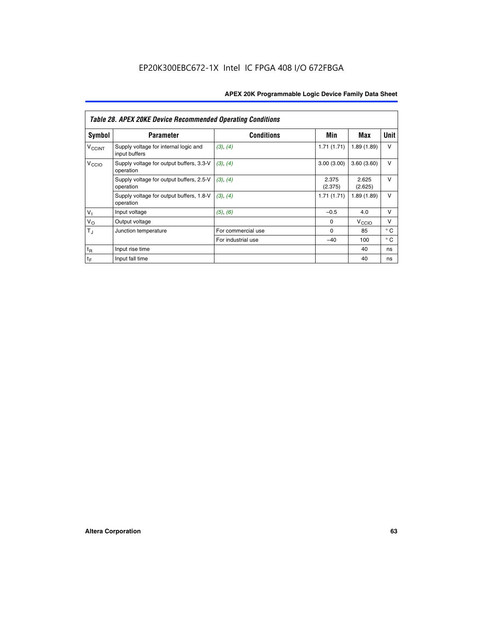|                          | <b>Table 28. APEX 20KE Device Recommended Operating Conditions</b> |                    |                  |                   |              |
|--------------------------|--------------------------------------------------------------------|--------------------|------------------|-------------------|--------------|
| <b>Symbol</b>            | <b>Parameter</b>                                                   | <b>Conditions</b>  | Min              | Max               | <b>Unit</b>  |
| <b>V<sub>CCINT</sub></b> | Supply voltage for internal logic and<br>input buffers             | (3), (4)           | 1.71(1.71)       | 1.89(1.89)        | $\vee$       |
| V <sub>CCIO</sub>        | Supply voltage for output buffers, 3.3-V<br>operation              | (3), (4)           | 3.00(3.00)       | 3.60(3.60)        | V            |
|                          | Supply voltage for output buffers, 2.5-V<br>operation              | (3), (4)           | 2.375<br>(2.375) | 2.625<br>(2.625)  | $\vee$       |
|                          | Supply voltage for output buffers, 1.8-V<br>operation              | (3), (4)           | 1.71(1.71)       | 1.89(1.89)        | V            |
| $V_1$                    | Input voltage                                                      | (5), (6)           | $-0.5$           | 4.0               | $\vee$       |
| $V_{\rm O}$              | Output voltage                                                     |                    | $\Omega$         | V <sub>CCIO</sub> | v            |
| $T_{\rm J}$              | Junction temperature                                               | For commercial use | $\Omega$         | 85                | $^{\circ}$ C |
|                          |                                                                    | For industrial use | $-40$            | 100               | $^{\circ}$ C |
| $t_{R}$                  | Input rise time                                                    |                    |                  | 40                | ns           |
| $t_{\mathsf{F}}$         | Input fall time                                                    |                    |                  | 40                | ns           |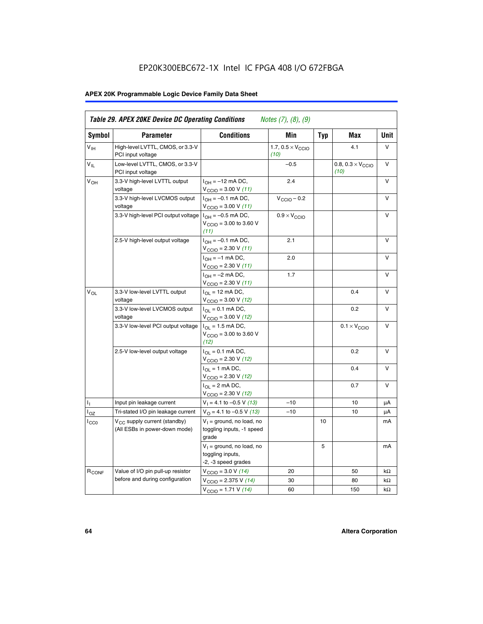# EP20K300EBC672-1X Intel IC FPGA 408 I/O 672FBGA

# **APEX 20K Programmable Logic Device Family Data Sheet**

| Symbol            | <b>Parameter</b>                                                          | <b>Conditions</b>                                                                        | Min                                       | <b>Typ</b> | Max                                       | Unit      |
|-------------------|---------------------------------------------------------------------------|------------------------------------------------------------------------------------------|-------------------------------------------|------------|-------------------------------------------|-----------|
| $V_{\text{IH}}$   | High-level LVTTL, CMOS, or 3.3-V<br>PCI input voltage                     |                                                                                          | 1.7, $0.5 \times V_{\text{CCIO}}$<br>(10) |            | 4.1                                       | V         |
| $V_{IL}$          | Low-level LVTTL, CMOS, or 3.3-V<br>PCI input voltage                      |                                                                                          | $-0.5$                                    |            | 0.8, $0.3 \times V_{\text{CCIO}}$<br>(10) | $\vee$    |
| $V_{OH}$          | 3.3-V high-level LVTTL output<br>voltage                                  | $I_{OH} = -12$ mA DC,<br>$V_{\text{CCIO}} = 3.00 V (11)$                                 | 2.4                                       |            |                                           | v         |
|                   | 3.3-V high-level LVCMOS output<br>voltage                                 | $I_{OH} = -0.1$ mA DC,<br>$V_{\text{CCIO}} = 3.00 V (11)$                                | $V_{\text{CGIO}} - 0.2$                   |            |                                           | v         |
|                   | 3.3-V high-level PCI output voltage $I_{OH} = -0.5$ mA DC,                | $V_{\text{CGIO}} = 3.00$ to 3.60 V<br>(11)                                               | $0.9 \times V_{\text{CCIO}}$              |            |                                           | $\vee$    |
|                   | 2.5-V high-level output voltage                                           | $I_{OH} = -0.1$ mA DC,<br>$V_{\text{CCIO}} = 2.30 V (11)$                                | 2.1                                       |            |                                           | v         |
|                   |                                                                           | $I_{OH} = -1$ mA DC,<br>$V_{\text{CCIO}} = 2.30 V (11)$                                  | 2.0                                       |            |                                           | $\vee$    |
|                   |                                                                           | $I_{OH} = -2$ mA DC,<br>$V_{\text{CCIO}}$ = 2.30 V (11)                                  | 1.7                                       |            |                                           | v         |
| $V_{OL}$          | 3.3-V low-level LVTTL output<br>voltage                                   | $I_{OL}$ = 12 mA DC,<br>$V_{\text{CCIO}} = 3.00 V (12)$                                  |                                           |            | 0.4                                       | v         |
|                   | 3.3-V low-level LVCMOS output<br>voltage                                  | $I_{\Omega} = 0.1$ mA DC,<br>$V_{\text{CCIO}} = 3.00 V (12)$                             |                                           |            | 0.2                                       | $\vee$    |
|                   | 3.3-V low-level PCI output voltage                                        | $I_{\Omega}$ = 1.5 mA DC,<br>$V_{\text{CGIQ}} = 3.00 \text{ to } 3.60 \text{ V}$<br>(12) |                                           |            | $0.1 \times V_{\text{CCIO}}$              | V         |
|                   | 2.5-V low-level output voltage                                            | $I_{OL} = 0.1$ mA DC,<br>$V_{\text{CCIO}}$ = 2.30 V (12)                                 |                                           |            | 0.2                                       | v         |
|                   |                                                                           | $I_{\Omega}$ = 1 mA DC,<br>$V_{\text{CCIO}} = 2.30 V (12)$                               |                                           |            | 0.4                                       | v         |
|                   |                                                                           | $I_{\Omega} = 2 \text{ mA DC},$<br>$V_{\text{CCIO}} = 2.30 V (12)$                       |                                           |            | 0.7                                       | v         |
| Ъ.                | Input pin leakage current                                                 | $V_1 = 4.1$ to -0.5 V (13)                                                               | $-10$                                     |            | 10                                        | μA        |
| $I_{OZ}$          | Tri-stated I/O pin leakage current                                        | $V_{\Omega}$ = 4.1 to -0.5 V (13)                                                        | $-10$                                     |            | 10                                        | μA        |
| ICCO              | V <sub>CC</sub> supply current (standby)<br>(All ESBs in power-down mode) | $V_1$ = ground, no load, no<br>toggling inputs, -1 speed<br>grade                        |                                           | 10         |                                           | mA        |
|                   |                                                                           | $V_1$ = ground, no load, no<br>toggling inputs,<br>-2, -3 speed grades                   |                                           | 5          |                                           | mA        |
| R <sub>CONF</sub> | Value of I/O pin pull-up resistor                                         | $V_{\text{CCIO}} = 3.0 V (14)$                                                           | 20                                        |            | 50                                        | $k\Omega$ |
|                   | before and during configuration                                           | $V_{\text{CCIO}} = 2.375 V (14)$                                                         | 30                                        |            | 80                                        | kΩ        |
|                   |                                                                           | $V_{\text{CCIO}} = 1.71 V (14)$                                                          | 60                                        |            | 150                                       | $k\Omega$ |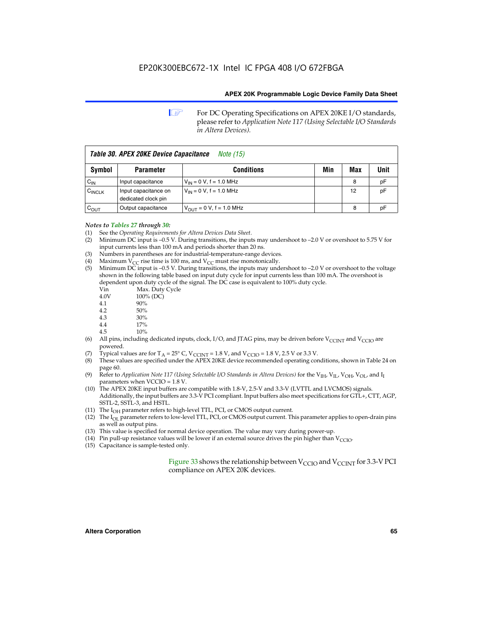**1 For DC Operating Specifications on APEX 20KE I/O standards,** please refer to *Application Note 117 (Using Selectable I/O Standards in Altera Devices).*

| Table 30. APEX 20KE Device Capacitance<br><i>Note</i> (15) |                                             |                                |     |     |      |
|------------------------------------------------------------|---------------------------------------------|--------------------------------|-----|-----|------|
| <b>Symbol</b>                                              | <b>Parameter</b>                            | <b>Conditions</b>              | Min | Max | Unit |
| $C_{\text{IN}}$                                            | Input capacitance                           | $V_{IN} = 0 V$ , f = 1.0 MHz   |     | 8   | рF   |
| $C_{\text{INCLK}}$                                         | Input capacitance on<br>dedicated clock pin | $V_{IN} = 0 V$ , f = 1.0 MHz   |     | 12  | pF   |
| $C_{OUT}$                                                  | Output capacitance                          | $V_{OUIT} = 0 V$ , f = 1.0 MHz |     | 8   | рF   |

#### *Notes to Tables 27 through 30:*

- (1) See the *Operating Requirements for Altera Devices Data Sheet*.
- (2) Minimum DC input is –0.5 V. During transitions, the inputs may undershoot to –2.0 V or overshoot to 5.75 V for input currents less than 100 mA and periods shorter than 20 ns.
- (3) Numbers in parentheses are for industrial-temperature-range devices.
- (4) Maximum  $V_{CC}$  rise time is 100 ms, and  $V_{CC}$  must rise monotonically.<br>(5) Minimum DC input is -0.5 V. During transitions, the inputs may und
- Minimum DC input is  $-0.5$  V. During transitions, the inputs may undershoot to  $-2.0$  V or overshoot to the voltage shown in the following table based on input duty cycle for input currents less than 100 mA. The overshoot is dependent upon duty cycle of the signal. The DC case is equivalent to 100% duty cycle.

| Vin  | Max. Duty Cycle |
|------|-----------------|
| 4.0V | 100% (DC)       |
| 4.1  | 90%             |
| 4.2  | 50%             |
| 4.3  | 30%             |
|      |                 |

- 4.4  $17\%$ <br>4.5  $10\%$
- 10%
- (6) All pins, including dedicated inputs, clock, I/O, and JTAG pins, may be driven before  $V_{\text{CCINT}}$  and  $V_{\text{CCIO}}$  are powered.
- (7) Typical values are for  $T_A = 25^\circ$  C, V<sub>CCINT</sub> = 1.8 V, and V<sub>CCIO</sub> = 1.8 V, 2.5 V or 3.3 V.
- (8) These values are specified under the APEX 20KE device recommended operating conditions, shown in Table 24 on page 60.
- (9) Refer to *Application Note 117 (Using Selectable I/O Standards in Altera Devices)* for the V<sub>IH</sub>, V<sub>IL</sub>, V<sub>OH</sub>, V<sub>OL</sub>, and I<sub>I</sub> parameters when VCCIO = 1.8 V.
- (10) The APEX 20KE input buffers are compatible with 1.8-V, 2.5-V and 3.3-V (LVTTL and LVCMOS) signals. Additionally, the input buffers are 3.3-V PCI compliant. Input buffers also meet specifications for GTL+, CTT, AGP, SSTL-2, SSTL-3, and HSTL.
- (11) The  $I_{OH}$  parameter refers to high-level TTL, PCI, or CMOS output current.
- (12) The I<sub>OL</sub> parameter refers to low-level TTL, PCI, or CMOS output current. This parameter applies to open-drain pins as well as output pins.
- (13) This value is specified for normal device operation. The value may vary during power-up.
- (14) Pin pull-up resistance values will be lower if an external source drives the pin higher than  $V_{CCIO}$ .
- (15) Capacitance is sample-tested only.

Figure 33 shows the relationship between  $V_{\text{CCIO}}$  and  $V_{\text{CCINT}}$  for 3.3-V PCI compliance on APEX 20K devices.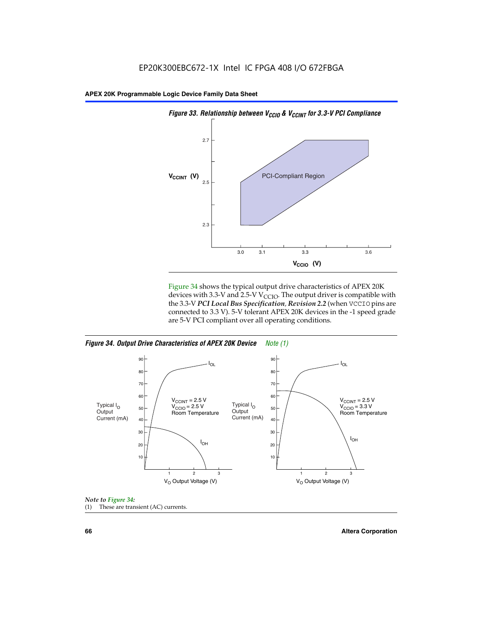

Figure 34 shows the typical output drive characteristics of APEX 20K devices with 3.3-V and 2.5-V V<sub>CCIO</sub>. The output driver is compatible with the 3.3-V *PCI Local Bus Specification, Revision 2.2* (when VCCIO pins are connected to 3.3 V). 5-V tolerant APEX 20K devices in the -1 speed grade are 5-V PCI compliant over all operating conditions.







**66 Altera Corporation**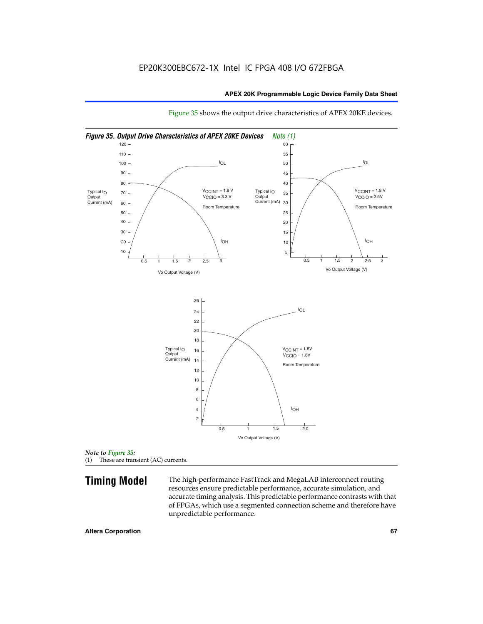

Figure 35 shows the output drive characteristics of APEX 20KE devices.

*Note to Figure 35:* (1) These are transient (AC) currents.

**Timing Model** The high-performance FastTrack and MegaLAB interconnect routing resources ensure predictable performance, accurate simulation, and accurate timing analysis. This predictable performance contrasts with that of FPGAs, which use a segmented connection scheme and therefore have unpredictable performance.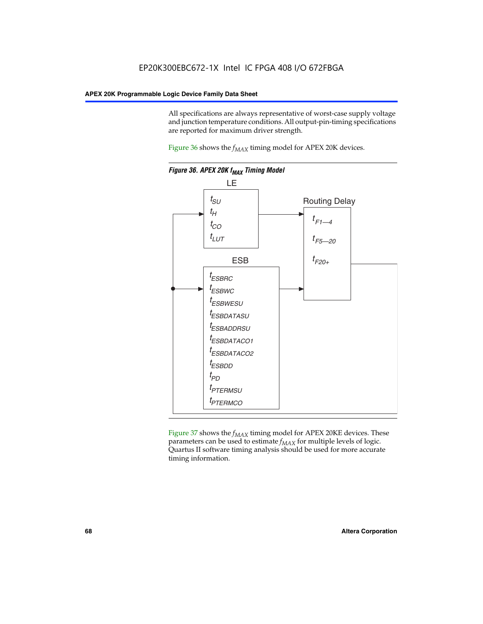All specifications are always representative of worst-case supply voltage and junction temperature conditions. All output-pin-timing specifications are reported for maximum driver strength.

Figure  $36$  shows the  $f_{MAX}$  timing model for APEX 20K devices.



Figure 37 shows the  $f_{MAX}$  timing model for APEX 20KE devices. These parameters can be used to estimate  $f_{MAX}$  for multiple levels of logic. Quartus II software timing analysis should be used for more accurate timing information.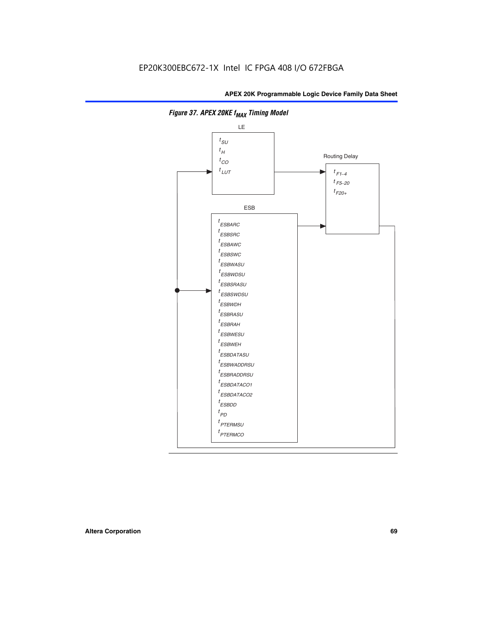

**Figure 37. APEX 20KE f<sub>MAX</sub> Timing Model**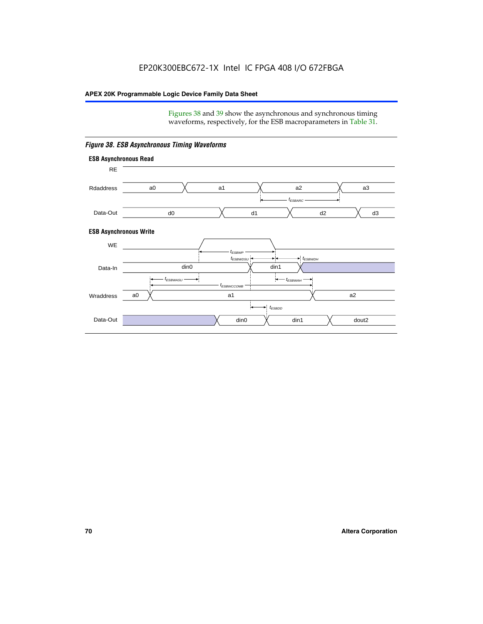Figures 38 and 39 show the asynchronous and synchronous timing waveforms, respectively, for the ESB macroparameters in Table 31.



*Figure 38. ESB Asynchronous Timing Waveforms*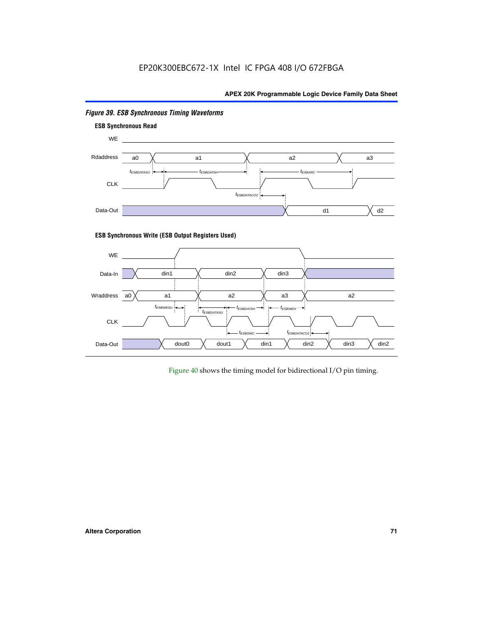

# *Figure 39. ESB Synchronous Timing Waveforms*

# **ESB Synchronous Write (ESB Output Registers Used)**



Figure 40 shows the timing model for bidirectional I/O pin timing.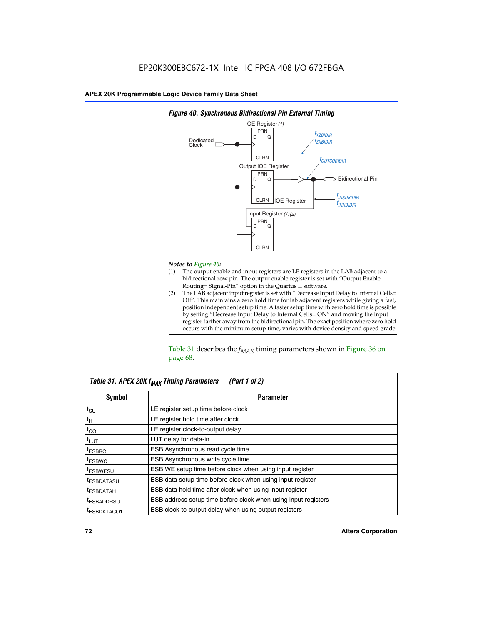

## *Figure 40. Synchronous Bidirectional Pin External Timing*

# *Notes to Figure 40:*

- The output enable and input registers are LE registers in the LAB adjacent to a bidirectional row pin. The output enable register is set with "Output Enable Routing= Signal-Pin" option in the Quartus II software.
- (2) The LAB adjacent input register is set with "Decrease Input Delay to Internal Cells= Off". This maintains a zero hold time for lab adjacent registers while giving a fast, position independent setup time. A faster setup time with zero hold time is possible by setting "Decrease Input Delay to Internal Cells= ON" and moving the input register farther away from the bidirectional pin. The exact position where zero hold occurs with the minimum setup time, varies with device density and speed grade.

Table 31 describes the  $f_{MAX}$  timing parameters shown in Figure 36 on page 68.

| Table 31. APEX 20K f <sub>MAX</sub> Timing Parameters<br>(Part 1 of 2) |                                                                |  |  |  |  |
|------------------------------------------------------------------------|----------------------------------------------------------------|--|--|--|--|
| Symbol                                                                 | <b>Parameter</b><br>LE register setup time before clock        |  |  |  |  |
| $t_{\text{SU}}$                                                        |                                                                |  |  |  |  |
| $t_H$                                                                  | LE register hold time after clock                              |  |  |  |  |
| $t_{CO}$                                                               | LE register clock-to-output delay                              |  |  |  |  |
| t <sub>LUT</sub>                                                       | LUT delay for data-in                                          |  |  |  |  |
| <sup>t</sup> ESBRC                                                     | ESB Asynchronous read cycle time                               |  |  |  |  |
| <sup>t</sup> ESBWC                                                     | ESB Asynchronous write cycle time                              |  |  |  |  |
| <sup>t</sup> ESBWESU                                                   | ESB WE setup time before clock when using input register       |  |  |  |  |
| <sup>t</sup> ESBDATASU                                                 | ESB data setup time before clock when using input register     |  |  |  |  |
| <sup>t</sup> ESBDATAH                                                  | ESB data hold time after clock when using input register       |  |  |  |  |
| <sup>t</sup> ESBADDRSU                                                 | ESB address setup time before clock when using input registers |  |  |  |  |
| ESBDATACO1                                                             | ESB clock-to-output delay when using output registers          |  |  |  |  |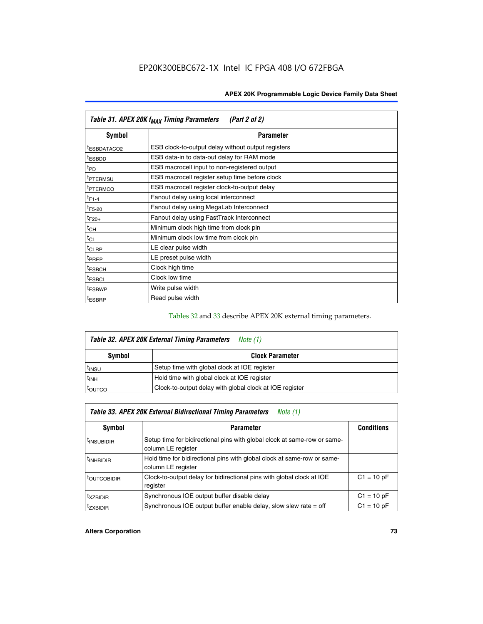| Table 31. APEX 20K f <sub>MAX</sub> Timing Parameters<br>(Part 2 of 2) |                                                    |  |  |  |  |
|------------------------------------------------------------------------|----------------------------------------------------|--|--|--|--|
| Symbol                                                                 | <b>Parameter</b>                                   |  |  |  |  |
| t <sub>ESBDATACO2</sub>                                                | ESB clock-to-output delay without output registers |  |  |  |  |
| <sup>t</sup> ESBDD                                                     | ESB data-in to data-out delay for RAM mode         |  |  |  |  |
| t <sub>PD</sub>                                                        | ESB macrocell input to non-registered output       |  |  |  |  |
| <sup>t</sup> PTERMSU                                                   | ESB macrocell register setup time before clock     |  |  |  |  |
| <sup>t</sup> PTERMCO                                                   | ESB macrocell register clock-to-output delay       |  |  |  |  |
| $t_{F1-4}$                                                             | Fanout delay using local interconnect              |  |  |  |  |
| $t_{F5-20}$                                                            | Fanout delay using MegaLab Interconnect            |  |  |  |  |
| $t_{F20+}$                                                             | Fanout delay using FastTrack Interconnect          |  |  |  |  |
| $t_{CH}$                                                               | Minimum clock high time from clock pin             |  |  |  |  |
| $t_{CL}$                                                               | Minimum clock low time from clock pin              |  |  |  |  |
| $t_{CLRP}$                                                             | LE clear pulse width                               |  |  |  |  |
| t <sub>PREP</sub>                                                      | LE preset pulse width                              |  |  |  |  |
| <sup>t</sup> ESBCH                                                     | Clock high time                                    |  |  |  |  |
| <sup>t</sup> ESBCL                                                     | Clock low time                                     |  |  |  |  |
| <sup>t</sup> ESBWP                                                     | Write pulse width                                  |  |  |  |  |
| <sup>t</sup> ESBRP                                                     | Read pulse width                                   |  |  |  |  |

## Tables 32 and 33 describe APEX 20K external timing parameters.

| Table 32. APEX 20K External Timing Parameters<br>Note (1) |                                                         |  |  |  |  |
|-----------------------------------------------------------|---------------------------------------------------------|--|--|--|--|
| Symbol                                                    | <b>Clock Parameter</b>                                  |  |  |  |  |
| t <sub>INSU</sub>                                         | Setup time with global clock at IOE register            |  |  |  |  |
| $t_{INH}$                                                 | Hold time with global clock at IOE register             |  |  |  |  |
| toutco                                                    | Clock-to-output delay with global clock at IOE register |  |  |  |  |

| Table 33. APEX 20K External Bidirectional Timing Parameters<br>Note (1) |                                                                                                |              |  |  |  |
|-------------------------------------------------------------------------|------------------------------------------------------------------------------------------------|--------------|--|--|--|
| Symbol<br><b>Conditions</b><br><b>Parameter</b>                         |                                                                                                |              |  |  |  |
| <sup>I</sup> INSUBIDIR                                                  | Setup time for bidirectional pins with global clock at same-row or same-<br>column LE register |              |  |  |  |
| <sup>t</sup> INHBIDIR                                                   | Hold time for bidirectional pins with global clock at same-row or same-<br>column LE register  |              |  |  |  |
| <sup>t</sup> OUTCOBIDIR                                                 | Clock-to-output delay for bidirectional pins with global clock at IOE<br>register              | $C1 = 10 pF$ |  |  |  |
| <sup>t</sup> xzbidir                                                    | Synchronous IOE output buffer disable delay                                                    | $C1 = 10 pF$ |  |  |  |
| <sup>I</sup> ZXBIDIR                                                    | Synchronous IOE output buffer enable delay, slow slew rate $=$ off                             | $C1 = 10 pF$ |  |  |  |

## **Altera Corporation 73**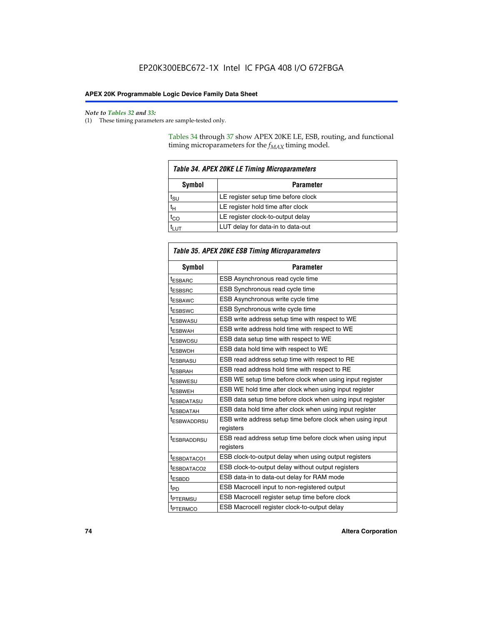$\mathbf{r}$ 

#### *Note to Tables 32 and 33:*

(1) These timing parameters are sample-tested only.

Tables 34 through 37 show APEX 20KE LE, ESB, routing, and functional timing microparameters for the  $f_{MAX}$  timing model.

| <b>Table 34. APEX 20KE LE Timing Microparameters</b> |                                     |  |  |  |  |
|------------------------------------------------------|-------------------------------------|--|--|--|--|
| Symbol<br><b>Parameter</b>                           |                                     |  |  |  |  |
| t <sub>SU</sub>                                      | LE register setup time before clock |  |  |  |  |
| $t_H$                                                | LE register hold time after clock   |  |  |  |  |
| $t_{CO}$                                             | LE register clock-to-output delay   |  |  |  |  |
| <b>LUT</b>                                           | LUT delay for data-in to data-out   |  |  |  |  |

| Table 35. APEX 20KE ESB Timing Microparameters |                                                            |  |  |  |
|------------------------------------------------|------------------------------------------------------------|--|--|--|
| Symbol                                         | <b>Parameter</b>                                           |  |  |  |
| <sup>t</sup> ESBARC                            | ESB Asynchronous read cycle time                           |  |  |  |
| <sup>t</sup> ESBSRC                            | ESB Synchronous read cycle time                            |  |  |  |
| <b><i>ESBAWC</i></b>                           | ESB Asynchronous write cycle time                          |  |  |  |
| t <sub>ESBSWC</sub>                            | ESB Synchronous write cycle time                           |  |  |  |
| t <sub>ESBWASU</sub>                           | ESB write address setup time with respect to WE            |  |  |  |
| <sup>t</sup> ESBWAH                            | ESB write address hold time with respect to WE             |  |  |  |
| t <sub>ESBWDSU</sub>                           | ESB data setup time with respect to WE                     |  |  |  |
| <sup>t</sup> ESBWDH                            | ESB data hold time with respect to WE                      |  |  |  |
| tESBRASU                                       | ESB read address setup time with respect to RE             |  |  |  |
| <sup>t</sup> ESBRAH                            | ESB read address hold time with respect to RE              |  |  |  |
| <i><b>ESBWESU</b></i>                          | ESB WE setup time before clock when using input register   |  |  |  |
| t <sub>ESBWEH</sub>                            | ESB WE hold time after clock when using input register     |  |  |  |
| <i><b><i>ESBDATASU</i></b></i>                 | ESB data setup time before clock when using input register |  |  |  |
| t <sub>ESBDATAH</sub>                          | ESB data hold time after clock when using input register   |  |  |  |
| t <sub>ESBWADDRSU</sub>                        | ESB write address setup time before clock when using input |  |  |  |
|                                                | registers                                                  |  |  |  |
| <i><b>LESBRADDRSU</b></i>                      | ESB read address setup time before clock when using input  |  |  |  |
|                                                | registers                                                  |  |  |  |
| t <sub>ESBDATACO1</sub>                        | ESB clock-to-output delay when using output registers      |  |  |  |
| t <sub>ESBDATACO2</sub>                        | ESB clock-to-output delay without output registers         |  |  |  |
| $t_{ESBDD}$                                    | ESB data-in to data-out delay for RAM mode                 |  |  |  |
| $t_{\mathsf{PD}}$                              | ESB Macrocell input to non-registered output               |  |  |  |
| t <sub>PTERMSU</sub>                           | ESB Macrocell register setup time before clock             |  |  |  |
| t <sub>PTERMCO</sub>                           | ESB Macrocell register clock-to-output delay               |  |  |  |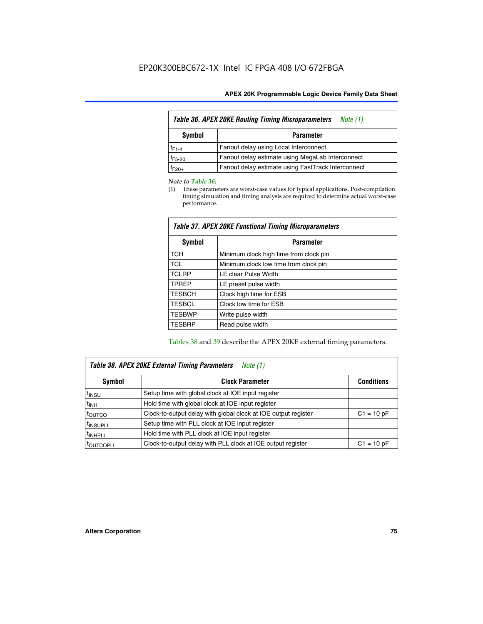| <b>Table 36. APEX 20KE Routing Timing Microparameters</b><br>Note (1) |                                                    |  |  |  |  |
|-----------------------------------------------------------------------|----------------------------------------------------|--|--|--|--|
| Symbol<br><b>Parameter</b>                                            |                                                    |  |  |  |  |
| $t_{F1-4}$                                                            | Fanout delay using Local Interconnect              |  |  |  |  |
| $t_{F5-20}$                                                           | Fanout delay estimate using MegaLab Interconnect   |  |  |  |  |
| $t_{F20+}$                                                            | Fanout delay estimate using FastTrack Interconnect |  |  |  |  |

#### *Note to Table 36:*

(1) These parameters are worst-case values for typical applications. Post-compilation timing simulation and timing analysis are required to determine actual worst-case performance.

| Symbol        | <b>Parameter</b>                       |
|---------------|----------------------------------------|
| <b>TCH</b>    | Minimum clock high time from clock pin |
| <b>TCL</b>    | Minimum clock low time from clock pin  |
| <b>TCLRP</b>  | LE clear Pulse Width                   |
| <b>TPREP</b>  | LE preset pulse width                  |
| <b>TESBCH</b> | Clock high time for ESB                |
| <b>TESBCL</b> | Clock low time for ESB                 |
| <b>TESBWP</b> | Write pulse width                      |
| <b>TESBRP</b> | Read pulse width                       |

## *Table 37. APEX 20KE Functional Timing Microparameters*

Tables 38 and 39 describe the APEX 20KE external timing parameters.

| Table 38. APEX 20KE External Timing Parameters<br>Note (1) |                                                                |              |  |  |  |
|------------------------------------------------------------|----------------------------------------------------------------|--------------|--|--|--|
| <b>Clock Parameter</b><br>Symbol<br><b>Conditions</b>      |                                                                |              |  |  |  |
| <sup>t</sup> insu                                          | Setup time with global clock at IOE input register             |              |  |  |  |
| $t_{\text{INH}}$                                           | Hold time with global clock at IOE input register              |              |  |  |  |
| toutco                                                     | Clock-to-output delay with global clock at IOE output register | $C1 = 10 pF$ |  |  |  |
| <sup>t</sup> INSUPLL                                       | Setup time with PLL clock at IOE input register                |              |  |  |  |
| <sup>t</sup> INHPLL                                        | Hold time with PLL clock at IOE input register                 |              |  |  |  |
| <sup>I</sup> OUTCOPLL                                      | Clock-to-output delay with PLL clock at IOE output register    | $C1 = 10 pF$ |  |  |  |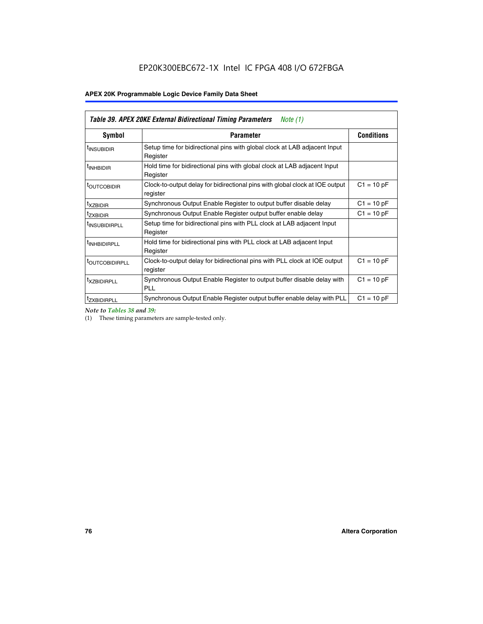| Table 39. APEX 20KE External Bidirectional Timing Parameters<br>Note $(1)$ |                                                                                                          |              |  |  |  |  |  |  |
|----------------------------------------------------------------------------|----------------------------------------------------------------------------------------------------------|--------------|--|--|--|--|--|--|
| Symbol                                                                     | <b>Conditions</b><br><b>Parameter</b>                                                                    |              |  |  |  |  |  |  |
| <sup>t</sup> INSUBIDIR                                                     | Setup time for bidirectional pins with global clock at LAB adjacent Input<br>Register                    |              |  |  |  |  |  |  |
| <sup>t</sup> INHBIDIR                                                      | Hold time for bidirectional pins with global clock at LAB adjacent Input<br>Register                     |              |  |  |  |  |  |  |
| <b><i>LOUTCOBIDIR</i></b>                                                  | $C1 = 10 pF$<br>Clock-to-output delay for bidirectional pins with global clock at IOE output<br>register |              |  |  |  |  |  |  |
| t <sub>XZBIDIR</sub>                                                       | $C1 = 10 pF$<br>Synchronous Output Enable Register to output buffer disable delay                        |              |  |  |  |  |  |  |
| <sup>t</sup> zxbidir                                                       | Synchronous Output Enable Register output buffer enable delay                                            | $C1 = 10 pF$ |  |  |  |  |  |  |
| <sup>I</sup> INSUBIDIRPLL                                                  | Setup time for bidirectional pins with PLL clock at LAB adjacent Input<br>Register                       |              |  |  |  |  |  |  |
| <sup>t</sup> INHBIDIRPLL                                                   | Hold time for bidirectional pins with PLL clock at LAB adjacent Input<br>Register                        |              |  |  |  |  |  |  |
| <sup>t</sup> OUTCOBIDIRPLL                                                 | Clock-to-output delay for bidirectional pins with PLL clock at IOE output<br>register                    | $C1 = 10 pF$ |  |  |  |  |  |  |
| <sup>t</sup> XZBIDIRPLL                                                    | Synchronous Output Enable Register to output buffer disable delay with<br><b>PLL</b>                     | $C1 = 10 pF$ |  |  |  |  |  |  |
| <sup>I</sup> ZXBIDIRPLL                                                    | Synchronous Output Enable Register output buffer enable delay with PLL                                   | $C1 = 10 pF$ |  |  |  |  |  |  |

*Note to Tables 38 and 39:*

(1) These timing parameters are sample-tested only.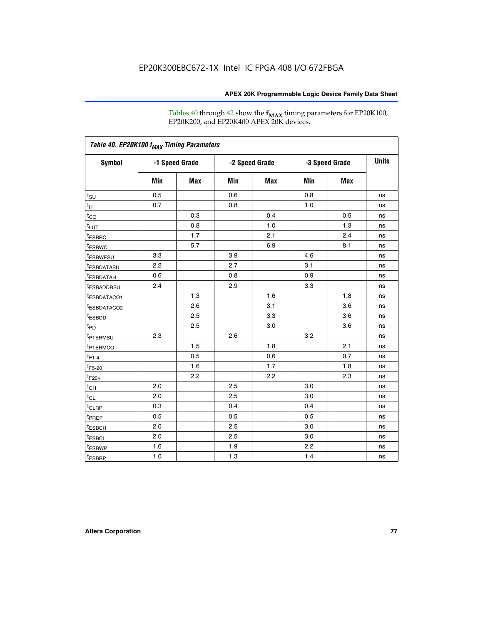Tables 40 through 42 show the **f<sub>MAX</sub>** timing parameters for EP20K100, EP20K200, and EP20K400 APEX 20K devices.

| Table 40. EP20K100 f <sub>MAX</sub> Timing Parameters |                |     |                |     |                |            |              |
|-------------------------------------------------------|----------------|-----|----------------|-----|----------------|------------|--------------|
| <b>Symbol</b>                                         | -1 Speed Grade |     | -2 Speed Grade |     | -3 Speed Grade |            | <b>Units</b> |
|                                                       | Min            | Max | Min            | Max | Min            | <b>Max</b> |              |
| $t_{\text{SU}}$                                       | 0.5            |     | 0.6            |     | 0.8            |            | ns           |
| $t_H$                                                 | 0.7            |     | 0.8            |     | 1.0            |            | ns           |
| $t_{CO}$                                              |                | 0.3 |                | 0.4 |                | 0.5        | ns           |
| $t_{LUT}$                                             |                | 0.8 |                | 1.0 |                | 1.3        | ns           |
| <sup>t</sup> ESBRC                                    |                | 1.7 |                | 2.1 |                | 2.4        | ns           |
| t <sub>ESBWC</sub>                                    |                | 5.7 |                | 6.9 |                | 8.1        | ns           |
| t <sub>ESBWESU</sub>                                  | 3.3            |     | 3.9            |     | 4.6            |            | ns           |
| <sup>t</sup> ESBDATASU                                | 2.2            |     | 2.7            |     | 3.1            |            | ns           |
| <sup>t</sup> ESBDATAH                                 | 0.6            |     | 0.8            |     | 0.9            |            | ns           |
| <sup>t</sup> ESBADDRSU                                | 2.4            |     | 2.9            |     | 3.3            |            | ns           |
| <sup>t</sup> ESBDATACO1                               |                | 1.3 |                | 1.6 |                | 1.8        | ns           |
| t <sub>ESBDATACO2</sub>                               |                | 2.6 |                | 3.1 |                | 3.6        | ns           |
| t <sub>ESBDD</sub>                                    |                | 2.5 |                | 3.3 |                | 3.6        | ns           |
| $t_{PD}$                                              |                | 2.5 |                | 3.0 |                | 3.6        | ns           |
| t <sub>PTERMSU</sub>                                  | 2.3            |     | 2.6            |     | 3.2            |            | ns           |
| t <sub>PTERMCO</sub>                                  |                | 1.5 |                | 1.8 |                | 2.1        | ns           |
| $t_{F1-4}$                                            |                | 0.5 |                | 0.6 |                | 0.7        | ns           |
| $t_{F5-20}$                                           |                | 1.6 |                | 1.7 |                | 1.8        | ns           |
| $t_{F20+}$                                            |                | 2.2 |                | 2.2 |                | 2.3        | ns           |
| $t_{\mathsf{CH}}$                                     | 2.0            |     | 2.5            |     | 3.0            |            | ns           |
| $t_{CL}$                                              | 2.0            |     | 2.5            |     | 3.0            |            | ns           |
| t <sub>CLRP</sub>                                     | 0.3            |     | 0.4            |     | 0.4            |            | ns           |
| t <sub>PREP</sub>                                     | 0.5            |     | 0.5            |     | 0.5            |            | ns           |
| <sup>t</sup> ESBCH                                    | 2.0            |     | 2.5            |     | 3.0            |            | ns           |
| <b>t</b> ESBCL                                        | 2.0            |     | 2.5            |     | 3.0            |            | ns           |
| t <sub>ESBWP</sub>                                    | 1.6            |     | 1.9            |     | 2.2            |            | ns           |
| $t_{ESBRP}$                                           | 1.0            |     | 1.3            |     | 1.4            |            | ns           |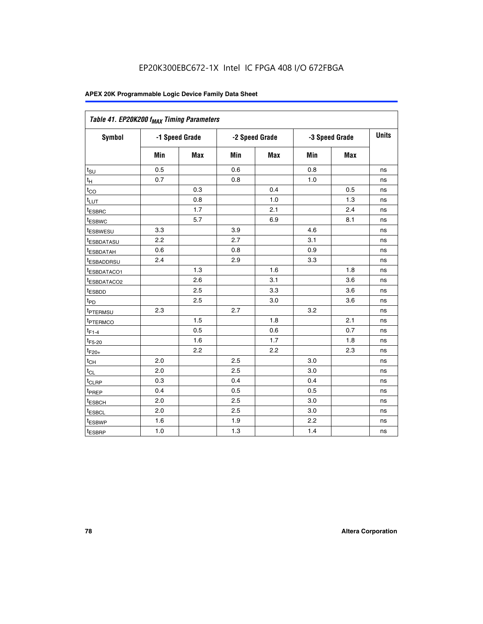| Table 41. EP20K200 f <sub>MAX</sub> Timing Parameters |     |                |     |                |     |                |    |
|-------------------------------------------------------|-----|----------------|-----|----------------|-----|----------------|----|
| Symbol                                                |     | -1 Speed Grade |     | -2 Speed Grade |     | -3 Speed Grade |    |
|                                                       | Min | Max            | Min | <b>Max</b>     | Min | Max            |    |
| $t_{\text{SU}}$                                       | 0.5 |                | 0.6 |                | 0.8 |                | ns |
| $t_H$                                                 | 0.7 |                | 0.8 |                | 1.0 |                | ns |
| $t_{CO}$                                              |     | 0.3            |     | 0.4            |     | 0.5            | ns |
| $t_{LUT}$                                             |     | 0.8            |     | 1.0            |     | 1.3            | ns |
| t <sub>ESBRC</sub>                                    |     | 1.7            |     | 2.1            |     | 2.4            | ns |
| t <sub>ESBWC</sub>                                    |     | 5.7            |     | 6.9            |     | 8.1            | ns |
| t <sub>ESBWESU</sub>                                  | 3.3 |                | 3.9 |                | 4.6 |                | ns |
| <sup>t</sup> ESBDATASU                                | 2.2 |                | 2.7 |                | 3.1 |                | ns |
| t <sub>ESBDATAH</sub>                                 | 0.6 |                | 0.8 |                | 0.9 |                | ns |
| t <sub>ESBADDRSU</sub>                                | 2.4 |                | 2.9 |                | 3.3 |                | ns |
| <u>t<sub>ESBDATACO1</sub></u>                         |     | 1.3            |     | 1.6            |     | 1.8            | ns |
| <sup>t</sup> ESBDATACO2                               |     | 2.6            |     | 3.1            |     | 3.6            | ns |
| t <sub>ESBDD</sub>                                    |     | 2.5            |     | 3.3            |     | 3.6            | ns |
| t <sub>PD</sub>                                       |     | 2.5            |     | 3.0            |     | 3.6            | ns |
| t <sub>PTERMSU</sub>                                  | 2.3 |                | 2.7 |                | 3.2 |                | ns |
| t <sub>PTERMCO</sub>                                  |     | 1.5            |     | 1.8            |     | 2.1            | ns |
| $t_{F1-4}$                                            |     | 0.5            |     | 0.6            |     | 0.7            | ns |
| $t_{F5-20}$                                           |     | 1.6            |     | 1.7            |     | 1.8            | ns |
| $t_{F20+}$                                            |     | 2.2            |     | 2.2            |     | 2.3            | ns |
| $\textnormal{t}_{\textnormal{CH}}$                    | 2.0 |                | 2.5 |                | 3.0 |                | ns |
| $t_{CL}$                                              | 2.0 |                | 2.5 |                | 3.0 |                | ns |
| t <sub>CLRP</sub>                                     | 0.3 |                | 0.4 |                | 0.4 |                | ns |
| t <sub>PREP</sub>                                     | 0.4 |                | 0.5 |                | 0.5 |                | ns |
| t <sub>ESBCH</sub>                                    | 2.0 |                | 2.5 |                | 3.0 |                | ns |
| t <sub>ESBCL</sub>                                    | 2.0 |                | 2.5 |                | 3.0 |                | ns |
| t <sub>ESBWP</sub>                                    | 1.6 |                | 1.9 |                | 2.2 |                | ns |
| t <sub>ESBRP</sub>                                    | 1.0 |                | 1.3 |                | 1.4 |                | ns |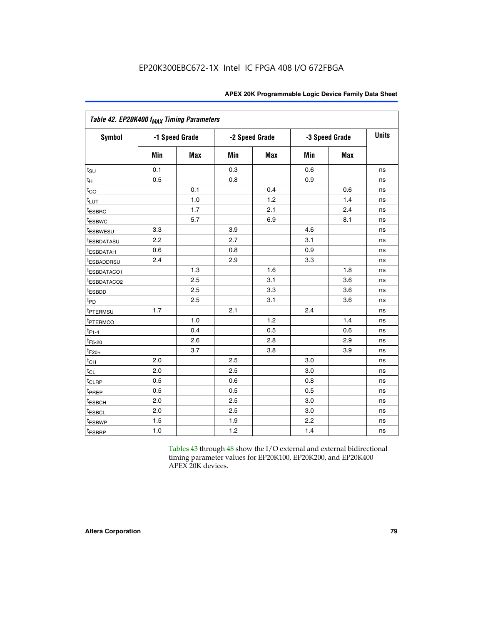|                         | Table 42. EP20K400 f <sub>MAX</sub> Timing Parameters |                |     |                |     |                |              |  |  |  |  |  |
|-------------------------|-------------------------------------------------------|----------------|-----|----------------|-----|----------------|--------------|--|--|--|--|--|
| <b>Symbol</b>           |                                                       | -1 Speed Grade |     | -2 Speed Grade |     | -3 Speed Grade | <b>Units</b> |  |  |  |  |  |
|                         | Min                                                   | Max            | Min | <b>Max</b>     | Min | <b>Max</b>     |              |  |  |  |  |  |
| $t_{\text{SU}}$         | 0.1                                                   |                | 0.3 |                | 0.6 |                | ns           |  |  |  |  |  |
| $t_{\mathsf{H}}$        | 0.5                                                   |                | 0.8 |                | 0.9 |                | ns           |  |  |  |  |  |
| $t_{CO}$                |                                                       | 0.1            |     | 0.4            |     | 0.6            | ns           |  |  |  |  |  |
| $t_{LUT}$               |                                                       | 1.0            |     | 1.2            |     | 1.4            | ns           |  |  |  |  |  |
| t <sub>ESBRC</sub>      |                                                       | 1.7            |     | 2.1            |     | 2.4            | ns           |  |  |  |  |  |
| <sup>t</sup> ESBWC      |                                                       | 5.7            |     | 6.9            |     | 8.1            | ns           |  |  |  |  |  |
| <i>t</i> ESBWESU        | 3.3                                                   |                | 3.9 |                | 4.6 |                | ns           |  |  |  |  |  |
| t <sub>ESBDATASU</sub>  | 2.2                                                   |                | 2.7 |                | 3.1 |                | ns           |  |  |  |  |  |
| <sup>t</sup> ESBDATAH   | 0.6                                                   |                | 0.8 |                | 0.9 |                | ns           |  |  |  |  |  |
| <sup>t</sup> ESBADDRSU  | 2.4                                                   |                | 2.9 |                | 3.3 |                | ns           |  |  |  |  |  |
| t <sub>ESBDATACO1</sub> |                                                       | 1.3            |     | 1.6            |     | 1.8            | ns           |  |  |  |  |  |
| <sup>t</sup> ESBDATACO2 |                                                       | 2.5            |     | 3.1            |     | 3.6            | ns           |  |  |  |  |  |
| t <sub>ESBDD</sub>      |                                                       | 2.5            |     | 3.3            |     | 3.6            | ns           |  |  |  |  |  |
| $t_{PD}$                |                                                       | 2.5            |     | 3.1            |     | 3.6            | ns           |  |  |  |  |  |
| t <sub>PTERMSU</sub>    | 1.7                                                   |                | 2.1 |                | 2.4 |                | ns           |  |  |  |  |  |
| t <sub>PTERMCO</sub>    |                                                       | 1.0            |     | 1.2            |     | 1.4            | ns           |  |  |  |  |  |
| $t_{F1-4}$              |                                                       | 0.4            |     | 0.5            |     | 0.6            | ns           |  |  |  |  |  |
| $t_{F5-20}$             |                                                       | 2.6            |     | 2.8            |     | 2.9            | ns           |  |  |  |  |  |
| $t_{F20+}$              |                                                       | 3.7            |     | 3.8            |     | 3.9            | ns           |  |  |  |  |  |
| $t_{CH}$                | 2.0                                                   |                | 2.5 |                | 3.0 |                | ns           |  |  |  |  |  |
| $t_{CL}$                | 2.0                                                   |                | 2.5 |                | 3.0 |                | ns           |  |  |  |  |  |
| t <sub>CLRP</sub>       | 0.5                                                   |                | 0.6 |                | 0.8 |                | ns           |  |  |  |  |  |
| t <sub>PREP</sub>       | 0.5                                                   |                | 0.5 |                | 0.5 |                | ns           |  |  |  |  |  |
| t <sub>ESBCH</sub>      | 2.0                                                   |                | 2.5 |                | 3.0 |                | ns           |  |  |  |  |  |
| <b>t</b> ESBCL          | 2.0                                                   |                | 2.5 |                | 3.0 |                | ns           |  |  |  |  |  |
| t <sub>ESBWP</sub>      | 1.5                                                   |                | 1.9 |                | 2.2 |                | ns           |  |  |  |  |  |
| t <sub>ESBRP</sub>      | 1.0                                                   |                | 1.2 |                | 1.4 |                | ns           |  |  |  |  |  |

Tables 43 through 48 show the I/O external and external bidirectional timing parameter values for EP20K100, EP20K200, and EP20K400 APEX 20K devices.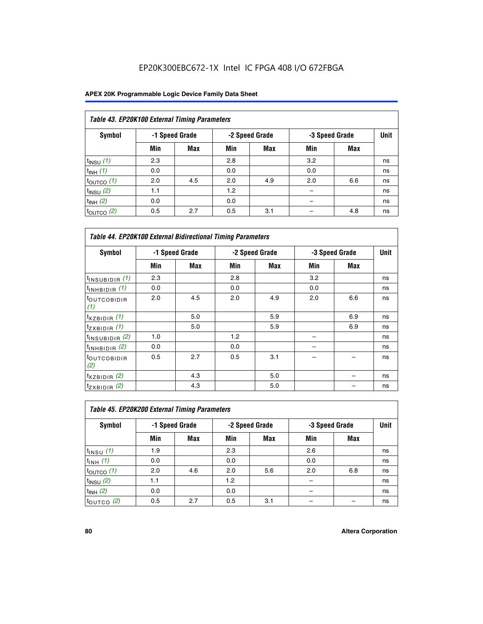| Table 43. EP20K100 External Timing Parameters |     |                |     |                |     |                |      |  |  |  |
|-----------------------------------------------|-----|----------------|-----|----------------|-----|----------------|------|--|--|--|
| Symbol                                        |     | -1 Speed Grade |     | -2 Speed Grade |     | -3 Speed Grade | Unit |  |  |  |
|                                               | Min | <b>Max</b>     | Min | <b>Max</b>     | Min | <b>Max</b>     |      |  |  |  |
| $t_{INSU}$ (1)                                | 2.3 |                | 2.8 |                | 3.2 |                | ns   |  |  |  |
| $t_{INH}$ (1)                                 | 0.0 |                | 0.0 |                | 0.0 |                | ns   |  |  |  |
| $t_{\text{OUTCO}}(1)$                         | 2.0 | 4.5            | 2.0 | 4.9            | 2.0 | 6.6            | ns   |  |  |  |
| $t_{INSU}$ (2)                                | 1.1 |                | 1.2 |                |     |                | ns   |  |  |  |
| $t_{INH}$ (2)                                 | 0.0 |                | 0.0 |                |     |                | ns   |  |  |  |
| $t_{\text{OUTCO}}$ (2)                        | 0.5 | 2.7            | 0.5 | 3.1            |     | 4.8            | ns   |  |  |  |

| <b>Table 44. EP20K100 External Bidirectional Timing Parameters</b> |                |     |     |                |     |                |             |
|--------------------------------------------------------------------|----------------|-----|-----|----------------|-----|----------------|-------------|
| <b>Symbol</b>                                                      | -1 Speed Grade |     |     | -2 Speed Grade |     | -3 Speed Grade | <b>Unit</b> |
|                                                                    | Min            | Max | Min | Max            | Min | Max            |             |
| $t_{\text{INSUBIDIR}}(1)$                                          | 2.3            |     | 2.8 |                | 3.2 |                | ns          |
| $t_{INHBIDIR}$ (1)                                                 | 0.0            |     | 0.0 |                | 0.0 |                | ns          |
| <sup>t</sup> OUTCOBIDIR<br>(1)                                     | 2.0            | 4.5 | 2.0 | 4.9            | 2.0 | 6.6            | ns          |
| $t_{XZBIDIR}$ (1)                                                  |                | 5.0 |     | 5.9            |     | 6.9            | ns          |
| $t_{ZXBIDIR}$ (1)                                                  |                | 5.0 |     | 5.9            |     | 6.9            | ns          |
| $t_{INSUBIDIR}$ (2)                                                | 1.0            |     | 1.2 |                |     |                | ns          |
| $t_{INHBIDIR}$ (2)                                                 | 0.0            |     | 0.0 |                |     |                | ns          |
| <sup>t</sup> OUTCOBIDIR<br>(2)                                     | 0.5            | 2.7 | 0.5 | 3.1            |     |                | ns          |
| $t_{XZBIDIR}$ (2)                                                  |                | 4.3 |     | 5.0            |     |                | ns          |
| $t_{ZXBIDIR}$ (2)                                                  |                | 4.3 |     | 5.0            |     |                | ns          |

| Table 45. EP20K200 External Timing Parameters |                |     |     |                |     |                |             |  |  |  |  |
|-----------------------------------------------|----------------|-----|-----|----------------|-----|----------------|-------------|--|--|--|--|
| Symbol                                        | -1 Speed Grade |     |     | -2 Speed Grade |     | -3 Speed Grade | <b>Unit</b> |  |  |  |  |
|                                               | Min            | Max | Min | Max            | Min | Max            |             |  |  |  |  |
| $t$ <sub>INSU</sub> $(1)$                     | 1.9            |     | 2.3 |                | 2.6 |                | ns          |  |  |  |  |
| $t_{INH}$ (1)                                 | 0.0            |     | 0.0 |                | 0.0 |                | ns          |  |  |  |  |
| $t_{\text{OUTCO}}(1)$                         | 2.0            | 4.6 | 2.0 | 5.6            | 2.0 | 6.8            | ns          |  |  |  |  |
| $t_{INSU}$ (2)                                | 1.1            |     | 1.2 |                |     |                | ns          |  |  |  |  |
| $t_{INH}$ (2)                                 | 0.0            |     | 0.0 |                |     |                | ns          |  |  |  |  |
| $t_{\text{OUTCO}}$ (2)                        | 0.5            | 2.7 | 0.5 | 3.1            |     |                | ns          |  |  |  |  |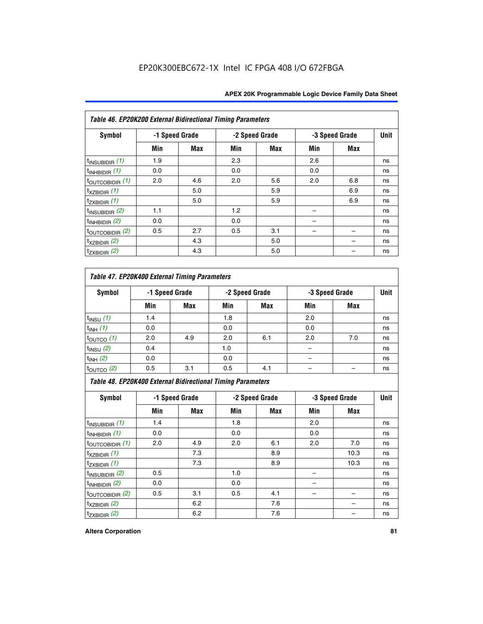| Table 46. EP20K200 External Bidirectional Timing Parameters |     |                |     |                |     |                |             |
|-------------------------------------------------------------|-----|----------------|-----|----------------|-----|----------------|-------------|
| <b>Symbol</b>                                               |     | -1 Speed Grade |     | -2 Speed Grade |     | -3 Speed Grade | <b>Unit</b> |
|                                                             | Min | <b>Max</b>     | Min | Max            | Min | <b>Max</b>     |             |
| $t_{\text{INSUBIDIR}}(1)$                                   | 1.9 |                | 2.3 |                | 2.6 |                | ns          |
| $t_{\text{INHBIDIR}}(1)$                                    | 0.0 |                | 0.0 |                | 0.0 |                | ns          |
| $t_{\text{OUTCOBIDIR}}(1)$                                  | 2.0 | 4.6            | 2.0 | 5.6            | 2.0 | 6.8            | ns          |
| $t_{XZBIDIR}$ (1)                                           |     | 5.0            |     | 5.9            |     | 6.9            | ns          |
| $t_{ZXBIDIR}$ (1)                                           |     | 5.0            |     | 5.9            |     | 6.9            | ns          |
| $t_{INSUBIDIR}$ (2)                                         | 1.1 |                | 1.2 |                |     |                | ns          |
| $t_{INHBIDIR}$ (2)                                          | 0.0 |                | 0.0 |                |     |                | ns          |
| $t_{\text{OUTCOBIDIR}}$ (2)                                 | 0.5 | 2.7            | 0.5 | 3.1            |     |                | ns          |
| $t_{XZBIDIR}$ (2)                                           |     | 4.3            |     | 5.0            |     |                | ns          |
| $t_{ZXBIDIR}$ (2)                                           |     | 4.3            |     | 5.0            |     |                | ns          |

## *Table 47. EP20K400 External Timing Parameters*

| Symbol                |     | -1 Speed Grade |     | -2 Speed Grade |     | -3 Speed Grade |    |  |
|-----------------------|-----|----------------|-----|----------------|-----|----------------|----|--|
|                       | Min | <b>Max</b>     | Min | <b>Max</b>     | Min | <b>Max</b>     |    |  |
| $t_{INSU}$ (1)        | 1.4 |                | 1.8 |                | 2.0 |                | ns |  |
| $t_{INH}$ (1)         | 0.0 |                | 0.0 |                | 0.0 |                | ns |  |
| $t_{\text{OUTCO}}(1)$ | 2.0 | 4.9            | 2.0 | 6.1            | 2.0 | 7.0            | ns |  |
| $t_{INSU}$ (2)        | 0.4 |                | 1.0 |                |     |                | ns |  |
| $t_{INH}$ (2)         | 0.0 |                | 0.0 |                |     |                | ns |  |
| $t_{\text{OUTCO}}(2)$ | 0.5 | 3.1            | 0.5 | 4.1            |     |                | ns |  |

*Table 48. EP20K400 External Bidirectional Timing Parameters*

| Symbol                      | -1 Speed Grade |     | -2 Speed Grade |     |     | -3 Speed Grade | <b>Unit</b> |
|-----------------------------|----------------|-----|----------------|-----|-----|----------------|-------------|
|                             | Min            | Max | Min            | Max | Min | Max            |             |
| $t_{\text{INSUBIDIR}}(1)$   | 1.4            |     | 1.8            |     | 2.0 |                | ns          |
| $t_{INHBIDIR}$ (1)          | 0.0            |     | 0.0            |     | 0.0 |                | ns          |
| $t_{\text{OUTCOBIDIR}}(1)$  | 2.0            | 4.9 | 2.0            | 6.1 | 2.0 | 7.0            | ns          |
| $t_{XZBIDIR}$ (1)           |                | 7.3 |                | 8.9 |     | 10.3           | ns          |
| $t_{ZXBIDIR}$ (1)           |                | 7.3 |                | 8.9 |     | 10.3           | ns          |
| $t_{\text{INSUBIDIR}}(2)$   | 0.5            |     | 1.0            |     |     |                | ns          |
| $t_{INHBIDIR}$ (2)          | 0.0            |     | 0.0            |     |     |                | ns          |
| $t_{\text{OUTCOBIDIR}}$ (2) | 0.5            | 3.1 | 0.5            | 4.1 |     |                | ns          |
| $t_{XZBIDIR}$ (2)           |                | 6.2 |                | 7.6 |     |                | ns          |
| $t_{ZXBIDIR}$ (2)           |                | 6.2 |                | 7.6 |     |                | ns          |

#### **Altera Corporation 81**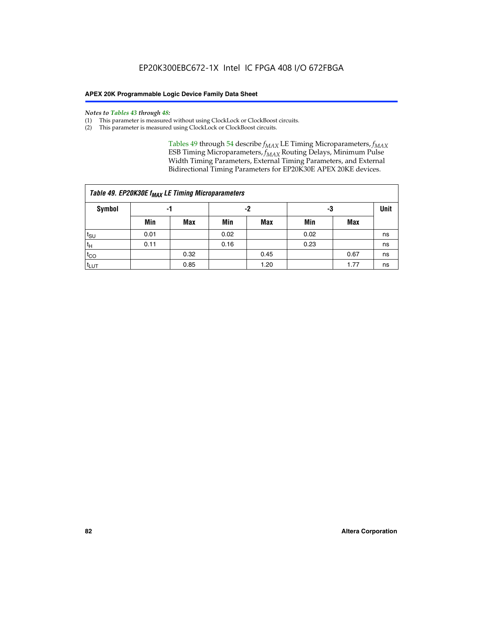#### *Notes to Tables 43 through 48:*

- (1) This parameter is measured without using ClockLock or ClockBoost circuits.
- (2) This parameter is measured using ClockLock or ClockBoost circuits.

Tables 49 through 54 describe  $f_{MAX}$  LE Timing Microparameters,  $f_{MAX}$ ESB Timing Microparameters, *f<sub>MAX</sub>* Routing Delays, Minimum Pulse Width Timing Parameters, External Timing Parameters, and External Bidirectional Timing Parameters for EP20K30E APEX 20KE devices.

| Table 49. EP20K30E f <sub>MAX</sub> LE Timing Microparameters |                |      |      |             |      |      |    |  |  |  |  |
|---------------------------------------------------------------|----------------|------|------|-------------|------|------|----|--|--|--|--|
| <b>Symbol</b>                                                 | -2<br>-3<br>-1 |      |      | <b>Unit</b> |      |      |    |  |  |  |  |
|                                                               | Min            | Max  | Min  | <b>Max</b>  | Min  | Max  |    |  |  |  |  |
| t <sub>SU</sub>                                               | 0.01           |      | 0.02 |             | 0.02 |      | ns |  |  |  |  |
| $t_H$                                                         | 0.11           |      | 0.16 |             | 0.23 |      | ns |  |  |  |  |
| $t_{CO}$                                                      |                | 0.32 |      | 0.45        |      | 0.67 | ns |  |  |  |  |
| t <sub>LUT</sub>                                              |                | 0.85 |      | 1.20        |      | 1.77 | ns |  |  |  |  |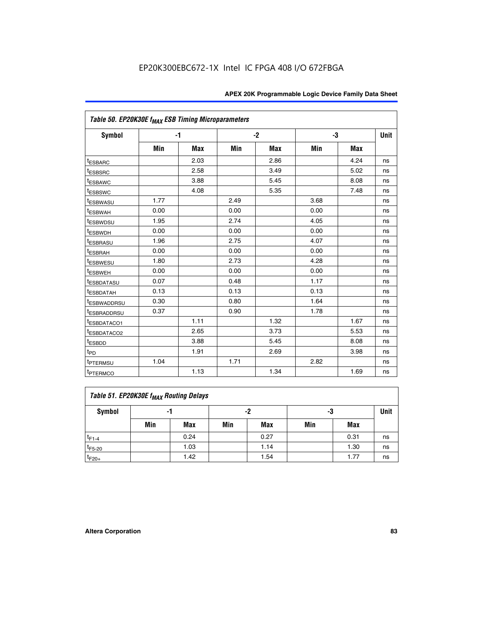| Table 50. EP20K30E f <sub>MAX</sub> ESB Timing Microparameters |      |      |      |      |      |            |             |
|----------------------------------------------------------------|------|------|------|------|------|------------|-------------|
| Symbol                                                         |      | $-1$ |      | $-2$ | -3   |            | <b>Unit</b> |
|                                                                | Min  | Max  | Min  | Max  | Min  | <b>Max</b> |             |
| <sup>t</sup> ESBARC                                            |      | 2.03 |      | 2.86 |      | 4.24       | ns          |
| <sup>t</sup> ESBSRC                                            |      | 2.58 |      | 3.49 |      | 5.02       | ns          |
| <sup>t</sup> ESBAWC                                            |      | 3.88 |      | 5.45 |      | 8.08       | ns          |
| t <sub>ESBSWC</sub>                                            |      | 4.08 |      | 5.35 |      | 7.48       | ns          |
| <sup>t</sup> ESBWASU                                           | 1.77 |      | 2.49 |      | 3.68 |            | ns          |
| <sup>t</sup> ESBWAH                                            | 0.00 |      | 0.00 |      | 0.00 |            | ns          |
| t <sub>ESBWDSU</sub>                                           | 1.95 |      | 2.74 |      | 4.05 |            | ns          |
| <sup>t</sup> ESBWDH                                            | 0.00 |      | 0.00 |      | 0.00 |            | ns          |
| <sup>t</sup> ESBRASU                                           | 1.96 |      | 2.75 |      | 4.07 |            | ns          |
| <sup>t</sup> ESBRAH                                            | 0.00 |      | 0.00 |      | 0.00 |            | ns          |
| <i>t</i> ESBWESU                                               | 1.80 |      | 2.73 |      | 4.28 |            | ns          |
| <sup>t</sup> ESBWEH                                            | 0.00 |      | 0.00 |      | 0.00 |            | ns          |
| <sup>t</sup> ESBDATASU                                         | 0.07 |      | 0.48 |      | 1.17 |            | ns          |
| <sup>t</sup> ESBDATAH                                          | 0.13 |      | 0.13 |      | 0.13 |            | ns          |
| <sup>t</sup> ESBWADDRSU                                        | 0.30 |      | 0.80 |      | 1.64 |            | ns          |
| <sup>t</sup> ESBRADDRSU                                        | 0.37 |      | 0.90 |      | 1.78 |            | ns          |
| <sup>t</sup> ESBDATACO1                                        |      | 1.11 |      | 1.32 |      | 1.67       | ns          |
| <sup>t</sup> ESBDATACO2                                        |      | 2.65 |      | 3.73 |      | 5.53       | ns          |
| t <sub>ESBDD</sub>                                             |      | 3.88 |      | 5.45 |      | 8.08       | ns          |
| t <sub>PD</sub>                                                |      | 1.91 |      | 2.69 |      | 3.98       | ns          |
| <sup>t</sup> PTERMSU                                           | 1.04 |      | 1.71 |      | 2.82 |            | ns          |
| t <sub>PTERMCO</sub>                                           |      | 1.13 |      | 1.34 |      | 1.69       | ns          |

## **Table 51. EP20K30E f<sub>MAX</sub> Routing Delays**

| Symbol      | .,  |            | -2  |            | -3  |            | Unit |
|-------------|-----|------------|-----|------------|-----|------------|------|
|             | Min | <b>Max</b> | Min | <b>Max</b> | Min | <b>Max</b> |      |
| $t_{F1-4}$  |     | 0.24       |     | 0.27       |     | 0.31       | ns   |
| $t_{F5-20}$ |     | 1.03       |     | 1.14       |     | 1.30       | ns   |
| $t_{F20+}$  |     | 1.42       |     | 1.54       |     | 1.77       | ns   |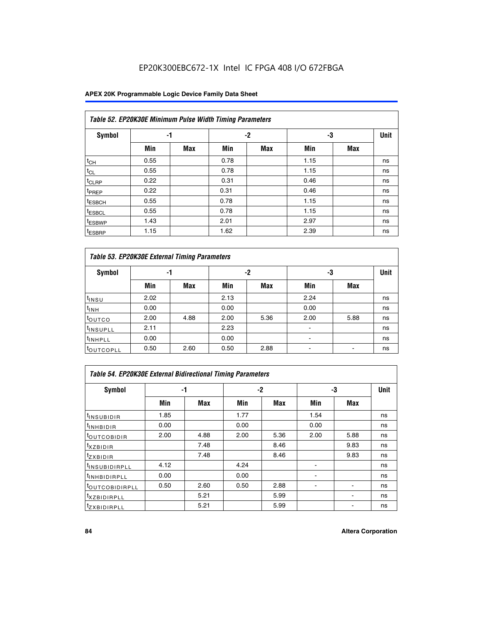## **APEX 20K Programmable Logic Device Family Data Sheet**

|                    | Table 52. EP20K30E Minimum Pulse Width Timing Parameters |            |      |            |      |            |             |  |  |  |  |  |
|--------------------|----------------------------------------------------------|------------|------|------------|------|------------|-------------|--|--|--|--|--|
| <b>Symbol</b>      | -1                                                       |            |      | $-2$       | -3   |            | <b>Unit</b> |  |  |  |  |  |
|                    | Min                                                      | <b>Max</b> | Min  | <b>Max</b> | Min  | <b>Max</b> |             |  |  |  |  |  |
| $t_{CH}$           | 0.55                                                     |            | 0.78 |            | 1.15 |            | ns          |  |  |  |  |  |
| $t_{CL}$           | 0.55                                                     |            | 0.78 |            | 1.15 |            | ns          |  |  |  |  |  |
| $t_{CLRP}$         | 0.22                                                     |            | 0.31 |            | 0.46 |            | ns          |  |  |  |  |  |
| <sup>t</sup> PREP  | 0.22                                                     |            | 0.31 |            | 0.46 |            | ns          |  |  |  |  |  |
| <sup>t</sup> ESBCH | 0.55                                                     |            | 0.78 |            | 1.15 |            | ns          |  |  |  |  |  |
| <sup>t</sup> ESBCL | 0.55                                                     |            | 0.78 |            | 1.15 |            | ns          |  |  |  |  |  |
| <sup>t</sup> ESBWP | 1.43                                                     |            | 2.01 |            | 2.97 |            | ns          |  |  |  |  |  |
| <sup>t</sup> ESBRP | 1.15                                                     |            | 1.62 |            | 2.39 |            | ns          |  |  |  |  |  |

| Table 53. EP20K30E External Timing Parameters |      |            |      |            |                          |            |             |  |  |  |  |
|-----------------------------------------------|------|------------|------|------------|--------------------------|------------|-------------|--|--|--|--|
| <b>Symbol</b>                                 | -1   |            |      | -2         | -3                       |            | <b>Unit</b> |  |  |  |  |
|                                               | Min  | <b>Max</b> | Min  | <b>Max</b> | Min                      | <b>Max</b> |             |  |  |  |  |
| t <sub>INSU</sub>                             | 2.02 |            | 2.13 |            | 2.24                     |            | ns          |  |  |  |  |
| $t_{\text{INH}}$                              | 0.00 |            | 0.00 |            | 0.00                     |            | ns          |  |  |  |  |
| <sup>t</sup> outco                            | 2.00 | 4.88       | 2.00 | 5.36       | 2.00                     | 5.88       | ns          |  |  |  |  |
| <sup>t</sup> INSUPLL                          | 2.11 |            | 2.23 |            |                          |            | ns          |  |  |  |  |
| <sup>t</sup> INHPLL                           | 0.00 |            | 0.00 |            | $\overline{\phantom{a}}$ |            | ns          |  |  |  |  |
| <b>LOUTCOPLL</b>                              | 0.50 | 2.60       | 0.50 | 2.88       | -                        |            | ns          |  |  |  |  |

| Table 54. EP20K30E External Bidirectional Timing Parameters |      |      |      |      |      |      |             |  |  |  |  |
|-------------------------------------------------------------|------|------|------|------|------|------|-------------|--|--|--|--|
| Symbol                                                      |      | -1   |      | $-2$ |      | -3   | <b>Unit</b> |  |  |  |  |
|                                                             | Min  | Max  | Min  | Max  | Min  | Max  |             |  |  |  |  |
| <sup>t</sup> INSUBIDIR                                      | 1.85 |      | 1.77 |      | 1.54 |      | ns          |  |  |  |  |
| <b>INHBIDIR</b>                                             | 0.00 |      | 0.00 |      | 0.00 |      | ns          |  |  |  |  |
| <b>LOUTCOBIDIR</b>                                          | 2.00 | 4.88 | 2.00 | 5.36 | 2.00 | 5.88 | ns          |  |  |  |  |
| <sup>T</sup> XZBIDIR                                        |      | 7.48 |      | 8.46 |      | 9.83 | ns          |  |  |  |  |
| $I_{Z}$ <i>XBIDIR</i>                                       |      | 7.48 |      | 8.46 |      | 9.83 | ns          |  |  |  |  |
| <sup>t</sup> INSUBIDIRPLL                                   | 4.12 |      | 4.24 |      |      |      | ns          |  |  |  |  |
| <b>UNHBIDIRPLL</b>                                          | 0.00 |      | 0.00 |      | ۰    |      | ns          |  |  |  |  |
| <b><i>COUTCOBIDIRPLL</i></b>                                | 0.50 | 2.60 | 0.50 | 2.88 |      |      | ns          |  |  |  |  |
| <sup>I</sup> XZBIDIRPLL                                     |      | 5.21 |      | 5.99 |      |      | ns          |  |  |  |  |
| <sup>I</sup> ZXBIDIRPLL                                     |      | 5.21 |      | 5.99 |      |      | ns          |  |  |  |  |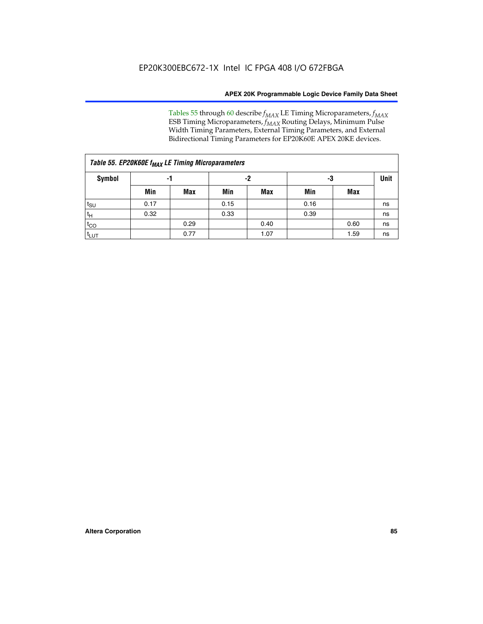Tables 55 through 60 describe *f<sub>MAX</sub>* LE Timing Microparameters, *f<sub>MAX</sub>* ESB Timing Microparameters, *f<sub>MAX</sub>* Routing Delays, Minimum Pulse Width Timing Parameters, External Timing Parameters, and External Bidirectional Timing Parameters for EP20K60E APEX 20KE devices.

| Table 55. EP20K60E f <sub>MAX</sub> LE Timing Microparameters |      |      |      |      |      |      |    |  |  |  |  |  |
|---------------------------------------------------------------|------|------|------|------|------|------|----|--|--|--|--|--|
| Symbol                                                        |      | -1   |      | -2   |      | -3   |    |  |  |  |  |  |
|                                                               | Min  | Max  | Min  | Max  | Min  | Max  |    |  |  |  |  |  |
| $t_{\text{SU}}$                                               | 0.17 |      | 0.15 |      | 0.16 |      | ns |  |  |  |  |  |
| $t_H$                                                         | 0.32 |      | 0.33 |      | 0.39 |      | ns |  |  |  |  |  |
| $t_{CO}$                                                      |      | 0.29 |      | 0.40 |      | 0.60 | ns |  |  |  |  |  |
| t <sub>lut</sub>                                              |      | 0.77 |      | 1.07 |      | 1.59 | ns |  |  |  |  |  |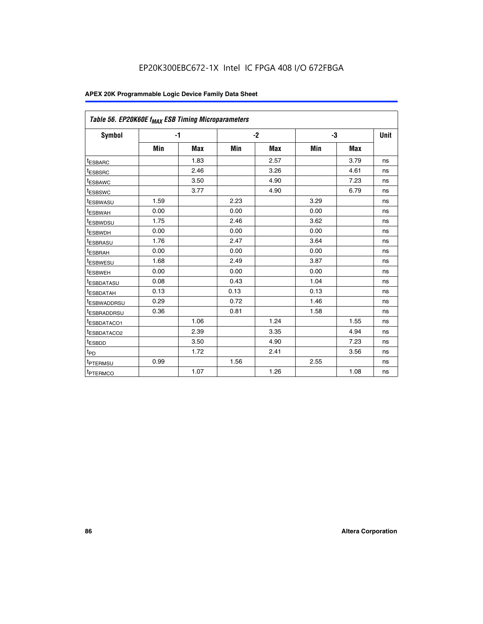| Table 56. EP20K60E f <sub>MAX</sub> ESB Timing Microparameters |      |      |      |      |      |            |             |
|----------------------------------------------------------------|------|------|------|------|------|------------|-------------|
| <b>Symbol</b>                                                  | $-1$ |      |      | $-2$ |      | -3         | <b>Unit</b> |
|                                                                | Min  | Max  | Min  | Max  | Min  | <b>Max</b> |             |
| t <sub>ESBARC</sub>                                            |      | 1.83 |      | 2.57 |      | 3.79       | ns          |
| <sup>t</sup> ESBSRC                                            |      | 2.46 |      | 3.26 |      | 4.61       | ns          |
| <sup>t</sup> ESBAWC                                            |      | 3.50 |      | 4.90 |      | 7.23       | ns          |
| <sup>t</sup> ESBSWC                                            |      | 3.77 |      | 4.90 |      | 6.79       | ns          |
| <sup>T</sup> ESBWASU                                           | 1.59 |      | 2.23 |      | 3.29 |            | ns          |
| t <sub>ESBWAH</sub>                                            | 0.00 |      | 0.00 |      | 0.00 |            | ns          |
| <sup>t</sup> ESBWDSU                                           | 1.75 |      | 2.46 |      | 3.62 |            | ns          |
| <sup>t</sup> ESBWDH                                            | 0.00 |      | 0.00 |      | 0.00 |            | ns          |
| t <sub>ESBRASU</sub>                                           | 1.76 |      | 2.47 |      | 3.64 |            | ns          |
| t <sub>ESBRAH</sub>                                            | 0.00 |      | 0.00 |      | 0.00 |            | ns          |
| t <sub>ESBWESU</sub>                                           | 1.68 |      | 2.49 |      | 3.87 |            | ns          |
| <sup>t</sup> ESBWEH                                            | 0.00 |      | 0.00 |      | 0.00 |            | ns          |
| <sup>t</sup> ESBDATASU                                         | 0.08 |      | 0.43 |      | 1.04 |            | ns          |
| <sup>t</sup> ESBDATAH                                          | 0.13 |      | 0.13 |      | 0.13 |            | ns          |
| <sup>t</sup> ESBWADDRSU                                        | 0.29 |      | 0.72 |      | 1.46 |            | ns          |
| <sup>t</sup> ESBRADDRSU                                        | 0.36 |      | 0.81 |      | 1.58 |            | ns          |
| <sup>t</sup> ESBDATACO1                                        |      | 1.06 |      | 1.24 |      | 1.55       | ns          |
| <sup>t</sup> ESBDATACO2                                        |      | 2.39 |      | 3.35 |      | 4.94       | ns          |
| <sup>t</sup> ESBDD                                             |      | 3.50 |      | 4.90 |      | 7.23       | ns          |
| t <sub>PD</sub>                                                |      | 1.72 |      | 2.41 |      | 3.56       | ns          |
| <sup>t</sup> PTERMSU                                           | 0.99 |      | 1.56 |      | 2.55 |            | ns          |
| t <sub>PTERMCO</sub>                                           |      | 1.07 |      | 1.26 |      | 1.08       | ns          |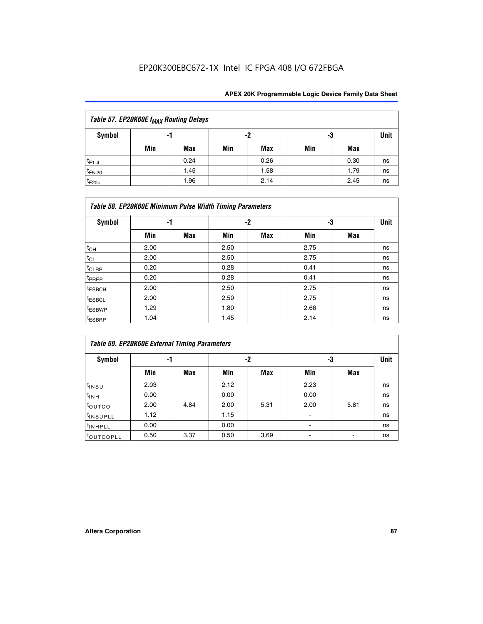| Table 57. EP20K60E f <sub>MAX</sub> Routing Delays |          |      |     |            |     |      |             |  |  |  |  |
|----------------------------------------------------|----------|------|-----|------------|-----|------|-------------|--|--|--|--|
| Symbol                                             | -2<br>-1 |      |     |            |     |      | <b>Unit</b> |  |  |  |  |
|                                                    | Min      | Max  | Min | <b>Max</b> | Min | Max  |             |  |  |  |  |
| $t_{F1-4}$                                         |          | 0.24 |     | 0.26       |     | 0.30 | ns          |  |  |  |  |
| $t_{F5-20}$                                        |          | 1.45 |     | 1.58       |     | 1.79 | ns          |  |  |  |  |
| $t_{F20+}$                                         |          | 1.96 |     | 2.14       |     | 2.45 | ns          |  |  |  |  |

|                    | Table 58. EP20K60E Minimum Pulse Width Timing Parameters |            |      |     |      |     |             |  |  |  |  |  |  |
|--------------------|----------------------------------------------------------|------------|------|-----|------|-----|-------------|--|--|--|--|--|--|
| Symbol             | -1                                                       |            |      | -2  |      | -3  | <b>Unit</b> |  |  |  |  |  |  |
|                    | Min                                                      | <b>Max</b> | Min  | Max | Min  | Max |             |  |  |  |  |  |  |
| $t_{CH}$           | 2.00                                                     |            | 2.50 |     | 2.75 |     | ns          |  |  |  |  |  |  |
| $t_{CL}$           | 2.00                                                     |            | 2.50 |     | 2.75 |     | ns          |  |  |  |  |  |  |
| $t_{CLRP}$         | 0.20                                                     |            | 0.28 |     | 0.41 |     | ns          |  |  |  |  |  |  |
| t <sub>PREP</sub>  | 0.20                                                     |            | 0.28 |     | 0.41 |     | ns          |  |  |  |  |  |  |
| <sup>t</sup> ESBCH | 2.00                                                     |            | 2.50 |     | 2.75 |     | ns          |  |  |  |  |  |  |
| <sup>t</sup> ESBCL | 2.00                                                     |            | 2.50 |     | 2.75 |     | ns          |  |  |  |  |  |  |
| <sup>t</sup> ESBWP | 1.29                                                     |            | 1.80 |     | 2.66 |     | ns          |  |  |  |  |  |  |
| <sup>t</sup> ESBRP | 1.04                                                     |            | 1.45 |     | 2.14 |     | ns          |  |  |  |  |  |  |

| Table 59. EP20K60E External Timing Parameters |      |      |      |      |      |      |    |  |  |  |  |
|-----------------------------------------------|------|------|------|------|------|------|----|--|--|--|--|
| Symbol                                        | -1   |      |      | -2   | -3   | Unit |    |  |  |  |  |
|                                               | Min  | Max  | Min  | Max  | Min  | Max  |    |  |  |  |  |
| $t_{INSU}$                                    | 2.03 |      | 2.12 |      | 2.23 |      | ns |  |  |  |  |
| $t_{\mathsf{INH}}$                            | 0.00 |      | 0.00 |      | 0.00 |      | ns |  |  |  |  |
| toutco                                        | 2.00 | 4.84 | 2.00 | 5.31 | 2.00 | 5.81 | ns |  |  |  |  |
| <sup>t</sup> INSUPLL                          | 1.12 |      | 1.15 |      |      |      | ns |  |  |  |  |
| <sup>t</sup> INHPLL                           | 0.00 |      | 0.00 |      | ۰    |      | ns |  |  |  |  |
| toutcopll                                     | 0.50 | 3.37 | 0.50 | 3.69 |      |      | ns |  |  |  |  |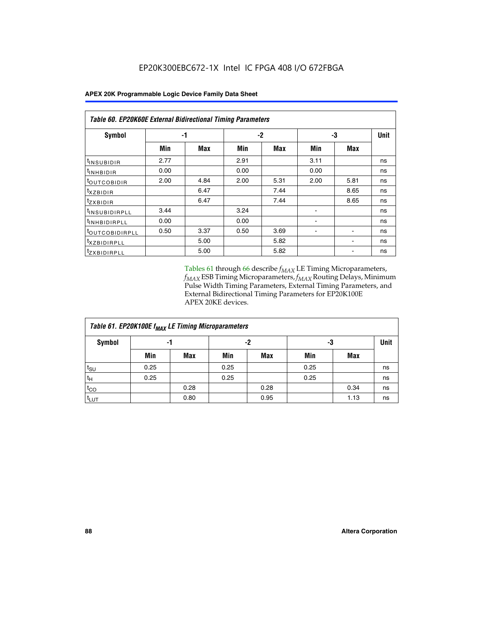| <b>Table 60. EP20K60E External Bidirectional Timing Parameters</b> |      |            |      |      |      |            |      |  |  |  |  |
|--------------------------------------------------------------------|------|------------|------|------|------|------------|------|--|--|--|--|
| Symbol                                                             |      | -1         |      | -2   |      | -3         | Unit |  |  |  |  |
|                                                                    | Min  | <b>Max</b> | Min  | Max  | Min  | <b>Max</b> |      |  |  |  |  |
| t <sub>INSUBIDIR</sub>                                             | 2.77 |            | 2.91 |      | 3.11 |            | ns   |  |  |  |  |
| <sup>t</sup> INHBIDIR                                              | 0.00 |            | 0.00 |      | 0.00 |            | ns   |  |  |  |  |
| <sup>t</sup> OUTCOBIDIR                                            | 2.00 | 4.84       | 2.00 | 5.31 | 2.00 | 5.81       | ns   |  |  |  |  |
| $t_{XZBIDIR}$                                                      |      | 6.47       |      | 7.44 |      | 8.65       | ns   |  |  |  |  |
| <sup>t</sup> zxbidir                                               |      | 6.47       |      | 7.44 |      | 8.65       | ns   |  |  |  |  |
| <sup>t</sup> INSUBIDIRPLL                                          | 3.44 |            | 3.24 |      |      |            | ns   |  |  |  |  |
| <sup>t</sup> INHBIDIRPLL                                           | 0.00 |            | 0.00 |      | ٠    |            | ns   |  |  |  |  |
| <sup>t</sup> OUTCOBIDIRPLL                                         | 0.50 | 3.37       | 0.50 | 3.69 |      |            | ns   |  |  |  |  |
| <sup>t</sup> XZBIDIRPLL                                            |      | 5.00       |      | 5.82 |      |            | ns   |  |  |  |  |
| <sup>I</sup> ZXBIDIRPLL                                            |      | 5.00       |      | 5.82 |      |            | ns   |  |  |  |  |

Tables 61 through 66 describe  $f_{MAX}$  LE Timing Microparameters, *fMAX* ESB Timing Microparameters, *fMAX* Routing Delays, Minimum Pulse Width Timing Parameters, External Timing Parameters, and External Bidirectional Timing Parameters for EP20K100E APEX 20KE devices.

| Table 61. EP20K100E f <sub>MAX</sub> LE Timing Microparameters |      |      |      |            |      |            |             |  |  |  |  |
|----------------------------------------------------------------|------|------|------|------------|------|------------|-------------|--|--|--|--|
| <b>Symbol</b>                                                  |      | -1   |      | -2         |      | -3         | <b>Unit</b> |  |  |  |  |
|                                                                | Min  | Max  | Min  | <b>Max</b> | Min  | <b>Max</b> |             |  |  |  |  |
| t <sub>SU</sub>                                                | 0.25 |      | 0.25 |            | 0.25 |            | ns          |  |  |  |  |
| tμ                                                             | 0.25 |      | 0.25 |            | 0.25 |            | ns          |  |  |  |  |
| $t_{CO}$                                                       |      | 0.28 |      | 0.28       |      | 0.34       | ns          |  |  |  |  |
| t <sub>LUT</sub>                                               |      | 0.80 |      | 0.95       |      | 1.13       | ns          |  |  |  |  |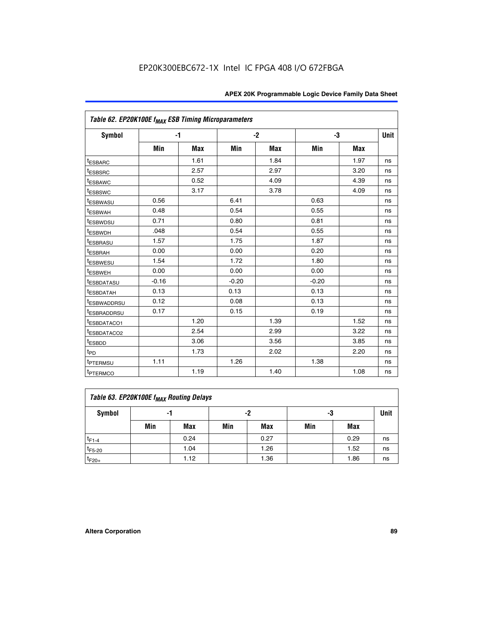| Table 62. EP20K100E f <sub>MAX</sub> ESB Timing Microparameters |         |      |         |      |         |      |             |
|-----------------------------------------------------------------|---------|------|---------|------|---------|------|-------------|
| <b>Symbol</b>                                                   |         | $-1$ |         | $-2$ |         | -3   | <b>Unit</b> |
|                                                                 | Min     | Max  | Min     | Max  | Min     | Max  |             |
| <sup>t</sup> ESBARC                                             |         | 1.61 |         | 1.84 |         | 1.97 | ns          |
| t <sub>ESBSRC</sub>                                             |         | 2.57 |         | 2.97 |         | 3.20 | ns          |
| <sup>t</sup> ESBAWC                                             |         | 0.52 |         | 4.09 |         | 4.39 | ns          |
| <sup>t</sup> ESBSWC                                             |         | 3.17 |         | 3.78 |         | 4.09 | ns          |
| <sup>t</sup> ESBWASU                                            | 0.56    |      | 6.41    |      | 0.63    |      | ns          |
| <sup>t</sup> ESBWAH                                             | 0.48    |      | 0.54    |      | 0.55    |      | ns          |
| t <sub>ESBWDSU</sub>                                            | 0.71    |      | 0.80    |      | 0.81    |      | ns          |
| t <sub>ESBWDH</sub>                                             | .048    |      | 0.54    |      | 0.55    |      | ns          |
| <sup>t</sup> ESBRASU                                            | 1.57    |      | 1.75    |      | 1.87    |      | ns          |
| <sup>t</sup> ESBRAH                                             | 0.00    |      | 0.00    |      | 0.20    |      | ns          |
| <i>t</i> <sub>ESBWESU</sub>                                     | 1.54    |      | 1.72    |      | 1.80    |      | ns          |
| t <sub>ESBWEH</sub>                                             | 0.00    |      | 0.00    |      | 0.00    |      | ns          |
| <sup>t</sup> ESBDATASU                                          | $-0.16$ |      | $-0.20$ |      | $-0.20$ |      | ns          |
| <sup>t</sup> ESBDATAH                                           | 0.13    |      | 0.13    |      | 0.13    |      | ns          |
| <sup>t</sup> ESBWADDRSU                                         | 0.12    |      | 0.08    |      | 0.13    |      | ns          |
| <sup>I</sup> ESBRADDRSU                                         | 0.17    |      | 0.15    |      | 0.19    |      | ns          |
| <sup>t</sup> ESBDATACO1                                         |         | 1.20 |         | 1.39 |         | 1.52 | ns          |
| <sup>t</sup> ESBDATACO2                                         |         | 2.54 |         | 2.99 |         | 3.22 | ns          |
| <sup>t</sup> ESBDD                                              |         | 3.06 |         | 3.56 |         | 3.85 | ns          |
| t <sub>PD</sub>                                                 |         | 1.73 |         | 2.02 |         | 2.20 | ns          |
| <sup>t</sup> PTERMSU                                            | 1.11    |      | 1.26    |      | 1.38    |      | ns          |
| t <sub>PTERMCO</sub>                                            |         | 1.19 |         | 1.40 |         | 1.08 | ns          |

| Table 63. EP20K100E f <sub>MAX</sub> Routing Delays |                |      |     |      |     |      |    |  |  |  |
|-----------------------------------------------------|----------------|------|-----|------|-----|------|----|--|--|--|
| <b>Symbol</b>                                       | -2<br>-3<br>-1 |      |     |      |     |      |    |  |  |  |
|                                                     | Min            | Max  | Min | Max  | Min | Max  |    |  |  |  |
| $t_{F1-4}$                                          |                | 0.24 |     | 0.27 |     | 0.29 | ns |  |  |  |
| $t_{F5-20}$                                         |                | 1.04 |     | 1.26 |     | 1.52 | ns |  |  |  |
| $t_{F20+}$                                          |                | 1.12 |     | 1.36 |     | 1.86 | ns |  |  |  |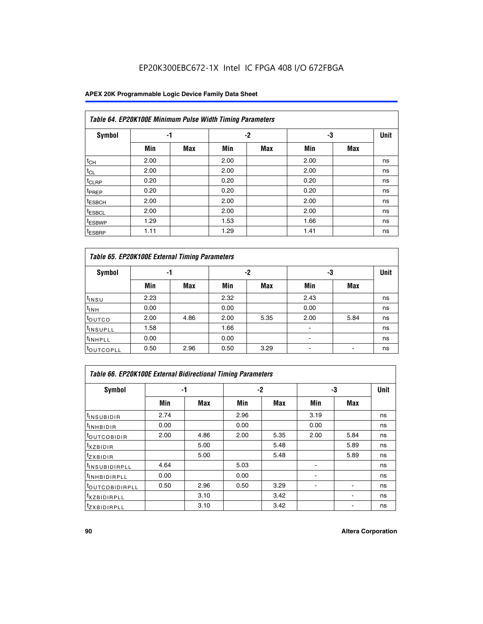## **APEX 20K Programmable Logic Device Family Data Sheet**

|                    | Table 64. EP20K100E Minimum Pulse Width Timing Parameters |            |      |            |      |            |             |  |  |  |  |  |  |
|--------------------|-----------------------------------------------------------|------------|------|------------|------|------------|-------------|--|--|--|--|--|--|
| <b>Symbol</b>      | -1                                                        |            |      | $-2$       | -3   |            | <b>Unit</b> |  |  |  |  |  |  |
|                    | Min                                                       | <b>Max</b> | Min  | <b>Max</b> | Min  | <b>Max</b> |             |  |  |  |  |  |  |
| $t_{CH}$           | 2.00                                                      |            | 2.00 |            | 2.00 |            | ns          |  |  |  |  |  |  |
| $t_{CL}$           | 2.00                                                      |            | 2.00 |            | 2.00 |            | ns          |  |  |  |  |  |  |
| t <sub>CLRP</sub>  | 0.20                                                      |            | 0.20 |            | 0.20 |            | ns          |  |  |  |  |  |  |
| <sup>t</sup> PREP  | 0.20                                                      |            | 0.20 |            | 0.20 |            | ns          |  |  |  |  |  |  |
| <sup>t</sup> ESBCH | 2.00                                                      |            | 2.00 |            | 2.00 |            | ns          |  |  |  |  |  |  |
| <sup>t</sup> ESBCL | 2.00                                                      |            | 2.00 |            | 2.00 |            | ns          |  |  |  |  |  |  |
| <sup>t</sup> ESBWP | 1.29                                                      |            | 1.53 |            | 1.66 |            | ns          |  |  |  |  |  |  |
| <sup>t</sup> ESBRP | 1.11                                                      |            | 1.29 |            | 1.41 |            | ns          |  |  |  |  |  |  |

|                      | Table 65. EP20K100E External Timing Parameters |            |      |            |                |            |    |  |  |  |  |  |  |
|----------------------|------------------------------------------------|------------|------|------------|----------------|------------|----|--|--|--|--|--|--|
| <b>Symbol</b>        | -1                                             |            |      | -2         |                | -3         |    |  |  |  |  |  |  |
|                      | Min                                            | <b>Max</b> | Min  | <b>Max</b> | Min            | <b>Max</b> |    |  |  |  |  |  |  |
| $t_{INSU}$           | 2.23                                           |            | 2.32 |            | 2.43           |            | ns |  |  |  |  |  |  |
| $t_{\rm INH}$        | 0.00                                           |            | 0.00 |            | 0.00           |            | ns |  |  |  |  |  |  |
| toutco               | 2.00                                           | 4.86       | 2.00 | 5.35       | 2.00           | 5.84       | ns |  |  |  |  |  |  |
| <sup>t</sup> INSUPLL | 1.58                                           |            | 1.66 |            |                |            | ns |  |  |  |  |  |  |
| <sup>t</sup> INHPLL  | 0.00                                           |            | 0.00 |            | $\blacksquare$ |            | ns |  |  |  |  |  |  |
| <b>LOUTCOPLL</b>     | 0.50                                           | 2.96       | 0.50 | 3.29       | -              |            | ns |  |  |  |  |  |  |

| Table 66. EP20K100E External Bidirectional Timing Parameters |      |      |      |      |      |            |      |  |  |  |  |
|--------------------------------------------------------------|------|------|------|------|------|------------|------|--|--|--|--|
| Symbol                                                       |      | -1   |      | $-2$ |      | -3         | Unit |  |  |  |  |
|                                                              | Min  | Max  | Min  | Max  | Min  | <b>Max</b> |      |  |  |  |  |
| <sup>t</sup> INSUBIDIR                                       | 2.74 |      | 2.96 |      | 3.19 |            | ns   |  |  |  |  |
| <b>TINHBIDIR</b>                                             | 0.00 |      | 0.00 |      | 0.00 |            | ns   |  |  |  |  |
| <b>LOUTCOBIDIR</b>                                           | 2.00 | 4.86 | 2.00 | 5.35 | 2.00 | 5.84       | ns   |  |  |  |  |
| <sup>T</sup> XZBIDIR                                         |      | 5.00 |      | 5.48 |      | 5.89       | ns   |  |  |  |  |
| $I_{Z}$ XBIDIR                                               |      | 5.00 |      | 5.48 |      | 5.89       | ns   |  |  |  |  |
| <sup>t</sup> INSUBIDIRPLL                                    | 4.64 |      | 5.03 |      |      |            | ns   |  |  |  |  |
| <sup>I</sup> INHBIDIRPLL                                     | 0.00 |      | 0.00 |      |      |            | ns   |  |  |  |  |
| <b><i>COUTCOBIDIRPLL</i></b>                                 | 0.50 | 2.96 | 0.50 | 3.29 |      |            | ns   |  |  |  |  |
| <sup>I</sup> XZBIDIRPLL                                      |      | 3.10 |      | 3.42 |      |            | ns   |  |  |  |  |
| <sup>I</sup> ZXBIDIRPLL                                      |      | 3.10 |      | 3.42 |      |            | ns   |  |  |  |  |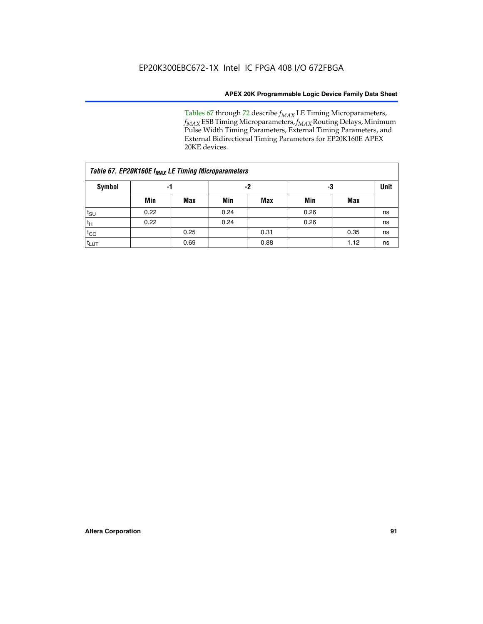Tables 67 through 72 describe *f<sub>MAX</sub>* LE Timing Microparameters, *f<sub>MAX</sub>* ESB Timing Microparameters, *f<sub>MAX</sub>* Routing Delays, Minimum Pulse Width Timing Parameters, External Timing Parameters, and External Bidirectional Timing Parameters for EP20K160E APEX 20KE devices.

| Table 67. EP20K160E f <sub>MAX</sub> LE Timing Microparameters |      |            |      |            |      |             |    |  |  |  |  |
|----------------------------------------------------------------|------|------------|------|------------|------|-------------|----|--|--|--|--|
| <b>Symbol</b>                                                  |      | -1         | -2   |            | -3   | <b>Unit</b> |    |  |  |  |  |
|                                                                | Min  | <b>Max</b> | Min  | <b>Max</b> | Min  | Max         |    |  |  |  |  |
| $t_{\text{SU}}$                                                | 0.22 |            | 0.24 |            | 0.26 |             | ns |  |  |  |  |
| $t_H$                                                          | 0.22 |            | 0.24 |            | 0.26 |             | ns |  |  |  |  |
| $t_{CO}$                                                       |      | 0.25       |      | 0.31       |      | 0.35        | ns |  |  |  |  |
| t <sub>LUT</sub>                                               |      | 0.69       |      | 0.88       |      | 1.12        | ns |  |  |  |  |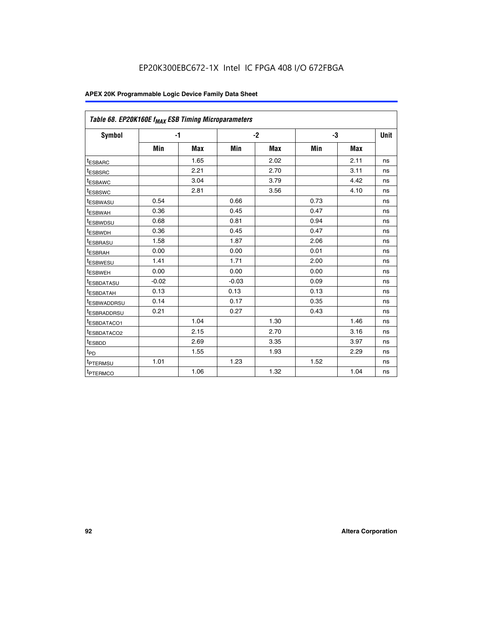| Table 68. EP20K160E f <sub>MAX</sub> ESB Timing Microparameters |         |            |         |            |      |      |      |
|-----------------------------------------------------------------|---------|------------|---------|------------|------|------|------|
| <b>Symbol</b>                                                   | $-1$    |            |         | $-2$       |      | -3   | Unit |
|                                                                 | Min     | <b>Max</b> | Min     | <b>Max</b> | Min  | Max  |      |
| <sup>t</sup> ESBARC                                             |         | 1.65       |         | 2.02       |      | 2.11 | ns   |
| t <sub>ESBSRC</sub>                                             |         | 2.21       |         | 2.70       |      | 3.11 | ns   |
| <sup>t</sup> ESBAWC                                             |         | 3.04       |         | 3.79       |      | 4.42 | ns   |
| t <sub>ESBSWC</sub>                                             |         | 2.81       |         | 3.56       |      | 4.10 | ns   |
| <sup>t</sup> ESBWASU                                            | 0.54    |            | 0.66    |            | 0.73 |      | ns   |
| <sup>t</sup> ESBWAH                                             | 0.36    |            | 0.45    |            | 0.47 |      | ns   |
| t <sub>ESBWDSU</sub>                                            | 0.68    |            | 0.81    |            | 0.94 |      | ns   |
| <sup>t</sup> ESBWDH                                             | 0.36    |            | 0.45    |            | 0.47 |      | ns   |
| t <sub>ESBRASU</sub>                                            | 1.58    |            | 1.87    |            | 2.06 |      | ns   |
| <sup>t</sup> ESBRAH                                             | 0.00    |            | 0.00    |            | 0.01 |      | ns   |
| <sup>t</sup> ESBWESU                                            | 1.41    |            | 1.71    |            | 2.00 |      | ns   |
| t <sub>ESBWEH</sub>                                             | 0.00    |            | 0.00    |            | 0.00 |      | ns   |
| t <sub>ESBDATASU</sub>                                          | $-0.02$ |            | $-0.03$ |            | 0.09 |      | ns   |
| t <sub>ESBDATAH</sub>                                           | 0.13    |            | 0.13    |            | 0.13 |      | ns   |
| t <sub>ESBWADDRSU</sub>                                         | 0.14    |            | 0.17    |            | 0.35 |      | ns   |
| <sup>t</sup> ESBRADDRSU                                         | 0.21    |            | 0.27    |            | 0.43 |      | ns   |
| <sup>I</sup> ESBDATACO1                                         |         | 1.04       |         | 1.30       |      | 1.46 | ns   |
| t <sub>ESBDATACO2</sub>                                         |         | 2.15       |         | 2.70       |      | 3.16 | ns   |
| <sup>t</sup> ESBDD                                              |         | 2.69       |         | 3.35       |      | 3.97 | ns   |
| $t_{\mathsf{PD}}$                                               |         | 1.55       |         | 1.93       |      | 2.29 | ns   |
| t <sub>PTERMSU</sub>                                            | 1.01    |            | 1.23    |            | 1.52 |      | ns   |
| t <sub>PTERMCO</sub>                                            |         | 1.06       |         | 1.32       |      | 1.04 | ns   |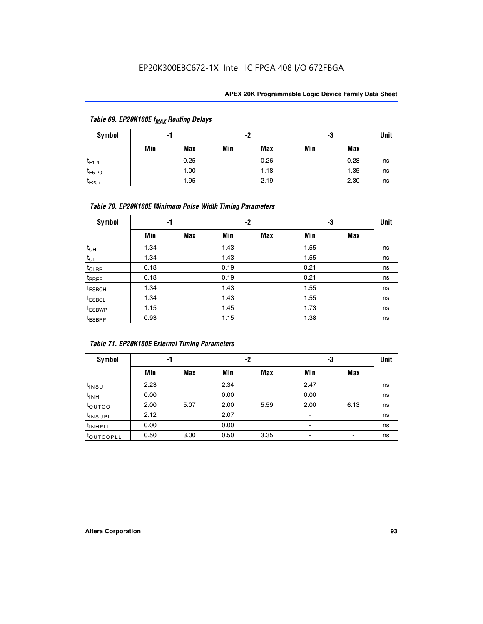| Table 69. EP20K160E f <sub>MAX</sub> Routing Delays |                |      |     |      |     |      |    |  |  |  |  |
|-----------------------------------------------------|----------------|------|-----|------|-----|------|----|--|--|--|--|
| Symbol                                              | -2<br>-3<br>-1 |      |     |      |     |      |    |  |  |  |  |
|                                                     | Min            | Max  | Min | Max  | Min | Max  |    |  |  |  |  |
| $t_{F1-4}$                                          |                | 0.25 |     | 0.26 |     | 0.28 | ns |  |  |  |  |
| $t_{F5-20}$                                         |                | 1.00 |     | 1.18 |     | 1.35 | ns |  |  |  |  |
| $t_{F20+}$                                          |                | 1.95 |     | 2.19 |     | 2.30 | ns |  |  |  |  |

| Table 70. EP20K160E Minimum Pulse Width Timing Parameters |      |     |      |     |      |     |             |  |  |  |  |
|-----------------------------------------------------------|------|-----|------|-----|------|-----|-------------|--|--|--|--|
| <b>Symbol</b>                                             | -1   |     |      | -2  |      | -3  | <b>Unit</b> |  |  |  |  |
|                                                           | Min  | Max | Min  | Max | Min  | Max |             |  |  |  |  |
| $t_{CH}$                                                  | 1.34 |     | 1.43 |     | 1.55 |     | ns          |  |  |  |  |
| $t_{CL}$                                                  | 1.34 |     | 1.43 |     | 1.55 |     | ns          |  |  |  |  |
| $t_{CLRP}$                                                | 0.18 |     | 0.19 |     | 0.21 |     | ns          |  |  |  |  |
| t <sub>PREP</sub>                                         | 0.18 |     | 0.19 |     | 0.21 |     | ns          |  |  |  |  |
| <sup>t</sup> ESBCH                                        | 1.34 |     | 1.43 |     | 1.55 |     | ns          |  |  |  |  |
| <sup>t</sup> ESBCL                                        | 1.34 |     | 1.43 |     | 1.55 |     | ns          |  |  |  |  |
| <sup>t</sup> ESBWP                                        | 1.15 |     | 1.45 |     | 1.73 |     | ns          |  |  |  |  |
| <sup>t</sup> ESBRP                                        | 0.93 |     | 1.15 |     | 1.38 |     | ns          |  |  |  |  |

| Table 71. EP20K160E External Timing Parameters |      |      |      |      |                |      |      |  |  |  |  |
|------------------------------------------------|------|------|------|------|----------------|------|------|--|--|--|--|
| Symbol                                         | -1   |      |      | -2   | -3             |      | Unit |  |  |  |  |
|                                                | Min  | Max  | Min  | Max  | Min            | Max  |      |  |  |  |  |
| $t_{INSU}$                                     | 2.23 |      | 2.34 |      | 2.47           |      | ns   |  |  |  |  |
| $t_{INH}$                                      | 0.00 |      | 0.00 |      | 0.00           |      | ns   |  |  |  |  |
| toutco                                         | 2.00 | 5.07 | 2.00 | 5.59 | 2.00           | 6.13 | ns   |  |  |  |  |
| <sup>t</sup> INSUPLL                           | 2.12 |      | 2.07 |      | $\blacksquare$ |      | ns   |  |  |  |  |
| <sup>t</sup> INHPLL                            | 0.00 |      | 0.00 |      | ۰              |      | ns   |  |  |  |  |
| toutcopll                                      | 0.50 | 3.00 | 0.50 | 3.35 |                |      | ns   |  |  |  |  |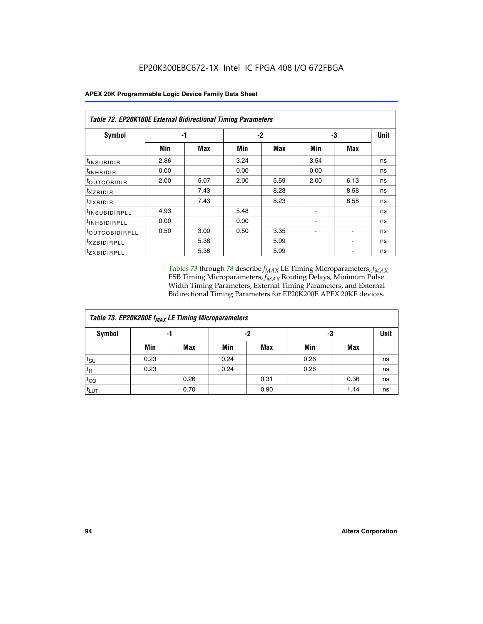| Table 72. EP20K160E External Bidirectional Timing Parameters |      |      |      |            |                          |                          |      |
|--------------------------------------------------------------|------|------|------|------------|--------------------------|--------------------------|------|
| Symbol                                                       |      | -1   |      | $-2$       |                          | -3                       | Unit |
|                                                              | Min  | Max  | Min  | <b>Max</b> | Min                      | <b>Max</b>               |      |
| <sup>t</sup> INSUBIDIR                                       | 2.86 |      | 3.24 |            | 3.54                     |                          | ns   |
| <sup>I</sup> INHBIDIR                                        | 0.00 |      | 0.00 |            | 0.00                     |                          | ns   |
| <sup>t</sup> OUTCOBIDIR                                      | 2.00 | 5.07 | 2.00 | 5.59       | 2.00                     | 6.13                     | ns   |
| $t_{XZBIDIR}$                                                |      | 7.43 |      | 8.23       |                          | 8.58                     | ns   |
| $t_{ZXBIDIR}$                                                |      | 7.43 |      | 8.23       |                          | 8.58                     | ns   |
| <sup>t</sup> INSUBIDIRPLL                                    | 4.93 |      | 5.48 |            |                          |                          | ns   |
| <sup>t</sup> INHBIDIRPLL                                     | 0.00 |      | 0.00 |            | $\overline{\phantom{0}}$ |                          | ns   |
| <b><i>LOUTCOBIDIRPLL</i></b>                                 | 0.50 | 3.00 | 0.50 | 3.35       | $\overline{\phantom{0}}$ | $\overline{\phantom{a}}$ | ns   |
| <sup>t</sup> XZBIDIRPLL                                      |      | 5.36 |      | 5.99       |                          | ۰                        | ns   |
| <sup>t</sup> zxbidirpll                                      |      | 5.36 |      | 5.99       |                          |                          | ns   |

Tables 73 through 78 describe  $f_{MAX}$  LE Timing Microparameters,  $f_{MAX}$ ESB Timing Microparameters, *f<sub>MAX</sub>* Routing Delays, Minimum Pulse Width Timing Parameters, External Timing Parameters, and External Bidirectional Timing Parameters for EP20K200E APEX 20KE devices.

| Table 73. EP20K200E f <sub>MAX</sub> LE Timing Microparameters |      |            |      |            |      |      |    |  |  |  |  |
|----------------------------------------------------------------|------|------------|------|------------|------|------|----|--|--|--|--|
| <b>Symbol</b>                                                  |      | -1         |      | -2         |      | -3   |    |  |  |  |  |
|                                                                | Min  | <b>Max</b> | Min  | <b>Max</b> | Min  | Max  |    |  |  |  |  |
| $t_{\text{SU}}$                                                | 0.23 |            | 0.24 |            | 0.26 |      | ns |  |  |  |  |
| tμ                                                             | 0.23 |            | 0.24 |            | 0.26 |      | ns |  |  |  |  |
| $t_{CO}$                                                       |      | 0.26       |      | 0.31       |      | 0.36 | ns |  |  |  |  |
| t <sub>LUT</sub>                                               |      | 0.70       |      | 0.90       |      | 1.14 | ns |  |  |  |  |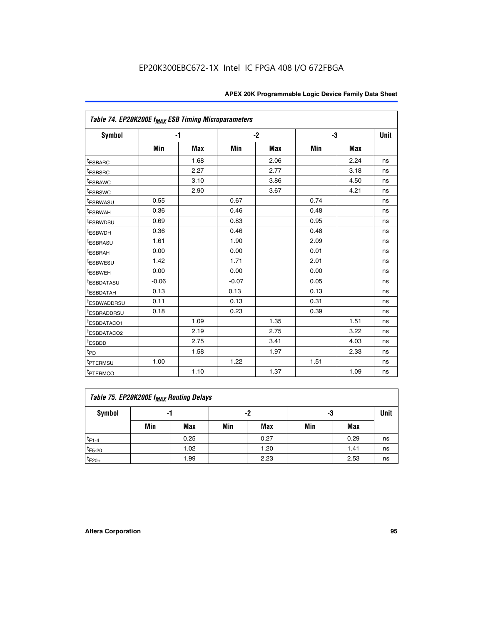| Table 74. EP20K200E f <sub>MAX</sub> ESB Timing Microparameters |         |            |         |      |      |      |             |
|-----------------------------------------------------------------|---------|------------|---------|------|------|------|-------------|
| Symbol                                                          | $-1$    |            |         | $-2$ |      | -3   | <b>Unit</b> |
|                                                                 | Min     | <b>Max</b> | Min     | Max  | Min  | Max  |             |
| <sup>t</sup> ESBARC                                             |         | 1.68       |         | 2.06 |      | 2.24 | ns          |
| <sup>t</sup> ESBSRC                                             |         | 2.27       |         | 2.77 |      | 3.18 | ns          |
| t <sub>ESBAWC</sub>                                             |         | 3.10       |         | 3.86 |      | 4.50 | ns          |
| <sup>t</sup> ESBSWC                                             |         | 2.90       |         | 3.67 |      | 4.21 | ns          |
| t <sub>ESBWASU</sub>                                            | 0.55    |            | 0.67    |      | 0.74 |      | ns          |
| <sup>t</sup> ESBWAH                                             | 0.36    |            | 0.46    |      | 0.48 |      | ns          |
| <sup>t</sup> ESBWDSU                                            | 0.69    |            | 0.83    |      | 0.95 |      | ns          |
| <sup>t</sup> ESBWDH                                             | 0.36    |            | 0.46    |      | 0.48 |      | ns          |
| <sup>t</sup> ESBRASU                                            | 1.61    |            | 1.90    |      | 2.09 |      | ns          |
| t <sub>ESBRAH</sub>                                             | 0.00    |            | 0.00    |      | 0.01 |      | ns          |
| t <sub>ESBWESU</sub>                                            | 1.42    |            | 1.71    |      | 2.01 |      | ns          |
| <sup>I</sup> ESBWEH                                             | 0.00    |            | 0.00    |      | 0.00 |      | ns          |
| t <sub>ESBDATASU</sub>                                          | $-0.06$ |            | $-0.07$ |      | 0.05 |      | ns          |
| <b>ESBDATAH</b>                                                 | 0.13    |            | 0.13    |      | 0.13 |      | ns          |
| t <sub>ESBWADDRSU</sub>                                         | 0.11    |            | 0.13    |      | 0.31 |      | ns          |
| <sup>t</sup> ESBRADDRSU                                         | 0.18    |            | 0.23    |      | 0.39 |      | ns          |
| ESBDATACO1                                                      |         | 1.09       |         | 1.35 |      | 1.51 | ns          |
| <sup>t</sup> ESBDATACO <sub>2</sub>                             |         | 2.19       |         | 2.75 |      | 3.22 | ns          |
| t <sub>ESBDD</sub>                                              |         | 2.75       |         | 3.41 |      | 4.03 | ns          |
| $t_{PD}$                                                        |         | 1.58       |         | 1.97 |      | 2.33 | ns          |
| <sup>t</sup> PTERMSU                                            | 1.00    |            | 1.22    |      | 1.51 |      | ns          |
| t <sub>PTERMCO</sub>                                            |         | 1.10       |         | 1.37 |      | 1.09 | ns          |

| Table 75. EP20K200E f <sub>MAX</sub> Routing Delays |     |                |     |            |     |      |    |  |  |  |
|-----------------------------------------------------|-----|----------------|-----|------------|-----|------|----|--|--|--|
| Symbol                                              |     | -2<br>-3<br>-1 |     |            |     |      |    |  |  |  |
|                                                     | Min | Max            | Min | <b>Max</b> | Min | Max  |    |  |  |  |
| $t_{F1-4}$                                          |     | 0.25           |     | 0.27       |     | 0.29 | ns |  |  |  |
| $t_{F5-20}$                                         |     | 1.02           |     | 1.20       |     | 1.41 | ns |  |  |  |
| $t_{F20+}$                                          |     | 1.99           |     | 2.23       |     | 2.53 | ns |  |  |  |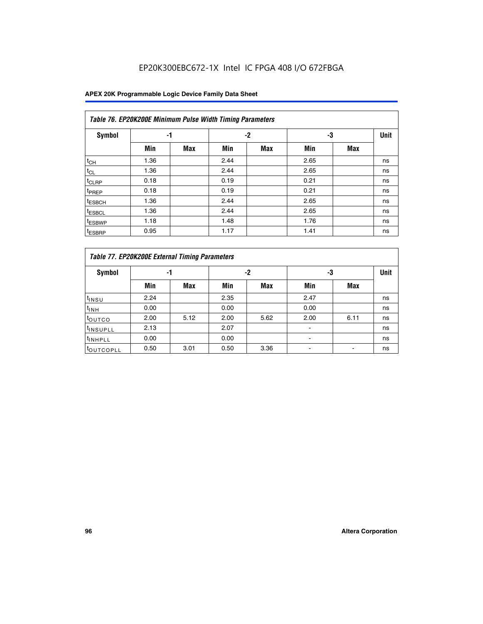| Table 76. EP20K200E Minimum Pulse Width Timing Parameters |      |            |      |            |      |            |             |  |  |  |  |
|-----------------------------------------------------------|------|------------|------|------------|------|------------|-------------|--|--|--|--|
| <b>Symbol</b>                                             | -1   |            |      | $-2$       | -3   |            | <b>Unit</b> |  |  |  |  |
|                                                           | Min  | <b>Max</b> | Min  | <b>Max</b> | Min  | <b>Max</b> |             |  |  |  |  |
| $t_{CH}$                                                  | 1.36 |            | 2.44 |            | 2.65 |            | ns          |  |  |  |  |
| $t_{CL}$                                                  | 1.36 |            | 2.44 |            | 2.65 |            | ns          |  |  |  |  |
| $t_{CLRP}$                                                | 0.18 |            | 0.19 |            | 0.21 |            | ns          |  |  |  |  |
| t <sub>PREP</sub>                                         | 0.18 |            | 0.19 |            | 0.21 |            | ns          |  |  |  |  |
| <sup>t</sup> ESBCH                                        | 1.36 |            | 2.44 |            | 2.65 |            | ns          |  |  |  |  |
| t <sub>ESBCL</sub>                                        | 1.36 |            | 2.44 |            | 2.65 |            | ns          |  |  |  |  |
| <sup>t</sup> ESBWP                                        | 1.18 |            | 1.48 |            | 1.76 |            | ns          |  |  |  |  |
| <sup>t</sup> ESBRP                                        | 0.95 |            | 1.17 |            | 1.41 |            | ns          |  |  |  |  |

|                       | Table 77. EP20K200E External Timing Parameters |            |      |            |      |      |    |  |  |  |  |  |
|-----------------------|------------------------------------------------|------------|------|------------|------|------|----|--|--|--|--|--|
| <b>Symbol</b>         |                                                | -1         |      | -2         |      | -3   |    |  |  |  |  |  |
|                       | Min                                            | <b>Max</b> | Min  | <b>Max</b> | Min  | Max  |    |  |  |  |  |  |
| t <sub>INSU</sub>     | 2.24                                           |            | 2.35 |            | 2.47 |      | ns |  |  |  |  |  |
| $t_{\text{INH}}$      | 0.00                                           |            | 0.00 |            | 0.00 |      | ns |  |  |  |  |  |
| toutco                | 2.00                                           | 5.12       | 2.00 | 5.62       | 2.00 | 6.11 | ns |  |  |  |  |  |
| <sup>t</sup> INSUPLL  | 2.13                                           |            | 2.07 |            |      |      | ns |  |  |  |  |  |
| <sup>t</sup> INHPLL   | 0.00                                           |            | 0.00 |            | -    |      | ns |  |  |  |  |  |
| <sup>I</sup> OUTCOPLL | 0.50                                           | 3.01       | 0.50 | 3.36       |      |      | ns |  |  |  |  |  |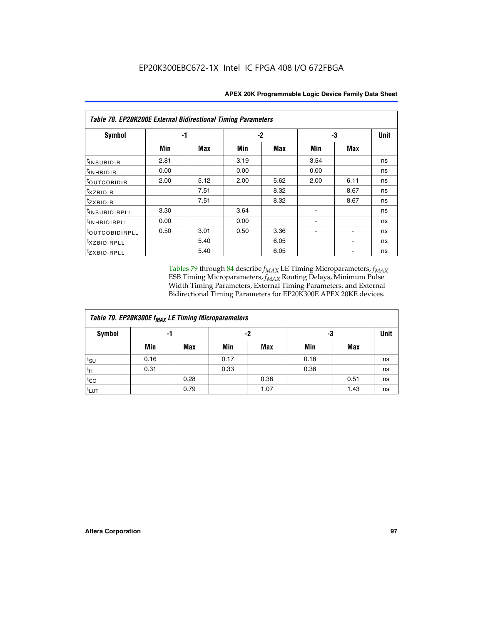| Table 78. EP20K200E External Bidirectional Timing Parameters |      |      |      |      |      |            |             |  |  |  |  |
|--------------------------------------------------------------|------|------|------|------|------|------------|-------------|--|--|--|--|
| Symbol                                                       |      | -1   |      | -2   |      | -3         | <b>Unit</b> |  |  |  |  |
|                                                              | Min  | Max  | Min  | Max  | Min  | <b>Max</b> |             |  |  |  |  |
| t <sub>INSUBIDIR</sub>                                       | 2.81 |      | 3.19 |      | 3.54 |            | ns          |  |  |  |  |
| $t_{INHBIDIR}$                                               | 0.00 |      | 0.00 |      | 0.00 |            | ns          |  |  |  |  |
| t <sub>outcobidir</sub>                                      | 2.00 | 5.12 | 2.00 | 5.62 | 2.00 | 6.11       | ns          |  |  |  |  |
| <i>txzbidir</i>                                              |      | 7.51 |      | 8.32 |      | 8.67       | ns          |  |  |  |  |
| tzxbidir                                                     |      | 7.51 |      | 8.32 |      | 8.67       | ns          |  |  |  |  |
| t <sub>INSUBIDIRPLL</sub>                                    | 3.30 |      | 3.64 |      |      |            | ns          |  |  |  |  |
| tINHBIDIRPLL                                                 | 0.00 |      | 0.00 |      |      |            | ns          |  |  |  |  |
| <sup>t</sup> OUTCOBIDIRPLL                                   | 0.50 | 3.01 | 0.50 | 3.36 |      |            | ns          |  |  |  |  |
| <i>txzbidirpll</i>                                           |      | 5.40 |      | 6.05 |      |            | ns          |  |  |  |  |
| <i>tzxBIDIRPLL</i>                                           |      | 5.40 |      | 6.05 |      |            | ns          |  |  |  |  |

Tables 79 through 84 describe  $f_{MAX}$  LE Timing Microparameters,  $f_{MAX}$ ESB Timing Microparameters, *f<sub>MAX</sub>* Routing Delays, Minimum Pulse Width Timing Parameters, External Timing Parameters, and External Bidirectional Timing Parameters for EP20K300E APEX 20KE devices.

| Table 79. EP20K300E f <sub>MAX</sub> LE Timing Microparameters |          |            |      |            |      |      |    |  |  |  |  |
|----------------------------------------------------------------|----------|------------|------|------------|------|------|----|--|--|--|--|
| <b>Symbol</b>                                                  | -2<br>-1 |            |      |            |      | -3   |    |  |  |  |  |
|                                                                | Min      | <b>Max</b> | Min  | <b>Max</b> | Min  | Max  |    |  |  |  |  |
| $t_{\text{SU}}$                                                | 0.16     |            | 0.17 |            | 0.18 |      | ns |  |  |  |  |
| $t_H$                                                          | 0.31     |            | 0.33 |            | 0.38 |      | ns |  |  |  |  |
| $t_{CO}$                                                       |          | 0.28       |      | 0.38       |      | 0.51 | ns |  |  |  |  |
| $t_{LUT}$                                                      |          | 0.79       |      | 1.07       |      | 1.43 | ns |  |  |  |  |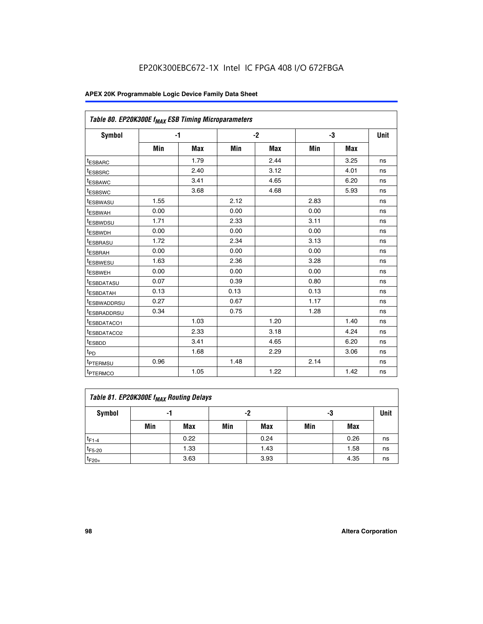| Table 80. EP20K300E f <sub>MAX</sub> ESB Timing Microparameters |      |            |      |            |      |            |      |
|-----------------------------------------------------------------|------|------------|------|------------|------|------------|------|
| Symbol                                                          |      | -1         |      | $-2$       |      | -3         | Unit |
|                                                                 | Min  | <b>Max</b> | Min  | <b>Max</b> | Min  | <b>Max</b> |      |
| t <sub>ESBARC</sub>                                             |      | 1.79       |      | 2.44       |      | 3.25       | ns   |
| t <sub>ESBSRC</sub>                                             |      | 2.40       |      | 3.12       |      | 4.01       | ns   |
| t <sub>ESBAWC</sub>                                             |      | 3.41       |      | 4.65       |      | 6.20       | ns   |
| t <sub>ESBSWC</sub>                                             |      | 3.68       |      | 4.68       |      | 5.93       | ns   |
| <sup>I</sup> ESBWASU                                            | 1.55 |            | 2.12 |            | 2.83 |            | ns   |
| <sup>t</sup> ESBWAH                                             | 0.00 |            | 0.00 |            | 0.00 |            | ns   |
| <sup>I</sup> ESBWDSU                                            | 1.71 |            | 2.33 |            | 3.11 |            | ns   |
| <sup>t</sup> ESBWDH                                             | 0.00 |            | 0.00 |            | 0.00 |            | ns   |
| <sup>t</sup> ESBRASU                                            | 1.72 |            | 2.34 |            | 3.13 |            | ns   |
| t <sub>ESBRAH</sub>                                             | 0.00 |            | 0.00 |            | 0.00 |            | ns   |
| <sup>t</sup> ESBWESU                                            | 1.63 |            | 2.36 |            | 3.28 |            | ns   |
| <sup>t</sup> ESBWEH                                             | 0.00 |            | 0.00 |            | 0.00 |            | ns   |
| t <sub>ESBDATASU</sub>                                          | 0.07 |            | 0.39 |            | 0.80 |            | ns   |
| <sup>t</sup> ESBDATAH                                           | 0.13 |            | 0.13 |            | 0.13 |            | ns   |
| <sup>t</sup> ESBWADDRSU                                         | 0.27 |            | 0.67 |            | 1.17 |            | ns   |
| <sup>t</sup> ESBRADDRSU                                         | 0.34 |            | 0.75 |            | 1.28 |            | ns   |
| <sup>I</sup> ESBDATACO1                                         |      | 1.03       |      | 1.20       |      | 1.40       | ns   |
| <sup>t</sup> ESBDATACO2                                         |      | 2.33       |      | 3.18       |      | 4.24       | ns   |
| <sup>t</sup> ESBDD                                              |      | 3.41       |      | 4.65       |      | 6.20       | ns   |
| t <sub>PD</sub>                                                 |      | 1.68       |      | 2.29       |      | 3.06       | ns   |
| t <sub>PTERMSU</sub>                                            | 0.96 |            | 1.48 |            | 2.14 |            | ns   |
| t <sub>PTERMCO</sub>                                            |      | 1.05       |      | 1.22       |      | 1.42       | ns   |

| Table 81. EP20K300E f <sub>MAX</sub> Routing Delays |     |      |     |      |     |      |    |  |  |  |  |
|-----------------------------------------------------|-----|------|-----|------|-----|------|----|--|--|--|--|
| Symbol                                              |     | -1   |     | -2   |     | -3   |    |  |  |  |  |
|                                                     | Min | Max  | Min | Max  | Min | Max  |    |  |  |  |  |
| $t_{F1-4}$                                          |     | 0.22 |     | 0.24 |     | 0.26 | ns |  |  |  |  |
| $t_{F5-20}$                                         |     | 1.33 |     | 1.43 |     | 1.58 | ns |  |  |  |  |
| $t_{F20+}$                                          |     | 3.63 |     | 3.93 |     | 4.35 | ns |  |  |  |  |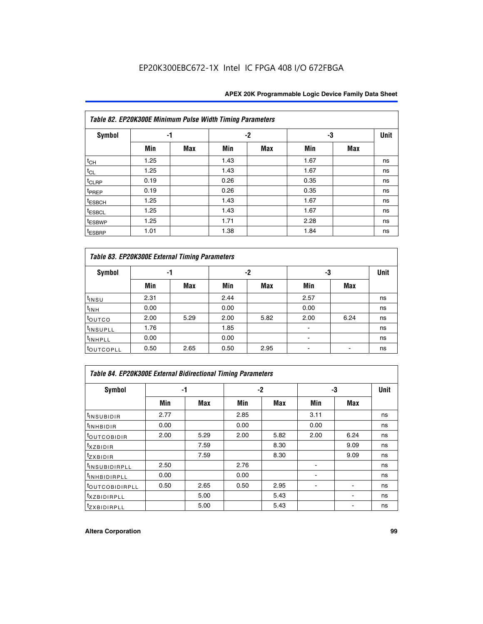| Table 82. EP20K300E Minimum Pulse Width Timing Parameters |      |            |      |      |      |     |             |  |  |  |  |
|-----------------------------------------------------------|------|------------|------|------|------|-----|-------------|--|--|--|--|
| <b>Symbol</b>                                             | -1   |            |      | $-2$ | -3   |     | <b>Unit</b> |  |  |  |  |
|                                                           | Min  | <b>Max</b> | Min  | Max  | Min  | Max |             |  |  |  |  |
| $t_{CH}$                                                  | 1.25 |            | 1.43 |      | 1.67 |     | ns          |  |  |  |  |
| $t_{CL}$                                                  | 1.25 |            | 1.43 |      | 1.67 |     | ns          |  |  |  |  |
| t <sub>CLRP</sub>                                         | 0.19 |            | 0.26 |      | 0.35 |     | ns          |  |  |  |  |
| t <sub>PREP</sub>                                         | 0.19 |            | 0.26 |      | 0.35 |     | ns          |  |  |  |  |
| t <sub>ESBCH</sub>                                        | 1.25 |            | 1.43 |      | 1.67 |     | ns          |  |  |  |  |
| <sup>t</sup> ESBCL                                        | 1.25 |            | 1.43 |      | 1.67 |     | ns          |  |  |  |  |
| <sup>t</sup> ESBWP                                        | 1.25 |            | 1.71 |      | 2.28 |     | ns          |  |  |  |  |
| <sup>t</sup> ESBRP                                        | 1.01 |            | 1.38 |      | 1.84 |     | ns          |  |  |  |  |

| Table 83. EP20K300E External Timing Parameters |      |      |      |      |      |            |             |  |  |  |  |
|------------------------------------------------|------|------|------|------|------|------------|-------------|--|--|--|--|
| Symbol                                         |      | -1   |      | -2   | -3   |            | <b>Unit</b> |  |  |  |  |
|                                                | Min  | Max  | Min  | Max  | Min  | <b>Max</b> |             |  |  |  |  |
| t <sub>INSU</sub>                              | 2.31 |      | 2.44 |      | 2.57 |            | ns          |  |  |  |  |
| $t_{INH}$                                      | 0.00 |      | 0.00 |      | 0.00 |            | ns          |  |  |  |  |
| toutco                                         | 2.00 | 5.29 | 2.00 | 5.82 | 2.00 | 6.24       | ns          |  |  |  |  |
| <sup>t</sup> INSUPLL                           | 1.76 |      | 1.85 |      |      |            | ns          |  |  |  |  |
| <sup>t</sup> INHPLL                            | 0.00 |      | 0.00 |      | -    |            | ns          |  |  |  |  |
| <sup>t</sup> OUTCOPLL                          | 0.50 | 2.65 | 0.50 | 2.95 |      |            | ns          |  |  |  |  |

| Table 84. EP20K300E External Bidirectional Timing Parameters |      |      |      |            |      |            |             |  |  |  |  |
|--------------------------------------------------------------|------|------|------|------------|------|------------|-------------|--|--|--|--|
| Symbol                                                       |      | -1   |      | $-2$       |      | -3         | <b>Unit</b> |  |  |  |  |
|                                                              | Min  | Max  | Min  | <b>Max</b> | Min  | <b>Max</b> |             |  |  |  |  |
| <sup>t</sup> INSUBIDIR                                       | 2.77 |      | 2.85 |            | 3.11 |            | ns          |  |  |  |  |
| <b>TINHBIDIR</b>                                             | 0.00 |      | 0.00 |            | 0.00 |            | ns          |  |  |  |  |
| <sup>t</sup> OUTCOBIDIR                                      | 2.00 | 5.29 | 2.00 | 5.82       | 2.00 | 6.24       | ns          |  |  |  |  |
| KZBIDIR                                                      |      | 7.59 |      | 8.30       |      | 9.09       | ns          |  |  |  |  |
| $t_{Z}$ <i>x</i> BIDIR                                       |      | 7.59 |      | 8.30       |      | 9.09       | ns          |  |  |  |  |
| <b>INSUBIDIRPLL</b>                                          | 2.50 |      | 2.76 |            |      |            | ns          |  |  |  |  |
| <sup>t</sup> INHBIDIRPLL                                     | 0.00 |      | 0.00 |            |      |            | ns          |  |  |  |  |
| <b><i>LOUTCOBIDIRPLL</i></b>                                 | 0.50 | 2.65 | 0.50 | 2.95       |      |            | ns          |  |  |  |  |
| <sup>t</sup> XZBIDIRPLL                                      |      | 5.00 |      | 5.43       |      |            | ns          |  |  |  |  |
| <sup>t</sup> ZXBIDIRPLL                                      |      | 5.00 |      | 5.43       |      |            | ns          |  |  |  |  |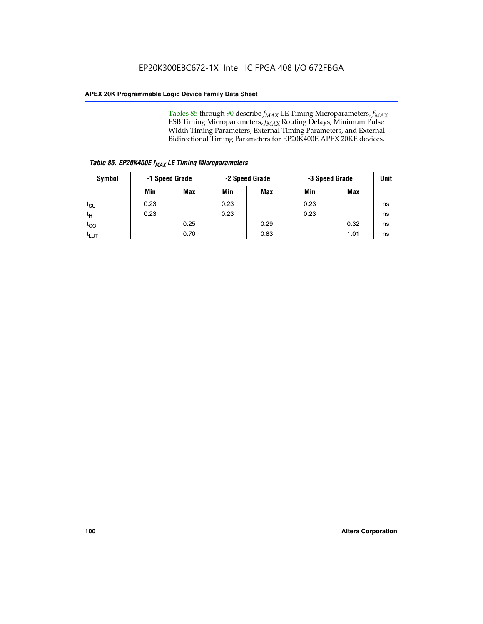Tables 85 through 90 describe  $f_{MAX}$  LE Timing Microparameters,  $f_{MAX}$ ESB Timing Microparameters, *f<sub>MAX</sub>* Routing Delays, Minimum Pulse Width Timing Parameters, External Timing Parameters, and External Bidirectional Timing Parameters for EP20K400E APEX 20KE devices.

|                    | Table 85. EP20K400E f <sub>MAX</sub> LE Timing Microparameters |                |                |            |                |      |             |  |  |  |  |  |
|--------------------|----------------------------------------------------------------|----------------|----------------|------------|----------------|------|-------------|--|--|--|--|--|
| Symbol             |                                                                | -1 Speed Grade | -2 Speed Grade |            | -3 Speed Grade |      | <b>Unit</b> |  |  |  |  |  |
|                    | Min                                                            | <b>Max</b>     | Min            | <b>Max</b> | Min            | Max  |             |  |  |  |  |  |
| $t_{\text{SU}}$    | 0.23                                                           |                | 0.23           |            | 0.23           |      | ns          |  |  |  |  |  |
| $t_H$              | 0.23                                                           |                | 0.23           |            | 0.23           |      | ns          |  |  |  |  |  |
| $t_{CO}$           |                                                                | 0.25           |                | 0.29       |                | 0.32 | ns          |  |  |  |  |  |
| ι <sup>t</sup> ιυτ |                                                                | 0.70           |                | 0.83       |                | 1.01 | ns          |  |  |  |  |  |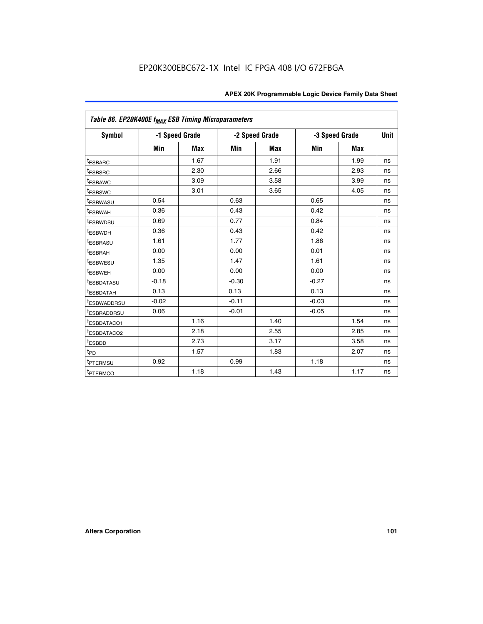|                         | Table 86. EP20K400E f <sub>MAX</sub> ESB Timing Microparameters |                |         |                |         |                |             |  |  |  |  |
|-------------------------|-----------------------------------------------------------------|----------------|---------|----------------|---------|----------------|-------------|--|--|--|--|
| Symbol                  |                                                                 | -1 Speed Grade |         | -2 Speed Grade |         | -3 Speed Grade | <b>Unit</b> |  |  |  |  |
|                         | Min                                                             | <b>Max</b>     | Min     | <b>Max</b>     | Min     | <b>Max</b>     |             |  |  |  |  |
| <sup>t</sup> ESBARC     |                                                                 | 1.67           |         | 1.91           |         | 1.99           | ns          |  |  |  |  |
| <sup>t</sup> ESBSRC     |                                                                 | 2.30           |         | 2.66           |         | 2.93           | ns          |  |  |  |  |
| <sup>t</sup> ESBAWC     |                                                                 | 3.09           |         | 3.58           |         | 3.99           | ns          |  |  |  |  |
| <sup>t</sup> ESBSWC     |                                                                 | 3.01           |         | 3.65           |         | 4.05           | ns          |  |  |  |  |
| <sup>t</sup> ESBWASU    | 0.54                                                            |                | 0.63    |                | 0.65    |                | ns          |  |  |  |  |
| t <sub>ESBWAH</sub>     | 0.36                                                            |                | 0.43    |                | 0.42    |                | ns          |  |  |  |  |
| <sup>t</sup> ESBWDSU    | 0.69                                                            |                | 0.77    |                | 0.84    |                | ns          |  |  |  |  |
| <sup>t</sup> ESBWDH     | 0.36                                                            |                | 0.43    |                | 0.42    |                | ns          |  |  |  |  |
| <sup>t</sup> ESBRASU    | 1.61                                                            |                | 1.77    |                | 1.86    |                | ns          |  |  |  |  |
| <sup>t</sup> ESBRAH     | 0.00                                                            |                | 0.00    |                | 0.01    |                | ns          |  |  |  |  |
| t <sub>ESBWESU</sub>    | 1.35                                                            |                | 1.47    |                | 1.61    |                | ns          |  |  |  |  |
| t <sub>ESBWEH</sub>     | 0.00                                                            |                | 0.00    |                | 0.00    |                | ns          |  |  |  |  |
| <sup>I</sup> ESBDATASU  | $-0.18$                                                         |                | $-0.30$ |                | $-0.27$ |                | ns          |  |  |  |  |
| <b>ESBDATAH</b>         | 0.13                                                            |                | 0.13    |                | 0.13    |                | ns          |  |  |  |  |
| <sup>t</sup> ESBWADDRSU | $-0.02$                                                         |                | $-0.11$ |                | $-0.03$ |                | ns          |  |  |  |  |
| t <sub>ESBRADDRSU</sub> | 0.06                                                            |                | $-0.01$ |                | $-0.05$ |                | ns          |  |  |  |  |
| <sup>t</sup> ESBDATACO1 |                                                                 | 1.16           |         | 1.40           |         | 1.54           | ns          |  |  |  |  |
| <sup>I</sup> ESBDATACO2 |                                                                 | 2.18           |         | 2.55           |         | 2.85           | ns          |  |  |  |  |
| <sup>t</sup> ESBDD      |                                                                 | 2.73           |         | 3.17           |         | 3.58           | ns          |  |  |  |  |
| $t_{\mathsf{PD}}$       |                                                                 | 1.57           |         | 1.83           |         | 2.07           | ns          |  |  |  |  |
| t <sub>PTERMSU</sub>    | 0.92                                                            |                | 0.99    |                | 1.18    |                | ns          |  |  |  |  |
| <sup>t</sup> PTERMCO    |                                                                 | 1.18           |         | 1.43           |         | 1.17           | ns          |  |  |  |  |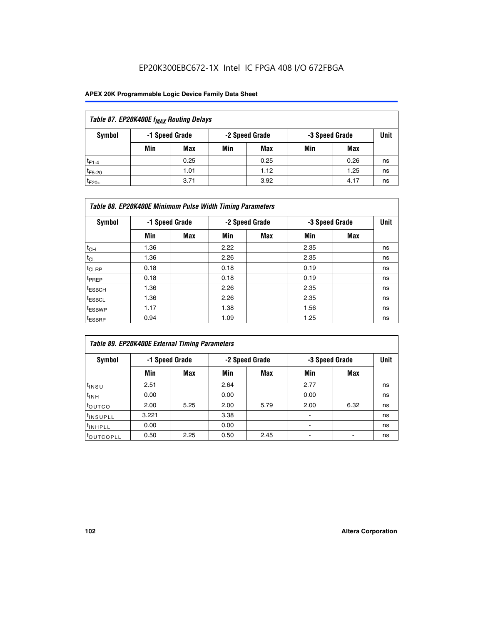| Table 87. EP20K400E f <sub>MAX</sub> Routing Delays |                                                    |            |     |      |     |      |      |  |  |  |
|-----------------------------------------------------|----------------------------------------------------|------------|-----|------|-----|------|------|--|--|--|
| Symbol                                              | -2 Speed Grade<br>-1 Speed Grade<br>-3 Speed Grade |            |     |      |     |      | Unit |  |  |  |
|                                                     | Min                                                | <b>Max</b> | Min | Max  | Min | Max  |      |  |  |  |
| $t_{F1-4}$                                          |                                                    | 0.25       |     | 0.25 |     | 0.26 | ns   |  |  |  |
| $t_{F5-20}$                                         |                                                    | 1.01       |     | 1.12 |     | 1.25 | ns   |  |  |  |
| $t_{F20+}$                                          |                                                    | 3.71       |     | 3.92 |     | 4.17 | ns   |  |  |  |

| Table 88. EP20K400E Minimum Pulse Width Timing Parameters |      |                |      |                |                |     |             |  |  |  |  |
|-----------------------------------------------------------|------|----------------|------|----------------|----------------|-----|-------------|--|--|--|--|
| Symbol                                                    |      | -1 Speed Grade |      | -2 Speed Grade | -3 Speed Grade |     | <b>Unit</b> |  |  |  |  |
|                                                           | Min  | <b>Max</b>     | Min  | <b>Max</b>     | Min            | Max |             |  |  |  |  |
| $t_{CH}$                                                  | 1.36 |                | 2.22 |                | 2.35           |     | ns          |  |  |  |  |
| $t_{\rm CL}$                                              | 1.36 |                | 2.26 |                | 2.35           |     | ns          |  |  |  |  |
| $t_{CLRP}$                                                | 0.18 |                | 0.18 |                | 0.19           |     | ns          |  |  |  |  |
| t <sub>PREP</sub>                                         | 0.18 |                | 0.18 |                | 0.19           |     | ns          |  |  |  |  |
| <sup>t</sup> ESBCH                                        | 1.36 |                | 2.26 |                | 2.35           |     | ns          |  |  |  |  |
| <sup>t</sup> ESBCL                                        | 1.36 |                | 2.26 |                | 2.35           |     | ns          |  |  |  |  |
| <sup>t</sup> ESBWP                                        | 1.17 |                | 1.38 |                | 1.56           |     | ns          |  |  |  |  |
| <sup>t</sup> ESBRP                                        | 0.94 |                | 1.09 |                | 1.25           |     | ns          |  |  |  |  |

| Table 89. EP20K400E External Timing Parameters |                |      |      |                |                          |                |             |  |  |  |  |
|------------------------------------------------|----------------|------|------|----------------|--------------------------|----------------|-------------|--|--|--|--|
| Symbol                                         | -1 Speed Grade |      |      | -2 Speed Grade |                          | -3 Speed Grade | <b>Unit</b> |  |  |  |  |
|                                                | Min            | Max  | Min  | <b>Max</b>     | Min                      | Max            |             |  |  |  |  |
| t <sub>INSU</sub>                              | 2.51           |      | 2.64 |                | 2.77                     |                | ns          |  |  |  |  |
| $t_{INH}$                                      | 0.00           |      | 0.00 |                | 0.00                     |                | ns          |  |  |  |  |
| toutco                                         | 2.00           | 5.25 | 2.00 | 5.79           | 2.00                     | 6.32           | ns          |  |  |  |  |
| <sup>t</sup> INSUPLL                           | 3.221          |      | 3.38 |                |                          |                | ns          |  |  |  |  |
| I <sup>t</sup> INHPLL                          | 0.00           |      | 0.00 |                | $\overline{\phantom{0}}$ |                | ns          |  |  |  |  |
| toutcopll                                      | 0.50           | 2.25 | 0.50 | 2.45           |                          |                | ns          |  |  |  |  |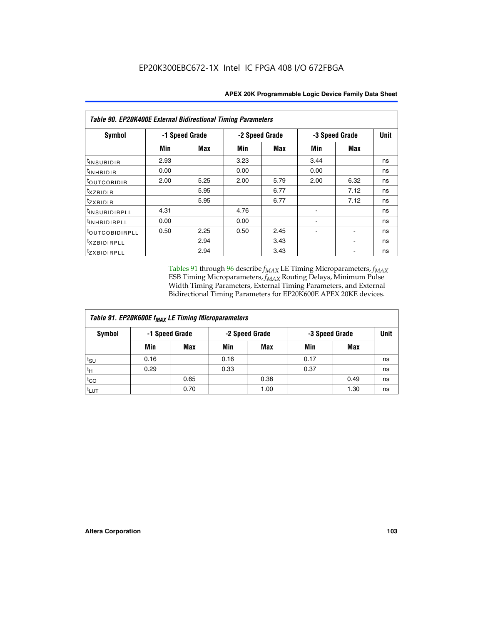| <b>Table 90. EP20K400E External Bidirectional Timing Parameters</b> |                |            |      |                |                |             |    |  |  |  |  |
|---------------------------------------------------------------------|----------------|------------|------|----------------|----------------|-------------|----|--|--|--|--|
| <b>Symbol</b>                                                       | -1 Speed Grade |            |      | -2 Speed Grade | -3 Speed Grade | <b>Unit</b> |    |  |  |  |  |
|                                                                     | Min            | <b>Max</b> | Min  | <b>Max</b>     | Min            | Max         |    |  |  |  |  |
| t <sub>INSUBIDIR</sub>                                              | 2.93           |            | 3.23 |                | 3.44           |             | ns |  |  |  |  |
| $t_{INHBIDIR}$                                                      | 0.00           |            | 0.00 |                | 0.00           |             | ns |  |  |  |  |
| <sup>t</sup> outcobidir                                             | 2.00           | 5.25       | 2.00 | 5.79           | 2.00           | 6.32        | ns |  |  |  |  |
| <i>txzbidir</i>                                                     |                | 5.95       |      | 6.77           |                | 7.12        | ns |  |  |  |  |
| tzxbidir                                                            |                | 5.95       |      | 6.77           |                | 7.12        | ns |  |  |  |  |
| <sup>t</sup> INSUBIDIRPLL                                           | 4.31           |            | 4.76 |                |                |             | ns |  |  |  |  |
| tINHBIDIRPLL                                                        | 0.00           |            | 0.00 |                | ۰              |             | ns |  |  |  |  |
| <sup>t</sup> OUTCOBIDIRPLL                                          | 0.50           | 2.25       | 0.50 | 2.45           |                |             | ns |  |  |  |  |
| <i>txzBIDIRPLL</i>                                                  |                | 2.94       |      | 3.43           |                |             | ns |  |  |  |  |
| tzxBIDIRPLL                                                         |                | 2.94       |      | 3.43           |                |             | ns |  |  |  |  |

Tables 91 through 96 describe  $f_{MAX}$  LE Timing Microparameters,  $f_{MAX}$ ESB Timing Microparameters, *f<sub>MAX</sub>* Routing Delays, Minimum Pulse Width Timing Parameters, External Timing Parameters, and External Bidirectional Timing Parameters for EP20K600E APEX 20KE devices.

| Table 91. EP20K600E f <sub>MAX</sub> LE Timing Microparameters |                |            |                |            |                |      |             |  |  |  |  |  |
|----------------------------------------------------------------|----------------|------------|----------------|------------|----------------|------|-------------|--|--|--|--|--|
| Symbol                                                         | -1 Speed Grade |            | -2 Speed Grade |            | -3 Speed Grade |      | <b>Unit</b> |  |  |  |  |  |
|                                                                | Min            | <b>Max</b> | Min            | <b>Max</b> | Min            | Max  |             |  |  |  |  |  |
| $t_{\sf SU}$                                                   | 0.16           |            | 0.16           |            | 0.17           |      | ns          |  |  |  |  |  |
| $t_H$                                                          | 0.29           |            | 0.33           |            | 0.37           |      | ns          |  |  |  |  |  |
| $t_{CO}$                                                       |                | 0.65       |                | 0.38       |                | 0.49 | ns          |  |  |  |  |  |
| <sup>t</sup> LUT                                               |                | 0.70       |                | 1.00       |                | 1.30 | ns          |  |  |  |  |  |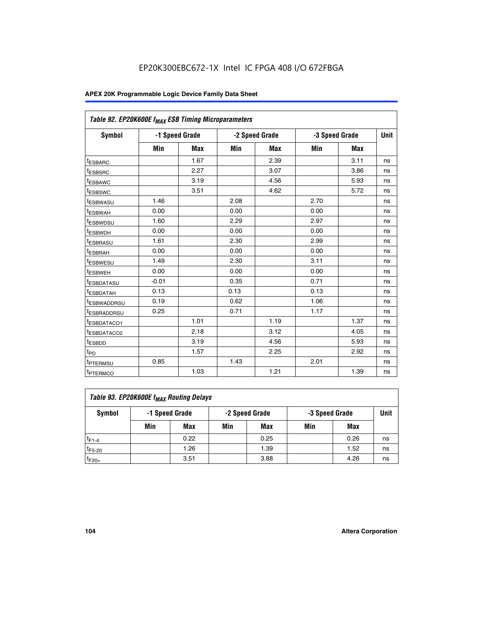| Table 92. EP20K600E f <sub>MAX</sub> ESB Timing Microparameters |         |                |      |                |      |                |      |
|-----------------------------------------------------------------|---------|----------------|------|----------------|------|----------------|------|
| <b>Symbol</b>                                                   |         | -1 Speed Grade |      | -2 Speed Grade |      | -3 Speed Grade | Unit |
|                                                                 | Min     | Max            | Min  | Max            | Min  | Max            |      |
| <sup>t</sup> ESBARC                                             |         | 1.67           |      | 2.39           |      | 3.11           | ns   |
| t <sub>ESBSRC</sub>                                             |         | 2.27           |      | 3.07           |      | 3.86           | ns   |
| <sup>t</sup> ESBAWC                                             |         | 3.19           |      | 4.56           |      | 5.93           | ns   |
| <sup>t</sup> ESBSWC                                             |         | 3.51           |      | 4.62           |      | 5.72           | ns   |
| <sup>t</sup> ESBWASU                                            | 1.46    |                | 2.08 |                | 2.70 |                | ns   |
| t <sub>ESBWAH</sub>                                             | 0.00    |                | 0.00 |                | 0.00 |                | ns   |
| t <sub>ESBWDSU</sub>                                            | 1.60    |                | 2.29 |                | 2.97 |                | ns   |
| t <sub>ESBWDH</sub>                                             | 0.00    |                | 0.00 |                | 0.00 |                | ns   |
| <sup>t</sup> ESBRASU                                            | 1.61    |                | 2.30 |                | 2.99 |                | ns   |
| <sup>t</sup> ESBRAH                                             | 0.00    |                | 0.00 |                | 0.00 |                | ns   |
| t <sub>ESBWESU</sub>                                            | 1.49    |                | 2.30 |                | 3.11 |                | ns   |
| t <sub>ESBWEH</sub>                                             | 0.00    |                | 0.00 |                | 0.00 |                | ns   |
| t <sub>ESBDATASU</sub>                                          | $-0.01$ |                | 0.35 |                | 0.71 |                | ns   |
| <sup>t</sup> ESBDATAH                                           | 0.13    |                | 0.13 |                | 0.13 |                | ns   |
| <sup>t</sup> ESBWADDRSU                                         | 0.19    |                | 0.62 |                | 1.06 |                | ns   |
| <sup>t</sup> ESBRADDRSU                                         | 0.25    |                | 0.71 |                | 1.17 |                | ns   |
| <sup>t</sup> ESBDATACO1                                         |         | 1.01           |      | 1.19           |      | 1.37           | ns   |
| <sup>t</sup> ESBDATACO2                                         |         | 2.18           |      | 3.12           |      | 4.05           | ns   |
| <sup>t</sup> ESBDD                                              |         | 3.19           |      | 4.56           |      | 5.93           | ns   |
| t <sub>PD</sub>                                                 |         | 1.57           |      | 2.25           |      | 2.92           | ns   |
| <b>TPTERMSU</b>                                                 | 0.85    |                | 1.43 |                | 2.01 |                | ns   |
| t <sub>PTERMCO</sub>                                            |         | 1.03           |      | 1.21           |      | 1.39           | ns   |

| Table 93. EP20K600E f <sub>MAX</sub> Routing Delays |                |      |                |            |                |      |             |  |  |  |  |  |
|-----------------------------------------------------|----------------|------|----------------|------------|----------------|------|-------------|--|--|--|--|--|
| Symbol                                              | -1 Speed Grade |      | -2 Speed Grade |            | -3 Speed Grade |      | <b>Unit</b> |  |  |  |  |  |
|                                                     | Min            | Max  | Min            | <b>Max</b> | Min            | Max  |             |  |  |  |  |  |
| $t_{F1-4}$                                          |                | 0.22 |                | 0.25       |                | 0.26 | ns          |  |  |  |  |  |
| $t_{F5-20}$                                         |                | 1.26 |                | 1.39       |                | 1.52 | ns          |  |  |  |  |  |
| $t_{F20+}$                                          |                | 3.51 |                | 3.88       |                | 4.26 | ns          |  |  |  |  |  |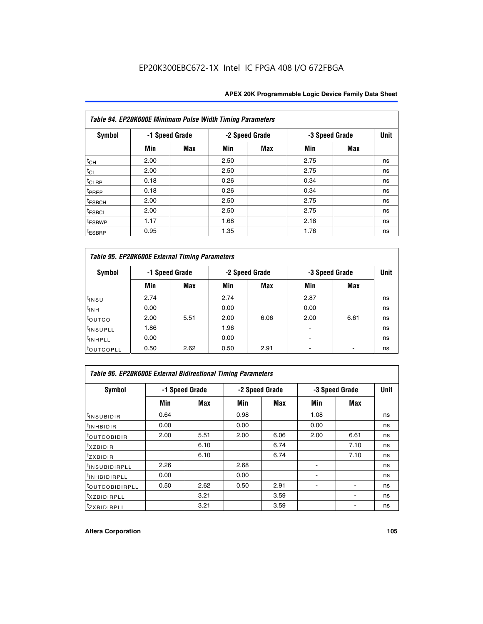| Table 94. EP20K600E Minimum Pulse Width Timing Parameters |      |                |      |                |      |                |             |  |  |  |  |
|-----------------------------------------------------------|------|----------------|------|----------------|------|----------------|-------------|--|--|--|--|
| Symbol                                                    |      | -1 Speed Grade |      | -2 Speed Grade |      | -3 Speed Grade | <b>Unit</b> |  |  |  |  |
|                                                           | Min  | Max            | Min  | Max            | Min  | <b>Max</b>     |             |  |  |  |  |
| $t_{CH}$                                                  | 2.00 |                | 2.50 |                | 2.75 |                | ns          |  |  |  |  |
| $t_{CL}$                                                  | 2.00 |                | 2.50 |                | 2.75 |                | ns          |  |  |  |  |
| $t_{CLRP}$                                                | 0.18 |                | 0.26 |                | 0.34 |                | ns          |  |  |  |  |
| t <sub>PREP</sub>                                         | 0.18 |                | 0.26 |                | 0.34 |                | ns          |  |  |  |  |
| <sup>t</sup> ESBCH                                        | 2.00 |                | 2.50 |                | 2.75 |                | ns          |  |  |  |  |
| <sup>t</sup> ESBCL                                        | 2.00 |                | 2.50 |                | 2.75 |                | ns          |  |  |  |  |
| <sup>t</sup> ESBWP                                        | 1.17 |                | 1.68 |                | 2.18 |                | ns          |  |  |  |  |
| <sup>t</sup> ESBRP                                        | 0.95 |                | 1.35 |                | 1.76 |                | ns          |  |  |  |  |

| Table 95. EP20K600E External Timing Parameters |      |                |      |                |                          |                |    |  |  |  |  |  |
|------------------------------------------------|------|----------------|------|----------------|--------------------------|----------------|----|--|--|--|--|--|
| Symbol                                         |      | -1 Speed Grade |      | -2 Speed Grade |                          | -3 Speed Grade |    |  |  |  |  |  |
|                                                | Min  | Max            | Min  | Max            | Min                      | Max            |    |  |  |  |  |  |
| t <sub>insu</sub>                              | 2.74 |                | 2.74 |                | 2.87                     |                | ns |  |  |  |  |  |
| $t_{INH}$                                      | 0.00 |                | 0.00 |                | 0.00                     |                | ns |  |  |  |  |  |
| toutco                                         | 2.00 | 5.51           | 2.00 | 6.06           | 2.00                     | 6.61           | ns |  |  |  |  |  |
| <sup>t</sup> INSUPLL                           | 1.86 |                | 1.96 |                |                          |                | ns |  |  |  |  |  |
| <sup>t</sup> INHPLL                            | 0.00 |                | 0.00 |                | $\overline{\phantom{a}}$ |                | ns |  |  |  |  |  |
| <b>LOUTCOPLL</b>                               | 0.50 | 2.62           | 0.50 | 2.91           |                          |                | ns |  |  |  |  |  |

| <b>Table 96. EP20K600E External Bidirectional Timing Parameters</b> |                |      |      |                |                |             |    |  |  |  |  |
|---------------------------------------------------------------------|----------------|------|------|----------------|----------------|-------------|----|--|--|--|--|
| Symbol                                                              | -1 Speed Grade |      |      | -2 Speed Grade | -3 Speed Grade | <b>Unit</b> |    |  |  |  |  |
|                                                                     | Min            | Max  | Min  | Max            | Min            | Max         |    |  |  |  |  |
| <sup>t</sup> INSUBIDIR                                              | 0.64           |      | 0.98 |                | 1.08           |             | ns |  |  |  |  |
| $t_{\rm INHBIDIR}$                                                  | 0.00           |      | 0.00 |                | 0.00           |             | ns |  |  |  |  |
| <sup>t</sup> OUTCOBIDIR                                             | 2.00           | 5.51 | 2.00 | 6.06           | 2.00           | 6.61        | ns |  |  |  |  |
| $t_{XZBIDIR}$                                                       |                | 6.10 |      | 6.74           |                | 7.10        | ns |  |  |  |  |
| $t_{ZXBIDIR}$                                                       |                | 6.10 |      | 6.74           |                | 7.10        | ns |  |  |  |  |
| <sup>t</sup> INSUBIDIRPLL                                           | 2.26           |      | 2.68 |                |                |             | ns |  |  |  |  |
| <sup>t</sup> INHBIDIRPLL                                            | 0.00           |      | 0.00 |                |                |             | ns |  |  |  |  |
| <b><i>LOUTCOBIDIRPLL</i></b>                                        | 0.50           | 2.62 | 0.50 | 2.91           |                |             | ns |  |  |  |  |
| <sup>t</sup> XZBIDIRPLL                                             |                | 3.21 |      | 3.59           |                |             | ns |  |  |  |  |
| <sup>t</sup> zxbidirpll                                             |                | 3.21 |      | 3.59           |                |             | ns |  |  |  |  |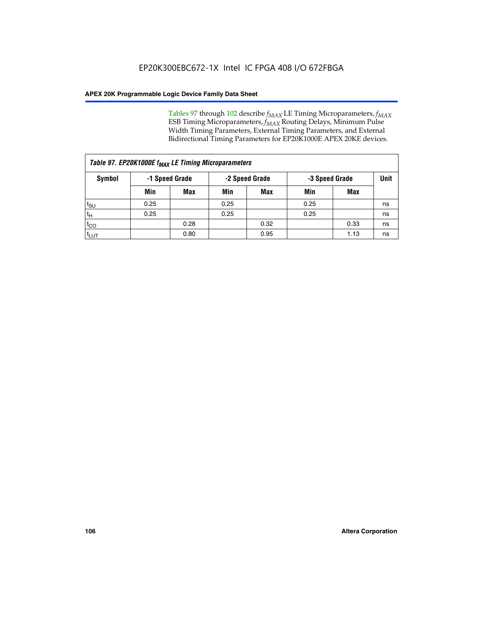Tables 97 through 102 describe  $f_{MAX}$  LE Timing Microparameters,  $f_{MAX}$ ESB Timing Microparameters, *f<sub>MAX</sub>* Routing Delays, Minimum Pulse Width Timing Parameters, External Timing Parameters, and External Bidirectional Timing Parameters for EP20K1000E APEX 20KE devices.

| Table 97. EP20K1000E f <sub>MAX</sub> LE Timing Microparameters |                |            |                |            |                |      |             |  |  |  |  |
|-----------------------------------------------------------------|----------------|------------|----------------|------------|----------------|------|-------------|--|--|--|--|
| Symbol                                                          | -1 Speed Grade |            | -2 Speed Grade |            | -3 Speed Grade |      | <b>Unit</b> |  |  |  |  |
|                                                                 | Min            | <b>Max</b> | Min            | <b>Max</b> | Min            | Max  |             |  |  |  |  |
| $t_{\text{SU}}$                                                 | 0.25           |            | 0.25           |            | 0.25           |      | ns          |  |  |  |  |
| $t_H$                                                           | 0.25           |            | 0.25           |            | 0.25           |      | ns          |  |  |  |  |
| $t_{CO}$                                                        |                | 0.28       |                | 0.32       |                | 0.33 | ns          |  |  |  |  |
| t <sub>LUT</sub>                                                |                | 0.80       |                | 0.95       |                | 1.13 | ns          |  |  |  |  |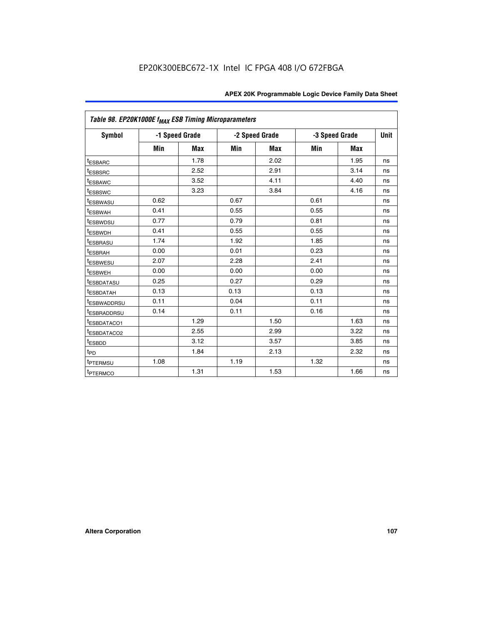| Table 98. EP20K1000E f <sub>MAX</sub> ESB Timing Microparameters |      |                |      |                |      |                |    |  |  |
|------------------------------------------------------------------|------|----------------|------|----------------|------|----------------|----|--|--|
| Symbol                                                           |      | -1 Speed Grade |      | -2 Speed Grade |      | -3 Speed Grade |    |  |  |
|                                                                  | Min  | <b>Max</b>     | Min  | Max            | Min  | <b>Max</b>     |    |  |  |
| <b>tESBARC</b>                                                   |      | 1.78           |      | 2.02           |      | 1.95           | ns |  |  |
| <sup>t</sup> ESBSRC                                              |      | 2.52           |      | 2.91           |      | 3.14           | ns |  |  |
| t <sub>ESBAWC</sub>                                              |      | 3.52           |      | 4.11           |      | 4.40           | ns |  |  |
| <sup>t</sup> ESBSWC                                              |      | 3.23           |      | 3.84           |      | 4.16           | ns |  |  |
| <sup>t</sup> ESBWASU                                             | 0.62 |                | 0.67 |                | 0.61 |                | ns |  |  |
| t <sub>ESBWAH</sub>                                              | 0.41 |                | 0.55 |                | 0.55 |                | ns |  |  |
| <sup>t</sup> ESBWDSU                                             | 0.77 |                | 0.79 |                | 0.81 |                | ns |  |  |
| t <sub>ESBWDH</sub>                                              | 0.41 |                | 0.55 |                | 0.55 |                | ns |  |  |
| t <sub>ESBRASU</sub>                                             | 1.74 |                | 1.92 |                | 1.85 |                | ns |  |  |
| t <sub>ESBRAH</sub>                                              | 0.00 |                | 0.01 |                | 0.23 |                | ns |  |  |
| <sup>t</sup> ESBWESU                                             | 2.07 |                | 2.28 |                | 2.41 |                | ns |  |  |
| t <sub>ESBWEH</sub>                                              | 0.00 |                | 0.00 |                | 0.00 |                | ns |  |  |
| <sup>I</sup> ESBDATASU                                           | 0.25 |                | 0.27 |                | 0.29 |                | ns |  |  |
| <b>ESBDATAH</b>                                                  | 0.13 |                | 0.13 |                | 0.13 |                | ns |  |  |
| <sup>T</sup> ESBWADDRSU                                          | 0.11 |                | 0.04 |                | 0.11 |                | ns |  |  |
| <sup>T</sup> ESBRADDRSU                                          | 0.14 |                | 0.11 |                | 0.16 |                | ns |  |  |
| <sup>t</sup> ESBDATACO1                                          |      | 1.29           |      | 1.50           |      | 1.63           | ns |  |  |
| <sup>t</sup> ESBDATACO2                                          |      | 2.55           |      | 2.99           |      | 3.22           | ns |  |  |
| <sup>t</sup> ESBDD                                               |      | 3.12           |      | 3.57           |      | 3.85           | ns |  |  |
| $t_{P\underline{D}}$                                             |      | 1.84           |      | 2.13           |      | 2.32           | ns |  |  |
| t <sub>PTERMSU</sub>                                             | 1.08 |                | 1.19 |                | 1.32 |                | ns |  |  |
| <sup>t</sup> PTERMCO                                             |      | 1.31           |      | 1.53           |      | 1.66           | ns |  |  |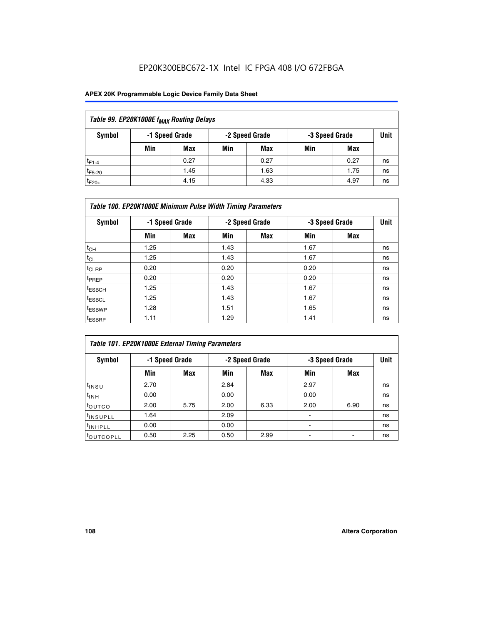## EP20K300EBC672-1X Intel IC FPGA 408 I/O 672FBGA

## **APEX 20K Programmable Logic Device Family Data Sheet**

| Table 99. EP20K1000E f <sub>MAX</sub> Routing Delays |                |                |             |      |     |      |    |  |  |  |  |
|------------------------------------------------------|----------------|----------------|-------------|------|-----|------|----|--|--|--|--|
| Symbol                                               | -1 Speed Grade | -3 Speed Grade | <b>Unit</b> |      |     |      |    |  |  |  |  |
|                                                      | Min            | <b>Max</b>     | Min         | Max  | Min | Max  |    |  |  |  |  |
| $t_{F1-4}$                                           |                | 0.27           |             | 0.27 |     | 0.27 | ns |  |  |  |  |
| $t_{F5-20}$                                          |                | 1.45           |             | 1.63 |     | 1.75 | ns |  |  |  |  |
| $t_{F20+}$                                           |                | 4.15           |             | 4.33 |     | 4.97 | ns |  |  |  |  |

|                    | Table 100. EP20K1000E Minimum Pulse Width Timing Parameters |            |      |                |      |                |             |  |  |  |  |  |
|--------------------|-------------------------------------------------------------|------------|------|----------------|------|----------------|-------------|--|--|--|--|--|
| Symbol             | -1 Speed Grade                                              |            |      | -2 Speed Grade |      | -3 Speed Grade | <b>Unit</b> |  |  |  |  |  |
|                    | Min                                                         | <b>Max</b> | Min  | Max            | Min  | Max            |             |  |  |  |  |  |
| $t_{CH}$           | 1.25                                                        |            | 1.43 |                | 1.67 |                | ns          |  |  |  |  |  |
| $t_{CL}$           | 1.25                                                        |            | 1.43 |                | 1.67 |                | ns          |  |  |  |  |  |
| t <sub>CLRP</sub>  | 0.20                                                        |            | 0.20 |                | 0.20 |                | ns          |  |  |  |  |  |
| <sup>t</sup> PREP  | 0.20                                                        |            | 0.20 |                | 0.20 |                | ns          |  |  |  |  |  |
| <sup>t</sup> ESBCH | 1.25                                                        |            | 1.43 |                | 1.67 |                | ns          |  |  |  |  |  |
| <sup>t</sup> ESBCL | 1.25                                                        |            | 1.43 |                | 1.67 |                | ns          |  |  |  |  |  |
| <sup>t</sup> ESBWP | 1.28                                                        |            | 1.51 |                | 1.65 |                | ns          |  |  |  |  |  |
| <sup>t</sup> ESBRP | 1.11                                                        |            | 1.29 |                | 1.41 |                | ns          |  |  |  |  |  |

| Table 101. EP20K1000E External Timing Parameters |      |                |      |                |                          |                |    |  |  |  |  |  |
|--------------------------------------------------|------|----------------|------|----------------|--------------------------|----------------|----|--|--|--|--|--|
| Symbol                                           |      | -1 Speed Grade |      | -2 Speed Grade |                          | -3 Speed Grade |    |  |  |  |  |  |
|                                                  | Min  | Max            | Min  | <b>Max</b>     | Min                      | Max            |    |  |  |  |  |  |
| t <sub>INSU</sub>                                | 2.70 |                | 2.84 |                | 2.97                     |                | ns |  |  |  |  |  |
| $t_{INH}$                                        | 0.00 |                | 0.00 |                | 0.00                     |                | ns |  |  |  |  |  |
| toutco                                           | 2.00 | 5.75           | 2.00 | 6.33           | 2.00                     | 6.90           | ns |  |  |  |  |  |
| <sup>t</sup> INSUPLL                             | 1.64 |                | 2.09 |                | ۰                        |                | ns |  |  |  |  |  |
| I <sup>t</sup> INHPLL                            | 0.00 |                | 0.00 |                | $\overline{\phantom{a}}$ |                | ns |  |  |  |  |  |
| toutcopll                                        | 0.50 | 2.25           | 0.50 | 2.99           | -                        |                | ns |  |  |  |  |  |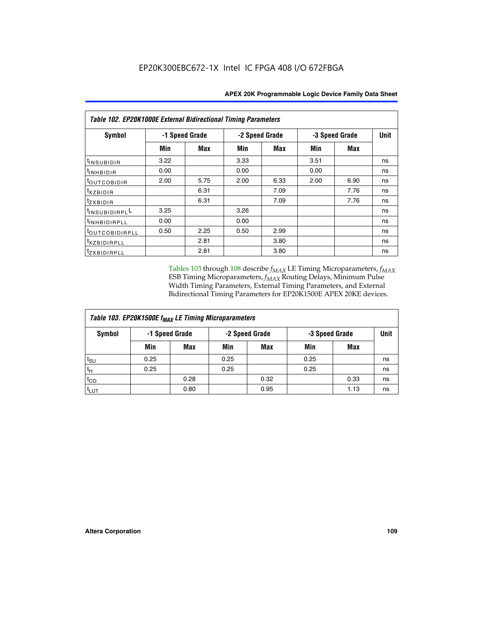| <b>Table 102. EP20K1000E External Bidirectional Timing Parameters</b> |                |      |      |                |                |             |    |  |  |  |
|-----------------------------------------------------------------------|----------------|------|------|----------------|----------------|-------------|----|--|--|--|
| Symbol                                                                | -1 Speed Grade |      |      | -2 Speed Grade | -3 Speed Grade | <b>Unit</b> |    |  |  |  |
|                                                                       | Min            | Max  | Min  | Max            | Min            | <b>Max</b>  |    |  |  |  |
| t <sub>INSUBIDIR</sub>                                                | 3.22           |      | 3.33 |                | 3.51           |             | ns |  |  |  |
| t <sub>inhBidir</sub>                                                 | 0.00           |      | 0.00 |                | 0.00           |             | ns |  |  |  |
| <sup>t</sup> outcobidir                                               | 2.00           | 5.75 | 2.00 | 6.33           | 2.00           | 6.90        | ns |  |  |  |
| $txz$ BIDIR                                                           |                | 6.31 |      | 7.09           |                | 7.76        | ns |  |  |  |
| tzxbidir                                                              |                | 6.31 |      | 7.09           |                | 7.76        | ns |  |  |  |
| t <sub>INSUBIDIRPL</sub> L                                            | 3.25           |      | 3.26 |                |                |             | ns |  |  |  |
| tINHBIDIRPLL                                                          | 0.00           |      | 0.00 |                |                |             | ns |  |  |  |
| toutcobidirpll                                                        | 0.50           | 2.25 | 0.50 | 2.99           |                |             | ns |  |  |  |
| <i>txzBIDIRPLL</i>                                                    |                | 2.81 |      | 3.80           |                |             | ns |  |  |  |
| tzxBIDIRPLL                                                           |                | 2.81 |      | 3.80           |                |             | ns |  |  |  |

Tables 103 through 108 describe  $f_{MAX}$  LE Timing Microparameters,  $f_{MAX}$ ESB Timing Microparameters, *f<sub>MAX</sub>* Routing Delays, Minimum Pulse Width Timing Parameters, External Timing Parameters, and External Bidirectional Timing Parameters for EP20K1500E APEX 20KE devices.

| Table 103. EP20K1500E f <sub>MAX</sub> LE Timing Microparameters |      |                |      |                |      |                |      |  |  |  |  |
|------------------------------------------------------------------|------|----------------|------|----------------|------|----------------|------|--|--|--|--|
| Symbol                                                           |      | -1 Speed Grade |      | -2 Speed Grade |      | -3 Speed Grade | Unit |  |  |  |  |
|                                                                  | Min  | <b>Max</b>     | Min  | <b>Max</b>     | Min  | Max            |      |  |  |  |  |
| $t_{\text{SU}}$                                                  | 0.25 |                | 0.25 |                | 0.25 |                | ns   |  |  |  |  |
| $t_H$                                                            | 0.25 |                | 0.25 |                | 0.25 |                | ns   |  |  |  |  |
| $t_{CO}$                                                         |      | 0.28           |      | 0.32           |      | 0.33           | ns   |  |  |  |  |
| t <sub>lut</sub>                                                 |      | 0.80           |      | 0.95           |      | 1.13           | ns   |  |  |  |  |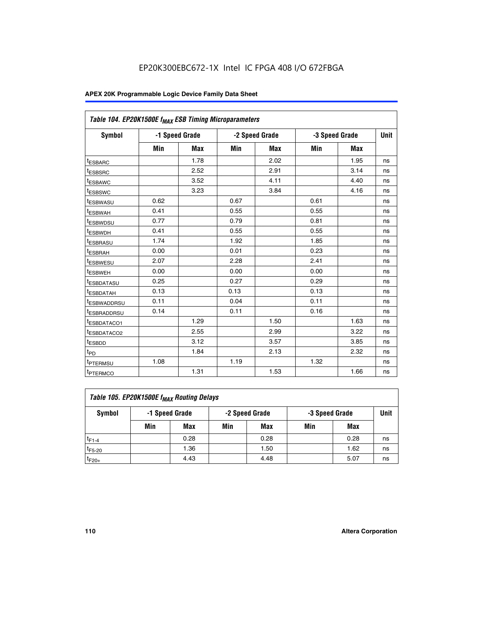|                         | Table 104. EP20K1500E f <sub>MAX</sub> ESB Timing Microparameters |                |            |                |      |                |             |  |  |  |  |  |
|-------------------------|-------------------------------------------------------------------|----------------|------------|----------------|------|----------------|-------------|--|--|--|--|--|
| <b>Symbol</b>           |                                                                   | -1 Speed Grade |            | -2 Speed Grade |      | -3 Speed Grade | <b>Unit</b> |  |  |  |  |  |
|                         | Min                                                               | <b>Max</b>     | <b>Min</b> | Max            | Min  | Max            |             |  |  |  |  |  |
| <sup>t</sup> ESBARC     |                                                                   | 1.78           |            | 2.02           |      | 1.95           | ns          |  |  |  |  |  |
| t <sub>ESBSRC</sub>     |                                                                   | 2.52           |            | 2.91           |      | 3.14           | ns          |  |  |  |  |  |
| <sup>t</sup> ESBAWC     |                                                                   | 3.52           |            | 4.11           |      | 4.40           | ns          |  |  |  |  |  |
| t <sub>ESBSWC</sub>     |                                                                   | 3.23           |            | 3.84           |      | 4.16           | ns          |  |  |  |  |  |
| t <sub>ESBWASU</sub>    | 0.62                                                              |                | 0.67       |                | 0.61 |                | ns          |  |  |  |  |  |
| t <sub>ESBWAH</sub>     | 0.41                                                              |                | 0.55       |                | 0.55 |                | ns          |  |  |  |  |  |
| <sup>t</sup> ESBWDSU    | 0.77                                                              |                | 0.79       |                | 0.81 |                | ns          |  |  |  |  |  |
| t <sub>ESBWDH</sub>     | 0.41                                                              |                | 0.55       |                | 0.55 |                | ns          |  |  |  |  |  |
| <sup>t</sup> ESBRASU    | 1.74                                                              |                | 1.92       |                | 1.85 |                | ns          |  |  |  |  |  |
| <sup>t</sup> ESBRAH     | 0.00                                                              |                | 0.01       |                | 0.23 |                | ns          |  |  |  |  |  |
| <sup>t</sup> ESBWESU    | 2.07                                                              |                | 2.28       |                | 2.41 |                | ns          |  |  |  |  |  |
| <sup>t</sup> ESBWEH     | 0.00                                                              |                | 0.00       |                | 0.00 |                | ns          |  |  |  |  |  |
| <sup>t</sup> ESBDATASU  | 0.25                                                              |                | 0.27       |                | 0.29 |                | ns          |  |  |  |  |  |
| <sup>t</sup> ESBDATAH   | 0.13                                                              |                | 0.13       |                | 0.13 |                | ns          |  |  |  |  |  |
| <sup>t</sup> ESBWADDRSU | 0.11                                                              |                | 0.04       |                | 0.11 |                | ns          |  |  |  |  |  |
| t <sub>ESBRADDRSU</sub> | 0.14                                                              |                | 0.11       |                | 0.16 |                | ns          |  |  |  |  |  |
| <sup>I</sup> ESBDATACO1 |                                                                   | 1.29           |            | 1.50           |      | 1.63           | ns          |  |  |  |  |  |
| <sup>t</sup> ESBDATACO2 |                                                                   | 2.55           |            | 2.99           |      | 3.22           | ns          |  |  |  |  |  |
| <sup>t</sup> ESBDD      |                                                                   | 3.12           |            | 3.57           |      | 3.85           | ns          |  |  |  |  |  |
| t <sub>PD</sub>         |                                                                   | 1.84           |            | 2.13           |      | 2.32           | ns          |  |  |  |  |  |
| t <sub>PTERMSU</sub>    | 1.08                                                              |                | 1.19       |                | 1.32 |                | ns          |  |  |  |  |  |
| t <sub>PTERMCO</sub>    |                                                                   | 1.31           |            | 1.53           |      | 1.66           | ns          |  |  |  |  |  |

| Table 105. EP20K1500E f <sub>MAX</sub> Routing Delays |                                                    |      |     |      |     |      |    |  |  |  |
|-------------------------------------------------------|----------------------------------------------------|------|-----|------|-----|------|----|--|--|--|
| Symbol                                                | -1 Speed Grade<br>-2 Speed Grade<br>-3 Speed Grade |      |     |      |     |      |    |  |  |  |
|                                                       | Min                                                | Max  | Min | Max  | Min | Max  |    |  |  |  |
| $t_{F1-4}$                                            |                                                    | 0.28 |     | 0.28 |     | 0.28 | ns |  |  |  |
| $t_{F5-20}$                                           |                                                    | 1.36 |     | 1.50 |     | 1.62 | ns |  |  |  |
| $t_{F20+}$                                            |                                                    | 4.43 |     | 4.48 |     | 5.07 | ns |  |  |  |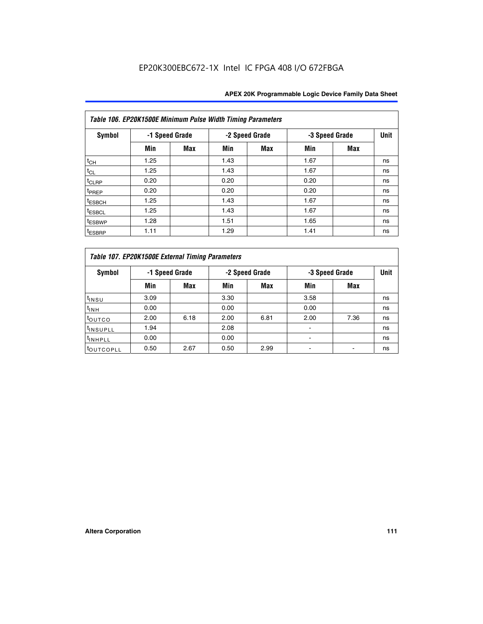|                    | Table 106. EP20K1500E Minimum Pulse Width Timing Parameters |                |      |                |                |            |             |  |  |  |  |  |
|--------------------|-------------------------------------------------------------|----------------|------|----------------|----------------|------------|-------------|--|--|--|--|--|
| Symbol             |                                                             | -1 Speed Grade |      | -2 Speed Grade | -3 Speed Grade |            | <b>Unit</b> |  |  |  |  |  |
|                    | Min                                                         | <b>Max</b>     | Min  | Max            | Min            | <b>Max</b> |             |  |  |  |  |  |
| $t_{CH}$           | 1.25                                                        |                | 1.43 |                | 1.67           |            | ns          |  |  |  |  |  |
| $t_{CL}$           | 1.25                                                        |                | 1.43 |                | 1.67           |            | ns          |  |  |  |  |  |
| t <sub>CLRP</sub>  | 0.20                                                        |                | 0.20 |                | 0.20           |            | ns          |  |  |  |  |  |
| <sup>t</sup> PREP  | 0.20                                                        |                | 0.20 |                | 0.20           |            | ns          |  |  |  |  |  |
| <sup>t</sup> ESBCH | 1.25                                                        |                | 1.43 |                | 1.67           |            | ns          |  |  |  |  |  |
| <sup>t</sup> ESBCL | 1.25                                                        |                | 1.43 |                | 1.67           |            | ns          |  |  |  |  |  |
| <sup>t</sup> ESBWP | 1.28                                                        |                | 1.51 |                | 1.65           |            | ns          |  |  |  |  |  |
| <sup>t</sup> ESBRP | 1.11                                                        |                | 1.29 |                | 1.41           |            | ns          |  |  |  |  |  |

|                       | Table 107. EP20K1500E External Timing Parameters |      |      |                |                          |                |             |  |  |  |  |  |  |
|-----------------------|--------------------------------------------------|------|------|----------------|--------------------------|----------------|-------------|--|--|--|--|--|--|
| Symbol                | -1 Speed Grade                                   |      |      | -2 Speed Grade |                          | -3 Speed Grade | <b>Unit</b> |  |  |  |  |  |  |
|                       | Min                                              | Max  | Min  | <b>Max</b>     | Min                      | Max            |             |  |  |  |  |  |  |
| t <sub>insu</sub>     | 3.09                                             |      | 3.30 |                | 3.58                     |                | ns          |  |  |  |  |  |  |
| $t_{INH}$             | 0.00                                             |      | 0.00 |                | 0.00                     |                | ns          |  |  |  |  |  |  |
| toutco                | 2.00                                             | 6.18 | 2.00 | 6.81           | 2.00                     | 7.36           | ns          |  |  |  |  |  |  |
| <sup>t</sup> INSUPLL  | 1.94                                             |      | 2.08 |                |                          |                | ns          |  |  |  |  |  |  |
| <sup>t</sup> INHPLL   | 0.00                                             |      | 0.00 |                | $\overline{\phantom{0}}$ |                | ns          |  |  |  |  |  |  |
| <sup>t</sup> OUTCOPLL | 0.50                                             | 2.67 | 0.50 | 2.99           |                          |                | ns          |  |  |  |  |  |  |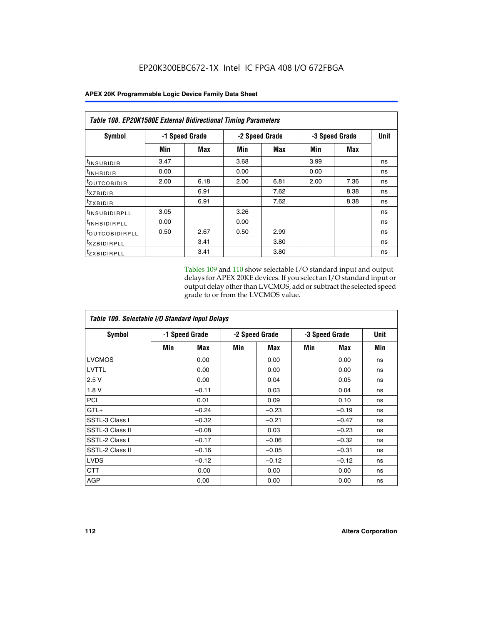| Table 108. EP20K1500E External Bidirectional Timing Parameters |                |      |                |      |                |             |    |  |  |  |
|----------------------------------------------------------------|----------------|------|----------------|------|----------------|-------------|----|--|--|--|
| Symbol                                                         | -1 Speed Grade |      | -2 Speed Grade |      | -3 Speed Grade | <b>Unit</b> |    |  |  |  |
|                                                                | Min            | Max  | Min            | Max  | Min            | Max         |    |  |  |  |
| <sup>t</sup> INSUBIDIR                                         | 3.47           |      | 3.68           |      | 3.99           |             | ns |  |  |  |
| <sup>t</sup> INHBIDIR                                          | 0.00           |      | 0.00           |      | 0.00           |             | ns |  |  |  |
| <sup>t</sup> OUTCOBIDIR                                        | 2.00           | 6.18 | 2.00           | 6.81 | 2.00           | 7.36        | ns |  |  |  |
| txzBIDIR                                                       |                | 6.91 |                | 7.62 |                | 8.38        | ns |  |  |  |
| $t_{Z}$ <i>x</i> BIDIR                                         |                | 6.91 |                | 7.62 |                | 8.38        | ns |  |  |  |
| <sup>t</sup> INSUBIDIRPLL                                      | 3.05           |      | 3.26           |      |                |             | ns |  |  |  |
| <sup>t</sup> INHBIDIRPLL                                       | 0.00           |      | 0.00           |      |                |             | ns |  |  |  |
| <sup>t</sup> OUTCOBIDIRPLL                                     | 0.50           | 2.67 | 0.50           | 2.99 |                |             | ns |  |  |  |
| <sup>t</sup> XZBIDIRPLL                                        |                | 3.41 |                | 3.80 |                |             | ns |  |  |  |
| <sup>t</sup> zxbidirpll                                        |                | 3.41 |                | 3.80 |                |             | ns |  |  |  |

Tables 109 and 110 show selectable I/O standard input and output delays for APEX 20KE devices. If you select an I/O standard input or output delay other than LVCMOS, add or subtract the selected speed grade to or from the LVCMOS value.

| Table 109. Selectable I/O Standard Input Delays |                |         |     |                |     |                |     |  |  |  |
|-------------------------------------------------|----------------|---------|-----|----------------|-----|----------------|-----|--|--|--|
| <b>Symbol</b>                                   | -1 Speed Grade |         |     | -2 Speed Grade |     | -3 Speed Grade |     |  |  |  |
|                                                 | Min            | Max     | Min | Max            | Min | Max            | Min |  |  |  |
| <b>LVCMOS</b>                                   |                | 0.00    |     | 0.00           |     | 0.00           | ns  |  |  |  |
| <b>LVTTL</b>                                    |                | 0.00    |     | 0.00           |     | 0.00           | ns  |  |  |  |
| 2.5V                                            |                | 0.00    |     | 0.04           |     | 0.05           | ns  |  |  |  |
| 1.8V                                            |                | $-0.11$ |     | 0.03           |     | 0.04           | ns  |  |  |  |
| PCI                                             |                | 0.01    |     | 0.09           |     | 0.10           | ns  |  |  |  |
| $GTL+$                                          |                | $-0.24$ |     | $-0.23$        |     | $-0.19$        | ns  |  |  |  |
| SSTL-3 Class I                                  |                | $-0.32$ |     | $-0.21$        |     | $-0.47$        | ns  |  |  |  |
| SSTL-3 Class II                                 |                | $-0.08$ |     | 0.03           |     | $-0.23$        | ns  |  |  |  |
| SSTL-2 Class I                                  |                | $-0.17$ |     | $-0.06$        |     | $-0.32$        | ns  |  |  |  |
| SSTL-2 Class II                                 |                | $-0.16$ |     | $-0.05$        |     | $-0.31$        | ns  |  |  |  |
| <b>LVDS</b>                                     |                | $-0.12$ |     | $-0.12$        |     | $-0.12$        | ns  |  |  |  |
| <b>CTT</b>                                      |                | 0.00    |     | 0.00           |     | 0.00           | ns  |  |  |  |
| <b>AGP</b>                                      |                | 0.00    |     | 0.00           |     | 0.00           | ns  |  |  |  |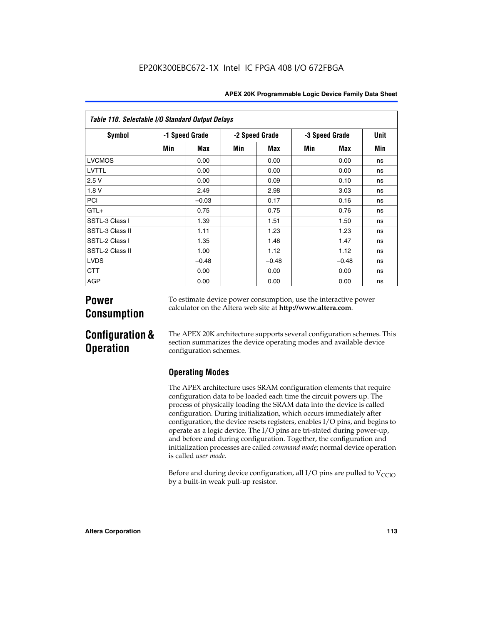| Table 110. Selectable I/O Standard Output Delays |     |                |     |                |     |                |     |  |  |  |  |
|--------------------------------------------------|-----|----------------|-----|----------------|-----|----------------|-----|--|--|--|--|
| Symbol                                           |     | -1 Speed Grade |     | -2 Speed Grade |     | -3 Speed Grade |     |  |  |  |  |
|                                                  | Min | Max            | Min | Max            | Min | Max            | Min |  |  |  |  |
| <b>LVCMOS</b>                                    |     | 0.00           |     | 0.00           |     | 0.00           | ns  |  |  |  |  |
| LVTTL                                            |     | 0.00           |     | 0.00           |     | 0.00           | ns  |  |  |  |  |
| 2.5V                                             |     | 0.00           |     | 0.09           |     | 0.10           | ns  |  |  |  |  |
| 1.8 V                                            |     | 2.49           |     | 2.98           |     | 3.03           | ns  |  |  |  |  |
| PCI                                              |     | $-0.03$        |     | 0.17           |     | 0.16           | ns  |  |  |  |  |
| $GTL+$                                           |     | 0.75           |     | 0.75           |     | 0.76           | ns  |  |  |  |  |
| SSTL-3 Class I                                   |     | 1.39           |     | 1.51           |     | 1.50           | ns  |  |  |  |  |
| SSTL-3 Class II                                  |     | 1.11           |     | 1.23           |     | 1.23           | ns  |  |  |  |  |
| SSTL-2 Class I                                   |     | 1.35           |     | 1.48           |     | 1.47           | ns  |  |  |  |  |
| SSTL-2 Class II                                  |     | 1.00           |     | 1.12           |     | 1.12           | ns  |  |  |  |  |
| <b>LVDS</b>                                      |     | $-0.48$        |     | $-0.48$        |     | $-0.48$        | ns  |  |  |  |  |
| <b>CTT</b>                                       |     | 0.00           |     | 0.00           |     | 0.00           | ns  |  |  |  |  |
| <b>AGP</b>                                       |     | 0.00           |     | 0.00           |     | 0.00           | ns  |  |  |  |  |

# **Power Consumption**

To estimate device power consumption, use the interactive power calculator on the Altera web site at **http://www.altera.com**.

# **Configuration & Operation**

The APEX 20K architecture supports several configuration schemes. This section summarizes the device operating modes and available device configuration schemes.

## **Operating Modes**

The APEX architecture uses SRAM configuration elements that require configuration data to be loaded each time the circuit powers up. The process of physically loading the SRAM data into the device is called configuration. During initialization, which occurs immediately after configuration, the device resets registers, enables I/O pins, and begins to operate as a logic device. The I/O pins are tri-stated during power-up, and before and during configuration. Together, the configuration and initialization processes are called *command mode*; normal device operation is called *user mode*.

Before and during device configuration, all I/O pins are pulled to  $V_{\text{CCTO}}$ by a built-in weak pull-up resistor.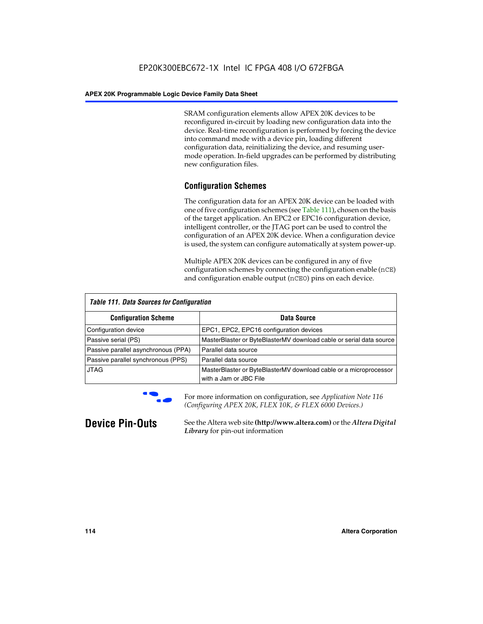SRAM configuration elements allow APEX 20K devices to be reconfigured in-circuit by loading new configuration data into the device. Real-time reconfiguration is performed by forcing the device into command mode with a device pin, loading different configuration data, reinitializing the device, and resuming usermode operation. In-field upgrades can be performed by distributing new configuration files.

## **Configuration Schemes**

The configuration data for an APEX 20K device can be loaded with one of five configuration schemes (see Table 111), chosen on the basis of the target application. An EPC2 or EPC16 configuration device, intelligent controller, or the JTAG port can be used to control the configuration of an APEX 20K device. When a configuration device is used, the system can configure automatically at system power-up.

Multiple APEX 20K devices can be configured in any of five configuration schemes by connecting the configuration enable (nCE) and configuration enable output (nCEO) pins on each device.

| <b>Table 111. Data Sources for Configuration</b> |                                                                                             |
|--------------------------------------------------|---------------------------------------------------------------------------------------------|
| <b>Configuration Scheme</b>                      | Data Source                                                                                 |
| Configuration device                             | EPC1, EPC2, EPC16 configuration devices                                                     |
| Passive serial (PS)                              | MasterBlaster or ByteBlasterMV download cable or serial data source                         |
| Passive parallel asynchronous (PPA)              | Parallel data source                                                                        |
| Passive parallel synchronous (PPS)               | Parallel data source                                                                        |
| <b>JTAG</b>                                      | MasterBlaster or ByteBlasterMV download cable or a microprocessor<br>with a Jam or JBC File |



**For more information on configuration, see Application Note 116** *(Configuring APEX 20K, FLEX 10K, & FLEX 6000 Devices.)*

**Device Pin-Outs** See the Altera web site **(http://www.altera.com)** or the *Altera Digital Library* for pin-out information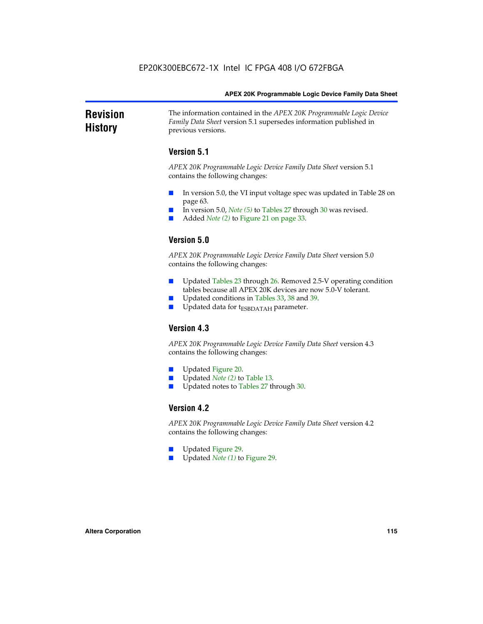### **Revision History** The information contained in the *APEX 20K Programmable Logic Device Family Data Sheet* version 5.1 supersedes information published in previous versions.

## **Version 5.1**

*APEX 20K Programmable Logic Device Family Data Sheet* version 5.1 contains the following changes:

- In version 5.0, the VI input voltage spec was updated in Table 28 on page 63.
- In version 5.0, *Note* (5) to Tables 27 through 30 was revised.
- Added *Note* (2) to Figure 21 on page 33.

## **Version 5.0**

*APEX 20K Programmable Logic Device Family Data Sheet* version 5.0 contains the following changes:

- Updated Tables 23 through 26. Removed 2.5-V operating condition tables because all APEX 20K devices are now 5.0-V tolerant.
- Updated conditions in Tables 33, 38 and 39.
- Updated data for t<sub>ESBDATAH</sub> parameter.

## **Version 4.3**

*APEX 20K Programmable Logic Device Family Data Sheet* version 4.3 contains the following changes:

- Updated Figure 20.
- Updated *Note (2)* to Table 13.
- Updated notes to Tables 27 through 30.

## **Version 4.2**

*APEX 20K Programmable Logic Device Family Data Sheet* version 4.2 contains the following changes:

- Updated Figure 29.
- Updated *Note (1)* to Figure 29.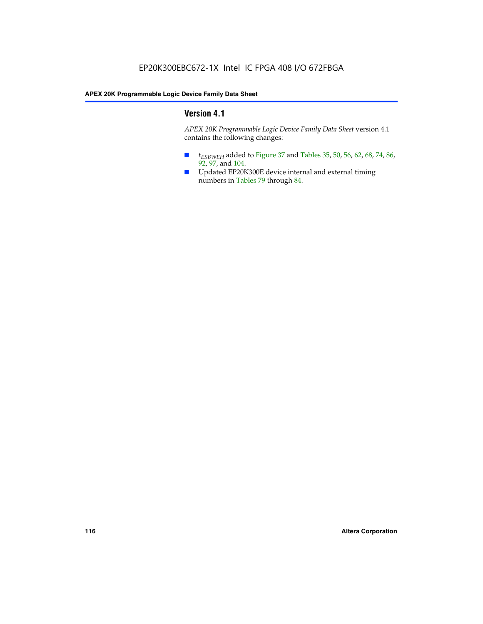## **Version 4.1**

*APEX 20K Programmable Logic Device Family Data Sheet* version 4.1 contains the following changes:

- *t<sub>ESBWEH</sub>* added to Figure 37 and Tables 35, 50, 56, 62, 68, 74, 86, 92, 97, and 104.
- Updated EP20K300E device internal and external timing numbers in Tables 79 through 84.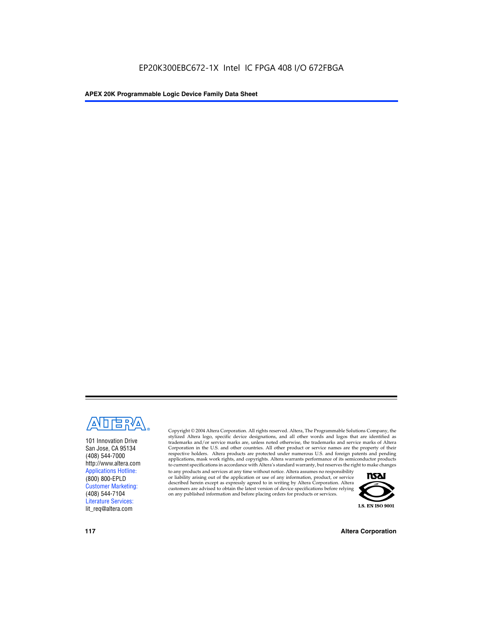

101 Innovation Drive San Jose, CA 95134 (408) 544-7000 http://www.altera.com Applications Hotline: (800) 800-EPLD Customer Marketing: (408) 544-7104 Literature Services: lit\_req@altera.com

Copyright © 2004 Altera Corporation. All rights reserved. Altera, The Programmable Solutions Company, the stylized Altera logo, specific device designations, and all other words and logos that are identified as trademarks and/or service marks are, unless noted otherwise, the trademarks and service marks of Altera Corporation in the U.S. and other countries. All other product or service names are the property of their respective holders. Altera products are protected under numerous U.S. and foreign patents and pending applications, mask work rights, and copyrights. Altera warrants performance of its semiconductor products to current specifications in accordance with Altera's standard warranty, but reserves the right to make changes

to any products and services at any time without notice. Altera assumes no responsibility or liability arising out of the application or use of any information, product, or service described herein except as expressly agreed to in writing by Altera Corporation. Altera customers are advised to obtain the latest version of device specifications before relying on any published information and before placing orders for products or services.



**117 Altera Corporation**